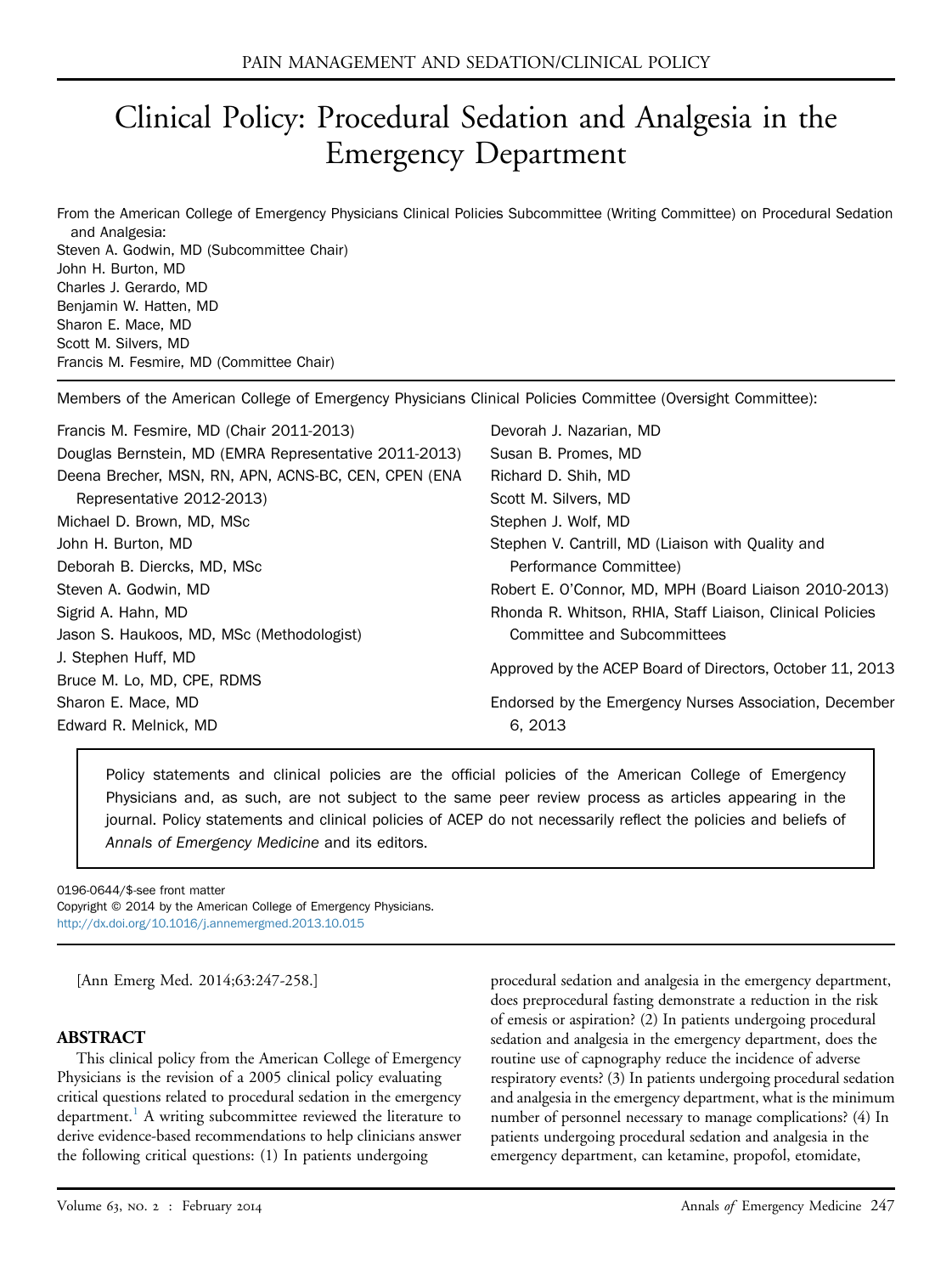# Clinical Policy: Procedural Sedation and Analgesia in the Emergency Department

From the American College of Emergency Physicians Clinical Policies Subcommittee (Writing Committee) on Procedural Sedation and Analgesia: Steven A. Godwin, MD (Subcommittee Chair) John H. Burton, MD Charles J. Gerardo, MD Benjamin W. Hatten, MD Sharon E. Mace, MD Scott M. Silvers, MD Francis M. Fesmire, MD (Committee Chair)

Members of the American College of Emergency Physicians Clinical Policies Committee (Oversight Committee):

| Francis M. Fesmire, MD (Chair 2011-2013)              | Devorah J. Nazarian, MD                                   |
|-------------------------------------------------------|-----------------------------------------------------------|
| Douglas Bernstein, MD (EMRA Representative 2011-2013) | Susan B. Promes, MD                                       |
| Deena Brecher, MSN, RN, APN, ACNS-BC, CEN, CPEN (ENA  | Richard D. Shih, MD                                       |
| Representative 2012-2013)                             | Scott M. Silvers, MD                                      |
| Michael D. Brown, MD, MSc                             | Stephen J. Wolf, MD                                       |
| John H. Burton, MD                                    | Stephen V. Cantrill, MD (Liaison with Quality and         |
| Deborah B. Diercks, MD, MSc                           | Performance Committee)                                    |
| Steven A. Godwin, MD                                  | Robert E. O'Connor, MD, MPH (Board Liaison 2010-2013)     |
| Sigrid A. Hahn, MD                                    | Rhonda R. Whitson, RHIA, Staff Liaison, Clinical Policies |
| Jason S. Haukoos, MD, MSc (Methodologist)             | Committee and Subcommittees                               |
| J. Stephen Huff, MD                                   |                                                           |
| Bruce M. Lo, MD, CPE, RDMS                            | Approved by the ACEP Board of Directors, October 11, 2013 |
| Sharon E. Mace, MD                                    | Endorsed by the Emergency Nurses Association, December    |
| Edward R. Melnick, MD                                 | 6, 2013                                                   |
|                                                       |                                                           |

Policy statements and clinical policies are the official policies of the American College of Emergency Physicians and, as such, are not subject to the same peer review process as articles appearing in the journal. Policy statements and clinical policies of ACEP do not necessarily reflect the policies and beliefs of Annals of Emergency Medicine and its editors.

0196-0644/\$-see front matter

Copyright © 2014 by the American College of Emergency Physicians. <http://dx.doi.org/10.1016/j.annemergmed.2013.10.015>

[Ann Emerg Med. 2014;63:247-258.]

#### ABSTRACT

This clinical policy from the American College of Emergency Physicians is the revision of a 2005 clinical policy evaluating critical questions related to procedural sedation in the emergency department.<sup>[1](#page-8-0)</sup> A writing subcommittee reviewed the literature to derive evidence-based recommendations to help clinicians answer the following critical questions: (1) In patients undergoing

procedural sedation and analgesia in the emergency department, does preprocedural fasting demonstrate a reduction in the risk of emesis or aspiration? (2) In patients undergoing procedural sedation and analgesia in the emergency department, does the routine use of capnography reduce the incidence of adverse respiratory events? (3) In patients undergoing procedural sedation and analgesia in the emergency department, what is the minimum number of personnel necessary to manage complications? (4) In patients undergoing procedural sedation and analgesia in the emergency department, can ketamine, propofol, etomidate,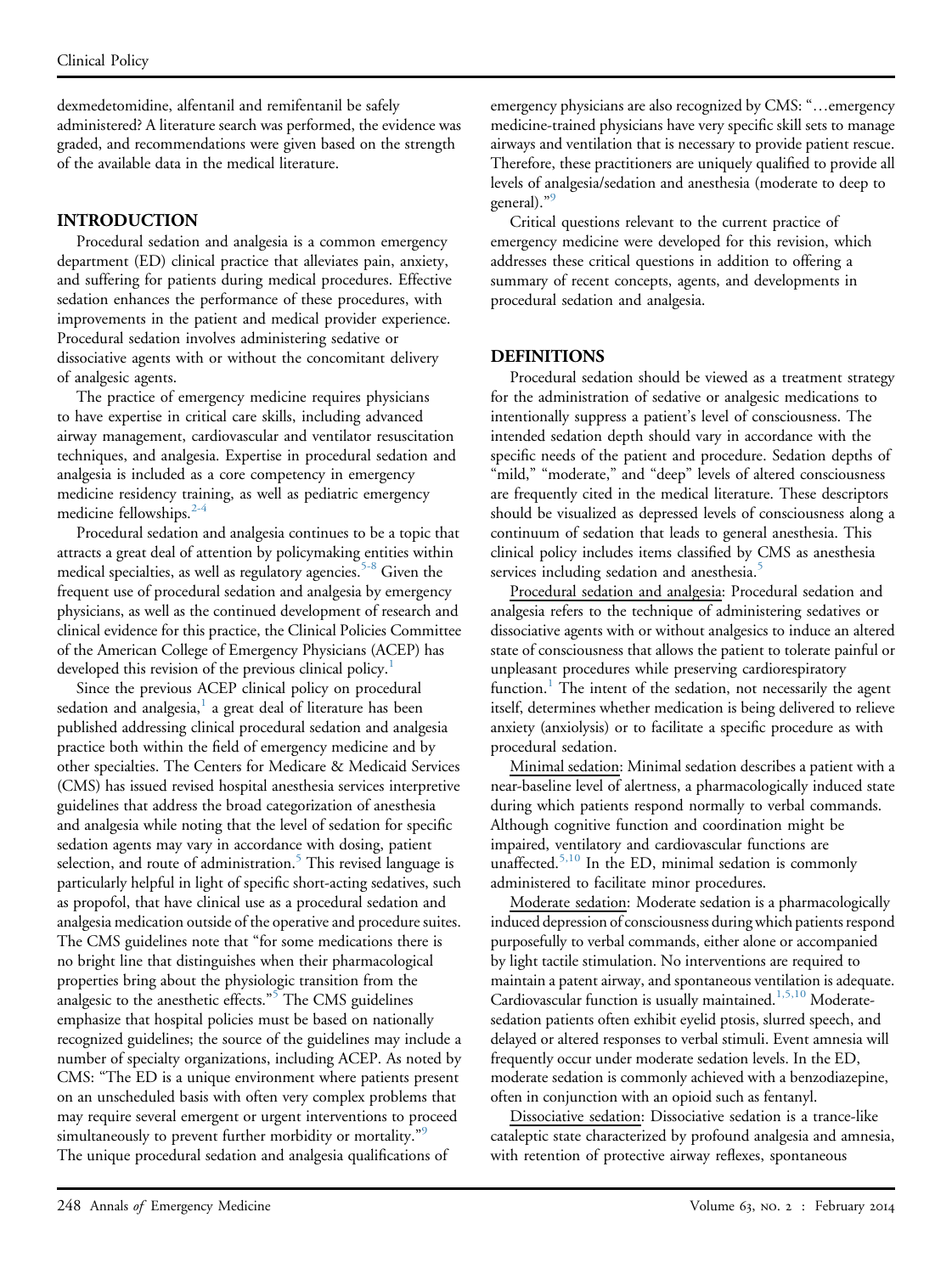dexmedetomidine, alfentanil and remifentanil be safely administered? A literature search was performed, the evidence was graded, and recommendations were given based on the strength of the available data in the medical literature.

## INTRODUCTION

Procedural sedation and analgesia is a common emergency department (ED) clinical practice that alleviates pain, anxiety, and suffering for patients during medical procedures. Effective sedation enhances the performance of these procedures, with improvements in the patient and medical provider experience. Procedural sedation involves administering sedative or dissociative agents with or without the concomitant delivery of analgesic agents.

The practice of emergency medicine requires physicians to have expertise in critical care skills, including advanced airway management, cardiovascular and ventilator resuscitation techniques, and analgesia. Expertise in procedural sedation and analgesia is included as a core competency in emergency medicine residency training, as well as pediatric emergency medicine fellowships. $2-4$ 

Procedural sedation and analgesia continues to be a topic that attracts a great deal of attention by policymaking entities within medical specialties, as well as regulatory agencies.<sup>[5-8](#page-8-2)</sup> Given the frequent use of procedural sedation and analgesia by emergency physicians, as well as the continued development of research and clinical evidence for this practice, the Clinical Policies Committee of the American College of Emergency Physicians (ACEP) has developed this revision of the previous clinical policy.<sup>[1](#page-8-0)</sup>

Since the previous ACEP clinical policy on procedural sedation and analgesia, $\frac{1}{2}$  a great deal of literature has been published addressing clinical procedural sedation and analgesia practice both within the field of emergency medicine and by other specialties. The Centers for Medicare & Medicaid Services (CMS) has issued revised hospital anesthesia services interpretive guidelines that address the broad categorization of anesthesia and analgesia while noting that the level of sedation for specific sedation agents may vary in accordance with dosing, patient selection, and route of administration.<sup>[5](#page-8-2)</sup> This revised language is particularly helpful in light of specific short-acting sedatives, such as propofol, that have clinical use as a procedural sedation and analgesia medication outside of the operative and procedure suites. The CMS guidelines note that "for some medications there is no bright line that distinguishes when their pharmacological properties bring about the physiologic transition from the analgesic to the anesthetic effects."<sup>[5](#page-8-2)</sup> The CMS guidelines emphasize that hospital policies must be based on nationally recognized guidelines; the source of the guidelines may include a number of specialty organizations, including ACEP. As noted by CMS: "The ED is a unique environment where patients present on an unscheduled basis with often very complex problems that may require several emergent or urgent interventions to proceed simultaneously to prevent further morbidity or mortality."<sup>[9](#page-8-3)</sup> The unique procedural sedation and analgesia qualifications of

emergency physicians are also recognized by CMS: "...emergency medicine-trained physicians have very specific skill sets to manage airways and ventilation that is necessary to provide patient rescue. Therefore, these practitioners are uniquely qualified to provide all levels of analgesia/sedation and anesthesia (moderate to deep to general)."<sup>[9](#page-8-3)</sup>

Critical questions relevant to the current practice of emergency medicine were developed for this revision, which addresses these critical questions in addition to offering a summary of recent concepts, agents, and developments in procedural sedation and analgesia.

### DEFINITIONS

Procedural sedation should be viewed as a treatment strategy for the administration of sedative or analgesic medications to intentionally suppress a patient's level of consciousness. The intended sedation depth should vary in accordance with the specific needs of the patient and procedure. Sedation depths of "mild," "moderate," and "deep" levels of altered consciousness are frequently cited in the medical literature. These descriptors should be visualized as depressed levels of consciousness along a continuum of sedation that leads to general anesthesia. This clinical policy includes items classified by CMS as anesthesia services including sedation and anesthesia.<sup>[5](#page-8-2)</sup>

Procedural sedation and analgesia: Procedural sedation and analgesia refers to the technique of administering sedatives or dissociative agents with or without analgesics to induce an altered state of consciousness that allows the patient to tolerate painful or unpleasant procedures while preserving cardiorespiratory function.<sup>[1](#page-8-0)</sup> The intent of the sedation, not necessarily the agent itself, determines whether medication is being delivered to relieve anxiety (anxiolysis) or to facilitate a specific procedure as with procedural sedation.

Minimal sedation: Minimal sedation describes a patient with a near-baseline level of alertness, a pharmacologically induced state during which patients respond normally to verbal commands. Although cognitive function and coordination might be impaired, ventilatory and cardiovascular functions are unaffected.<sup>[5,10](#page-8-2)</sup> In the ED, minimal sedation is commonly administered to facilitate minor procedures.

Moderate sedation: Moderate sedation is a pharmacologically induced depression of consciousness during which patients respond purposefully to verbal commands, either alone or accompanied by light tactile stimulation. No interventions are required to maintain a patent airway, and spontaneous ventilation is adequate. Cardiovascular function is usually maintained.<sup>[1,5,10](#page-8-0)</sup> Moderatesedation patients often exhibit eyelid ptosis, slurred speech, and delayed or altered responses to verbal stimuli. Event amnesia will frequently occur under moderate sedation levels. In the ED, moderate sedation is commonly achieved with a benzodiazepine, often in conjunction with an opioid such as fentanyl.

Dissociative sedation: Dissociative sedation is a trance-like cataleptic state characterized by profound analgesia and amnesia, with retention of protective airway reflexes, spontaneous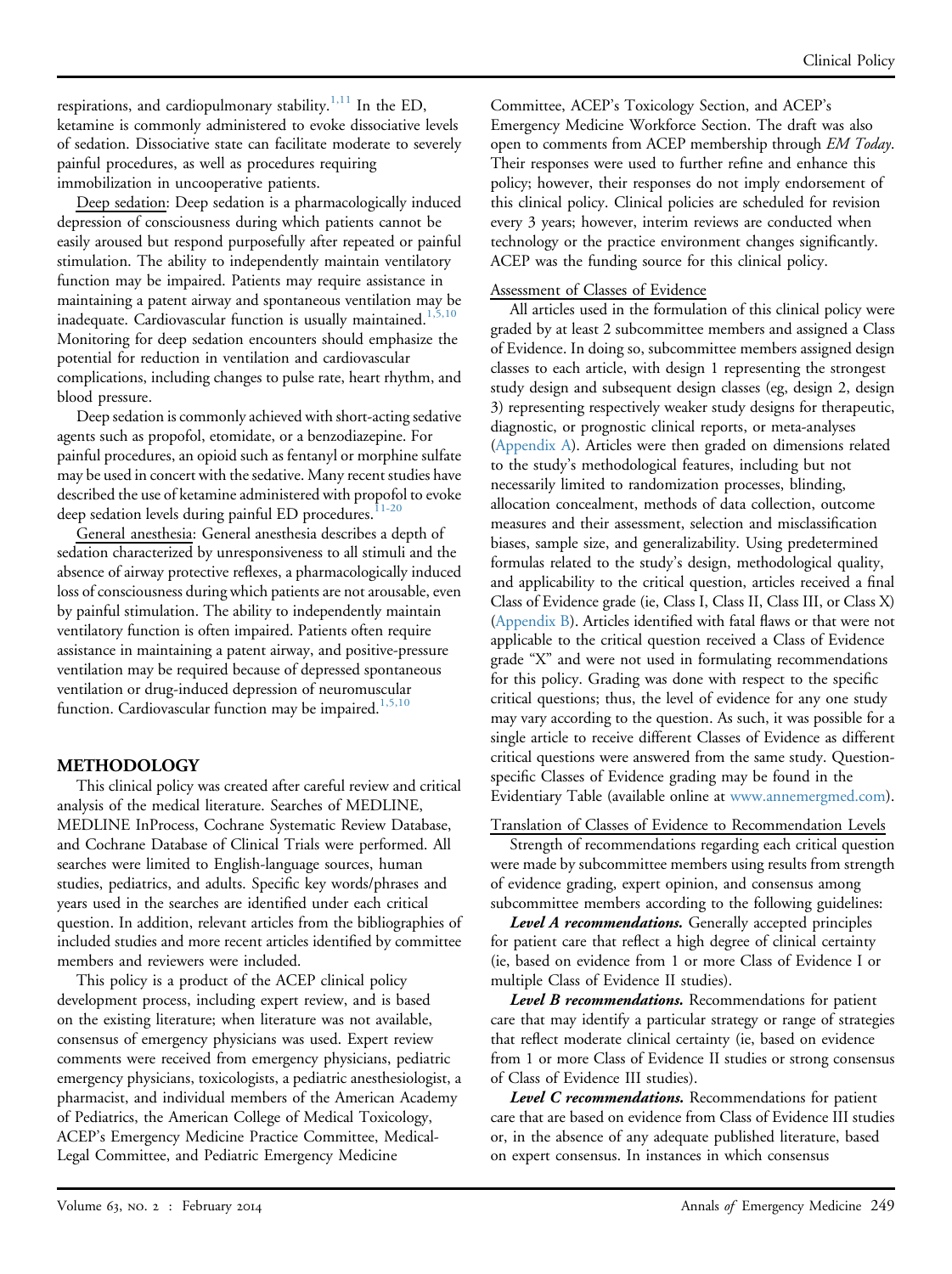respirations, and cardiopulmonary stability.<sup>[1,11](#page-8-0)</sup> In the ED, ketamine is commonly administered to evoke dissociative levels of sedation. Dissociative state can facilitate moderate to severely painful procedures, as well as procedures requiring immobilization in uncooperative patients.

Deep sedation: Deep sedation is a pharmacologically induced depression of consciousness during which patients cannot be easily aroused but respond purposefully after repeated or painful stimulation. The ability to independently maintain ventilatory function may be impaired. Patients may require assistance in maintaining a patent airway and spontaneous ventilation may be inadequate. Cardiovascular function is usually maintained.<sup>[1,5,10](#page-8-0)</sup> Monitoring for deep sedation encounters should emphasize the potential for reduction in ventilation and cardiovascular complications, including changes to pulse rate, heart rhythm, and blood pressure.

Deep sedation is commonly achieved with short-acting sedative agents such as propofol, etomidate, or a benzodiazepine. For painful procedures, an opioid such as fentanyl or morphine sulfate may be used in concert with the sedative. Many recent studies have described the use of ketamine administered with propofol to evoke deep sedation levels during painful ED procedures.<sup>[11-20](#page-8-4)</sup>

General anesthesia: General anesthesia describes a depth of sedation characterized by unresponsiveness to all stimuli and the absence of airway protective reflexes, a pharmacologically induced loss of consciousness during which patients are not arousable, even by painful stimulation. The ability to independently maintain ventilatory function is often impaired. Patients often require assistance in maintaining a patent airway, and positive-pressure ventilation may be required because of depressed spontaneous ventilation or drug-induced depression of neuromuscular function. Cardiovascular function may be impaired.<sup>[1,5,10](#page-8-0)</sup>

# METHODOLOGY

This clinical policy was created after careful review and critical analysis of the medical literature. Searches of MEDLINE, MEDLINE InProcess, Cochrane Systematic Review Database, and Cochrane Database of Clinical Trials were performed. All searches were limited to English-language sources, human studies, pediatrics, and adults. Specific key words/phrases and years used in the searches are identified under each critical question. In addition, relevant articles from the bibliographies of included studies and more recent articles identified by committee members and reviewers were included.

This policy is a product of the ACEP clinical policy development process, including expert review, and is based on the existing literature; when literature was not available, consensus of emergency physicians was used. Expert review comments were received from emergency physicians, pediatric emergency physicians, toxicologists, a pediatric anesthesiologist, a pharmacist, and individual members of the American Academy of Pediatrics, the American College of Medical Toxicology, ACEP's Emergency Medicine Practice Committee, Medical-Legal Committee, and Pediatric Emergency Medicine

Committee, ACEP's Toxicology Section, and ACEP's Emergency Medicine Workforce Section. The draft was also open to comments from ACEP membership through EM Today. Their responses were used to further refine and enhance this policy; however, their responses do not imply endorsement of this clinical policy. Clinical policies are scheduled for revision every 3 years; however, interim reviews are conducted when technology or the practice environment changes significantly. ACEP was the funding source for this clinical policy.

## Assessment of Classes of Evidence

All articles used in the formulation of this clinical policy were graded by at least 2 subcommittee members and assigned a Class of Evidence. In doing so, subcommittee members assigned design classes to each article, with design 1 representing the strongest study design and subsequent design classes (eg, design 2, design 3) representing respectively weaker study designs for therapeutic, diagnostic, or prognostic clinical reports, or meta-analyses (Appendix A). Articles were then graded on dimensions related to the study's methodological features, including but not necessarily limited to randomization processes, blinding, allocation concealment, methods of data collection, outcome measures and their assessment, selection and misclassification biases, sample size, and generalizability. Using predetermined formulas related to the study's design, methodological quality, and applicability to the critical question, articles received a final Class of Evidence grade (ie, Class I, Class II, Class III, or Class X) (Appendix B). Articles identified with fatal flaws or that were not applicable to the critical question received a Class of Evidence grade "X" and were not used in formulating recommendations for this policy. Grading was done with respect to the specific critical questions; thus, the level of evidence for any one study may vary according to the question. As such, it was possible for a single article to receive different Classes of Evidence as different critical questions were answered from the same study. Questionspecific Classes of Evidence grading may be found in the Evidentiary Table (available online at [www.annemergmed.com](http://www.annemergmed.com)).

### Translation of Classes of Evidence to Recommendation Levels

Strength of recommendations regarding each critical question were made by subcommittee members using results from strength of evidence grading, expert opinion, and consensus among subcommittee members according to the following guidelines:

Level A recommendations. Generally accepted principles for patient care that reflect a high degree of clinical certainty (ie, based on evidence from 1 or more Class of Evidence I or multiple Class of Evidence II studies).

Level B recommendations. Recommendations for patient care that may identify a particular strategy or range of strategies that reflect moderate clinical certainty (ie, based on evidence from 1 or more Class of Evidence II studies or strong consensus of Class of Evidence III studies).

Level C recommendations. Recommendations for patient care that are based on evidence from Class of Evidence III studies or, in the absence of any adequate published literature, based on expert consensus. In instances in which consensus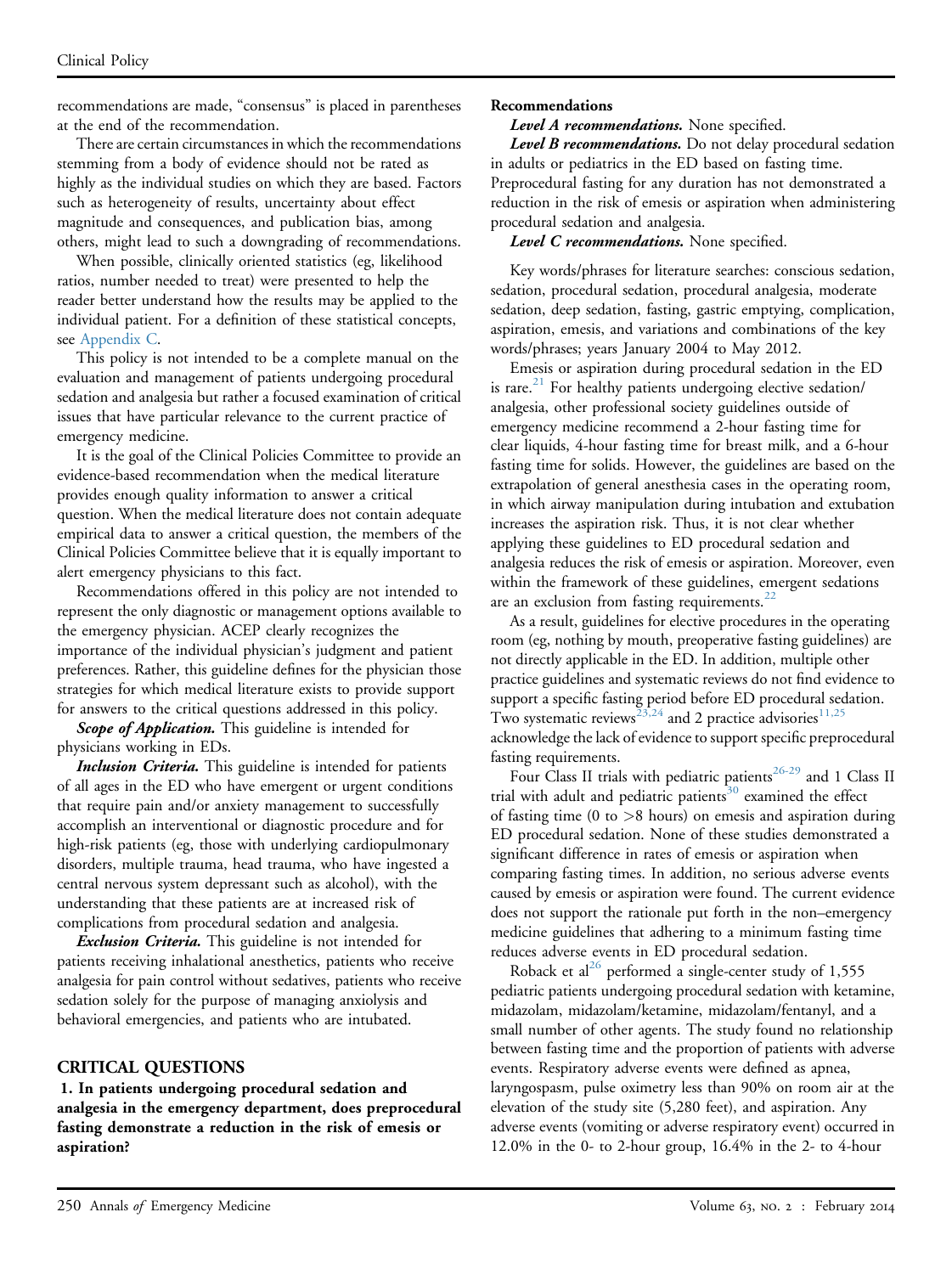recommendations are made, "consensus" is placed in parentheses at the end of the recommendation.

There are certain circumstances in which the recommendations stemming from a body of evidence should not be rated as highly as the individual studies on which they are based. Factors such as heterogeneity of results, uncertainty about effect magnitude and consequences, and publication bias, among others, might lead to such a downgrading of recommendations.

When possible, clinically oriented statistics (eg, likelihood ratios, number needed to treat) were presented to help the reader better understand how the results may be applied to the individual patient. For a definition of these statistical concepts, see Appendix C.

This policy is not intended to be a complete manual on the evaluation and management of patients undergoing procedural sedation and analgesia but rather a focused examination of critical issues that have particular relevance to the current practice of emergency medicine.

It is the goal of the Clinical Policies Committee to provide an evidence-based recommendation when the medical literature provides enough quality information to answer a critical question. When the medical literature does not contain adequate empirical data to answer a critical question, the members of the Clinical Policies Committee believe that it is equally important to alert emergency physicians to this fact.

Recommendations offered in this policy are not intended to represent the only diagnostic or management options available to the emergency physician. ACEP clearly recognizes the importance of the individual physician's judgment and patient preferences. Rather, this guideline defines for the physician those strategies for which medical literature exists to provide support for answers to the critical questions addressed in this policy.

Scope of Application. This guideline is intended for physicians working in EDs.

**Inclusion Criteria.** This guideline is intended for patients of all ages in the ED who have emergent or urgent conditions that require pain and/or anxiety management to successfully accomplish an interventional or diagnostic procedure and for high-risk patients (eg, those with underlying cardiopulmonary disorders, multiple trauma, head trauma, who have ingested a central nervous system depressant such as alcohol), with the understanding that these patients are at increased risk of complications from procedural sedation and analgesia.

**Exclusion Criteria.** This guideline is not intended for patients receiving inhalational anesthetics, patients who receive analgesia for pain control without sedatives, patients who receive sedation solely for the purpose of managing anxiolysis and behavioral emergencies, and patients who are intubated.

# CRITICAL QUESTIONS

1. In patients undergoing procedural sedation and analgesia in the emergency department, does preprocedural fasting demonstrate a reduction in the risk of emesis or aspiration?

# Recommendations

#### Level A recommendations. None specified.

Level B recommendations. Do not delay procedural sedation in adults or pediatrics in the ED based on fasting time. Preprocedural fasting for any duration has not demonstrated a reduction in the risk of emesis or aspiration when administering procedural sedation and analgesia.

Level C recommendations. None specified.

Key words/phrases for literature searches: conscious sedation, sedation, procedural sedation, procedural analgesia, moderate sedation, deep sedation, fasting, gastric emptying, complication, aspiration, emesis, and variations and combinations of the key words/phrases; years January 2004 to May 2012.

Emesis or aspiration during procedural sedation in the ED is rare. $21$  For healthy patients undergoing elective sedation/ analgesia, other professional society guidelines outside of emergency medicine recommend a 2-hour fasting time for clear liquids, 4-hour fasting time for breast milk, and a 6-hour fasting time for solids. However, the guidelines are based on the extrapolation of general anesthesia cases in the operating room, in which airway manipulation during intubation and extubation increases the aspiration risk. Thus, it is not clear whether applying these guidelines to ED procedural sedation and analgesia reduces the risk of emesis or aspiration. Moreover, even within the framework of these guidelines, emergent sedations are an exclusion from fasting requirements.<sup>[22](#page-9-1)</sup>

As a result, guidelines for elective procedures in the operating room (eg, nothing by mouth, preoperative fasting guidelines) are not directly applicable in the ED. In addition, multiple other practice guidelines and systematic reviews do not find evidence to support a specific fasting period before ED procedural sedation. Two systematic reviews<sup>[23,24](#page-9-2)</sup> and 2 practice advisories<sup>[11,25](#page-8-4)</sup> acknowledge the lack of evidence to support specific preprocedural fasting requirements.

Four Class II trials with pediatric patients<sup>[26-29](#page-9-3)</sup> and 1 Class II trial with adult and pediatric patients $30$  examined the effect of fasting time (0 to  $>8$  hours) on emesis and aspiration during ED procedural sedation. None of these studies demonstrated a significant difference in rates of emesis or aspiration when comparing fasting times. In addition, no serious adverse events caused by emesis or aspiration were found. The current evidence does not support the rationale put forth in the non–emergency medicine guidelines that adhering to a minimum fasting time reduces adverse events in ED procedural sedation.

Roback et al<sup>[26](#page-9-3)</sup> performed a single-center study of  $1,555$ pediatric patients undergoing procedural sedation with ketamine, midazolam, midazolam/ketamine, midazolam/fentanyl, and a small number of other agents. The study found no relationship between fasting time and the proportion of patients with adverse events. Respiratory adverse events were defined as apnea, laryngospasm, pulse oximetry less than 90% on room air at the elevation of the study site (5,280 feet), and aspiration. Any adverse events (vomiting or adverse respiratory event) occurred in 12.0% in the 0- to 2-hour group, 16.4% in the 2- to 4-hour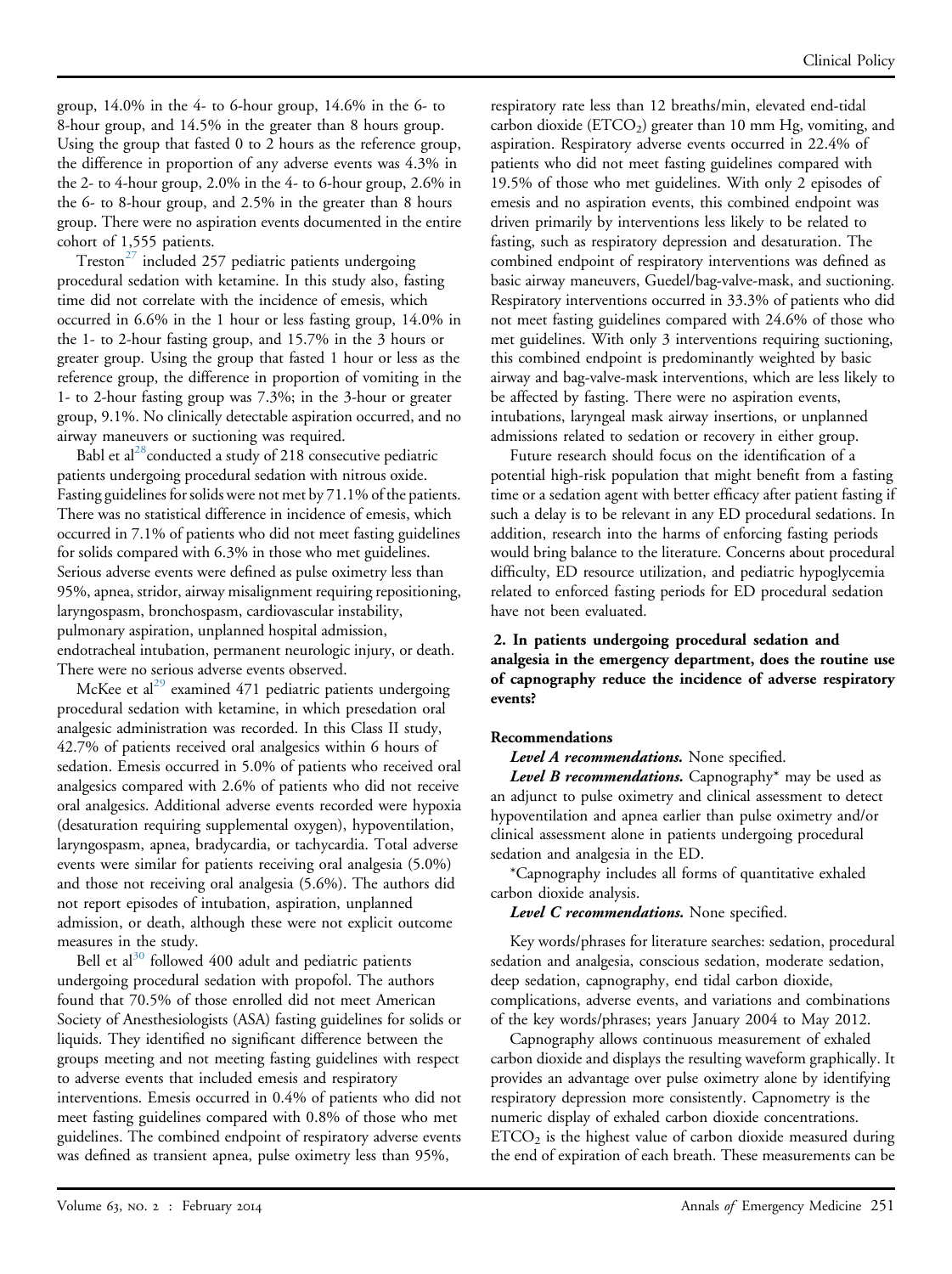group, 14.0% in the 4- to 6-hour group, 14.6% in the 6- to 8-hour group, and 14.5% in the greater than 8 hours group. Using the group that fasted 0 to 2 hours as the reference group, the difference in proportion of any adverse events was 4.3% in the 2- to 4-hour group, 2.0% in the 4- to 6-hour group, 2.6% in the 6- to 8-hour group, and 2.5% in the greater than 8 hours group. There were no aspiration events documented in the entire cohort of 1,555 patients.

Treston<sup>[27](#page-9-5)</sup> included 257 pediatric patients undergoing procedural sedation with ketamine. In this study also, fasting time did not correlate with the incidence of emesis, which occurred in 6.6% in the 1 hour or less fasting group, 14.0% in the 1- to 2-hour fasting group, and 15.7% in the 3 hours or greater group. Using the group that fasted 1 hour or less as the reference group, the difference in proportion of vomiting in the 1- to 2-hour fasting group was 7.3%; in the 3-hour or greater group, 9.1%. No clinically detectable aspiration occurred, and no airway maneuvers or suctioning was required.

Babl et al<sup>[28](#page-9-6)</sup>conducted a study of 218 consecutive pediatric patients undergoing procedural sedation with nitrous oxide. Fasting guidelines for solids were not met by 71.1% of the patients. There was no statistical difference in incidence of emesis, which occurred in 7.1% of patients who did not meet fasting guidelines for solids compared with 6.3% in those who met guidelines. Serious adverse events were defined as pulse oximetry less than 95%, apnea, stridor, airway misalignment requiring repositioning, laryngospasm, bronchospasm, cardiovascular instability, pulmonary aspiration, unplanned hospital admission, endotracheal intubation, permanent neurologic injury, or death. There were no serious adverse events observed.

McKee et al<sup>29</sup> examined 471 pediatric patients undergoing procedural sedation with ketamine, in which presedation oral analgesic administration was recorded. In this Class II study, 42.7% of patients received oral analgesics within 6 hours of sedation. Emesis occurred in 5.0% of patients who received oral analgesics compared with 2.6% of patients who did not receive oral analgesics. Additional adverse events recorded were hypoxia (desaturation requiring supplemental oxygen), hypoventilation, laryngospasm, apnea, bradycardia, or tachycardia. Total adverse events were similar for patients receiving oral analgesia (5.0%) and those not receiving oral analgesia (5.6%). The authors did not report episodes of intubation, aspiration, unplanned admission, or death, although these were not explicit outcome measures in the study.

Bell et al $30$  followed 400 adult and pediatric patients undergoing procedural sedation with propofol. The authors found that 70.5% of those enrolled did not meet American Society of Anesthesiologists (ASA) fasting guidelines for solids or liquids. They identified no significant difference between the groups meeting and not meeting fasting guidelines with respect to adverse events that included emesis and respiratory interventions. Emesis occurred in 0.4% of patients who did not meet fasting guidelines compared with 0.8% of those who met guidelines. The combined endpoint of respiratory adverse events was defined as transient apnea, pulse oximetry less than 95%,

respiratory rate less than 12 breaths/min, elevated end-tidal carbon dioxide (ETCO<sub>2</sub>) greater than 10 mm Hg, vomiting, and aspiration. Respiratory adverse events occurred in 22.4% of patients who did not meet fasting guidelines compared with 19.5% of those who met guidelines. With only 2 episodes of emesis and no aspiration events, this combined endpoint was driven primarily by interventions less likely to be related to fasting, such as respiratory depression and desaturation. The combined endpoint of respiratory interventions was defined as basic airway maneuvers, Guedel/bag-valve-mask, and suctioning. Respiratory interventions occurred in 33.3% of patients who did not meet fasting guidelines compared with 24.6% of those who met guidelines. With only 3 interventions requiring suctioning, this combined endpoint is predominantly weighted by basic airway and bag-valve-mask interventions, which are less likely to be affected by fasting. There were no aspiration events, intubations, laryngeal mask airway insertions, or unplanned admissions related to sedation or recovery in either group.

Future research should focus on the identification of a potential high-risk population that might benefit from a fasting time or a sedation agent with better efficacy after patient fasting if such a delay is to be relevant in any ED procedural sedations. In addition, research into the harms of enforcing fasting periods would bring balance to the literature. Concerns about procedural difficulty, ED resource utilization, and pediatric hypoglycemia related to enforced fasting periods for ED procedural sedation have not been evaluated.

#### 2. In patients undergoing procedural sedation and analgesia in the emergency department, does the routine use of capnography reduce the incidence of adverse respiratory events?

#### Recommendations

Level A recommendations. None specified.

Level B recommendations. Capnography\* may be used as an adjunct to pulse oximetry and clinical assessment to detect hypoventilation and apnea earlier than pulse oximetry and/or clinical assessment alone in patients undergoing procedural sedation and analgesia in the ED.

\*Capnography includes all forms of quantitative exhaled carbon dioxide analysis.

Level C recommendations. None specified.

Key words/phrases for literature searches: sedation, procedural sedation and analgesia, conscious sedation, moderate sedation, deep sedation, capnography, end tidal carbon dioxide, complications, adverse events, and variations and combinations of the key words/phrases; years January 2004 to May 2012.

Capnography allows continuous measurement of exhaled carbon dioxide and displays the resulting waveform graphically. It provides an advantage over pulse oximetry alone by identifying respiratory depression more consistently. Capnometry is the numeric display of exhaled carbon dioxide concentrations.  $ETCO<sub>2</sub>$  is the highest value of carbon dioxide measured during the end of expiration of each breath. These measurements can be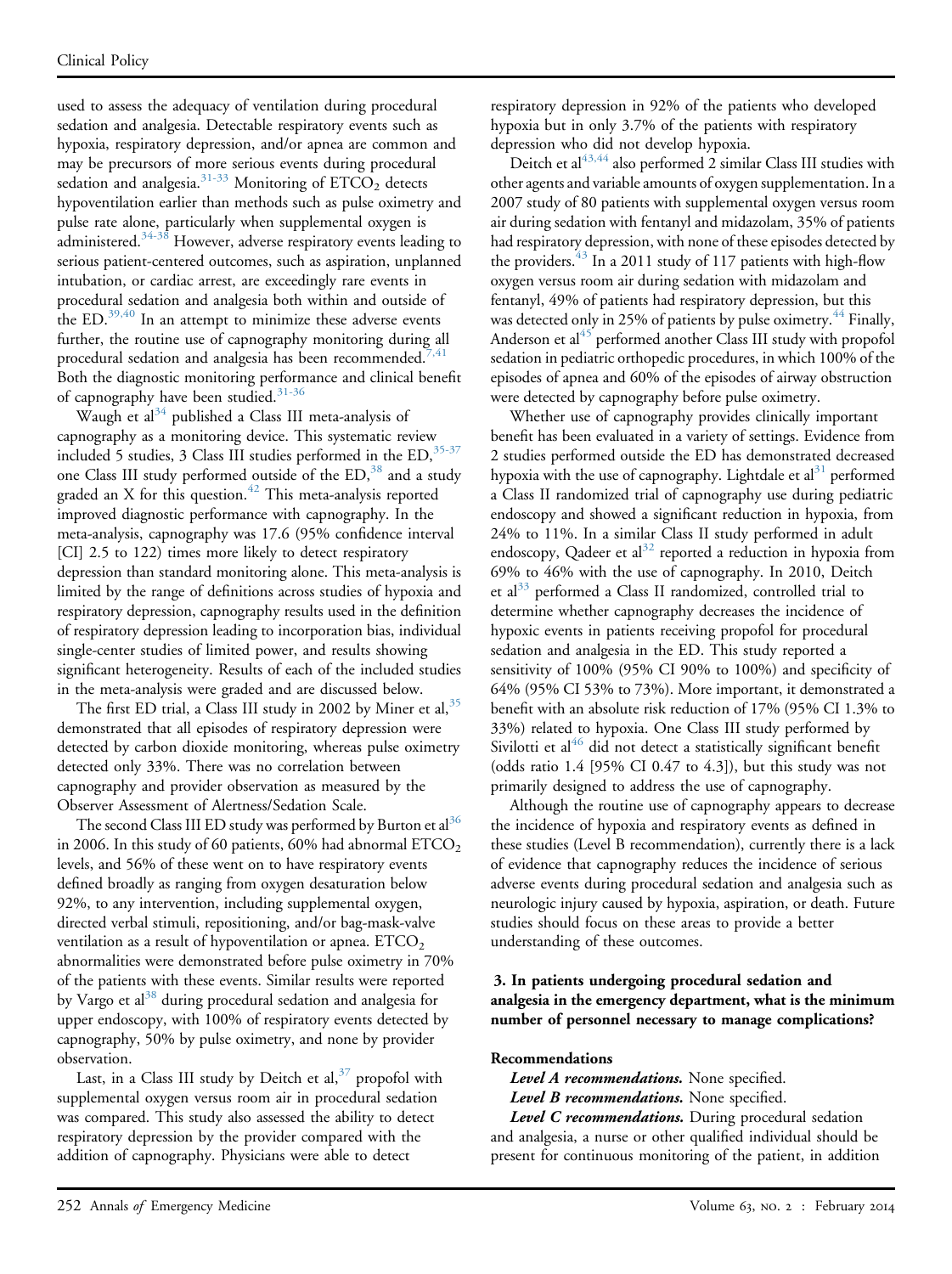used to assess the adequacy of ventilation during procedural sedation and analgesia. Detectable respiratory events such as hypoxia, respiratory depression, and/or apnea are common and may be precursors of more serious events during procedural sedation and analgesia.<sup>31-33</sup> Monitoring of  $ETCO<sub>2</sub>$  detects hypoventilation earlier than methods such as pulse oximetry and pulse rate alone, particularly when supplemental oxygen is **administered.<sup>[34-38](#page-9-9)</sup> However, adverse respiratory events leading to** serious patient-centered outcomes, such as aspiration, unplanned intubation, or cardiac arrest, are exceedingly rare events in procedural sedation and analgesia both within and outside of the ED.<sup>[39,40](#page-9-10)</sup> In an attempt to minimize these adverse events further, the routine use of capnography monitoring during all procedural sedation and analgesia has been recommended.<sup>7,4</sup> Both the diagnostic monitoring performance and clinical benefit of capnography have been studied.<sup>[31-36](#page-9-8)</sup>

Waugh et al $34$  published a Class III meta-analysis of capnography as a monitoring device. This systematic review included 5 studies, 3 Class III studies performed in the ED,  $35-37$ one Class III study performed outside of the ED,<sup>[38](#page-9-12)</sup> and a study graded an X for this question.<sup>[42](#page-9-13)</sup> This meta-analysis reported improved diagnostic performance with capnography. In the meta-analysis, capnography was 17.6 (95% confidence interval [CI] 2.5 to 122) times more likely to detect respiratory depression than standard monitoring alone. This meta-analysis is limited by the range of definitions across studies of hypoxia and respiratory depression, capnography results used in the definition of respiratory depression leading to incorporation bias, individual single-center studies of limited power, and results showing significant heterogeneity. Results of each of the included studies in the meta-analysis were graded and are discussed below.

The first ED trial, a Class III study in 2002 by Miner et al,<sup>[35](#page-9-11)</sup> demonstrated that all episodes of respiratory depression were detected by carbon dioxide monitoring, whereas pulse oximetry detected only 33%. There was no correlation between capnography and provider observation as measured by the Observer Assessment of Alertness/Sedation Scale.

The second Class III ED study was performed by Burton et al<sup>[36](#page-9-14)</sup> in 2006. In this study of 60 patients, 60% had abnormal  $\rm ETCO_2$ levels, and 56% of these went on to have respiratory events defined broadly as ranging from oxygen desaturation below 92%, to any intervention, including supplemental oxygen, directed verbal stimuli, repositioning, and/or bag-mask-valve ventilation as a result of hypoventilation or apnea.  $ETCO<sub>2</sub>$ abnormalities were demonstrated before pulse oximetry in 70% of the patients with these events. Similar results were reported by Vargo et al<sup>[38](#page-9-12)</sup> during procedural sedation and analgesia for upper endoscopy, with 100% of respiratory events detected by capnography, 50% by pulse oximetry, and none by provider observation.

Last, in a Class III study by Deitch et al,  $37$  propofol with supplemental oxygen versus room air in procedural sedation was compared. This study also assessed the ability to detect respiratory depression by the provider compared with the addition of capnography. Physicians were able to detect

respiratory depression in 92% of the patients who developed hypoxia but in only 3.7% of the patients with respiratory depression who did not develop hypoxia.

Deitch et al<sup>[43,44](#page-9-16)</sup> also performed 2 similar Class III studies with other agents and variable amounts of oxygen supplementation. In a 2007 study of 80 patients with supplemental oxygen versus room air during sedation with fentanyl and midazolam, 35% of patients had respiratory depression, with none of these episodes detected by the providers. $43$  In a 2011 study of 117 patients with high-flow oxygen versus room air during sedation with midazolam and fentanyl, 49% of patients had respiratory depression, but this was detected only in 25% of patients by pulse oximetry.<sup>[44](#page-9-17)</sup> Finally, Anderson et  $a^{45}$  $a^{45}$  $a^{45}$  performed another Class III study with propofol sedation in pediatric orthopedic procedures, in which 100% of the episodes of apnea and 60% of the episodes of airway obstruction were detected by capnography before pulse oximetry.

Whether use of capnography provides clinically important benefit has been evaluated in a variety of settings. Evidence from 2 studies performed outside the ED has demonstrated decreased hypoxia with the use of capnography. Lightdale et  $al<sup>31</sup>$  $al<sup>31</sup>$  $al<sup>31</sup>$  performed a Class II randomized trial of capnography use during pediatric endoscopy and showed a significant reduction in hypoxia, from 24% to 11%. In a similar Class II study performed in adult endoscopy, Qadeer et al<sup>[32](#page-9-19)</sup> reported a reduction in hypoxia from 69% to 46% with the use of capnography. In 2010, Deitch et al<sup>[33](#page-9-20)</sup> performed a Class II randomized, controlled trial to determine whether capnography decreases the incidence of hypoxic events in patients receiving propofol for procedural sedation and analgesia in the ED. This study reported a sensitivity of 100% (95% CI 90% to 100%) and specificity of 64% (95% CI 53% to 73%). More important, it demonstrated a benefit with an absolute risk reduction of 17% (95% CI 1.3% to 33%) related to hypoxia. One Class III study performed by Sivilotti et al $46$  did not detect a statistically significant benefit (odds ratio 1.4 [95% CI 0.47 to 4.3]), but this study was not primarily designed to address the use of capnography.

Although the routine use of capnography appears to decrease the incidence of hypoxia and respiratory events as defined in these studies (Level B recommendation), currently there is a lack of evidence that capnography reduces the incidence of serious adverse events during procedural sedation and analgesia such as neurologic injury caused by hypoxia, aspiration, or death. Future studies should focus on these areas to provide a better understanding of these outcomes.

#### 3. In patients undergoing procedural sedation and analgesia in the emergency department, what is the minimum number of personnel necessary to manage complications?

#### Recommendations

Level A recommendations. None specified.

Level B recommendations. None specified.

Level C recommendations. During procedural sedation and analgesia, a nurse or other qualified individual should be present for continuous monitoring of the patient, in addition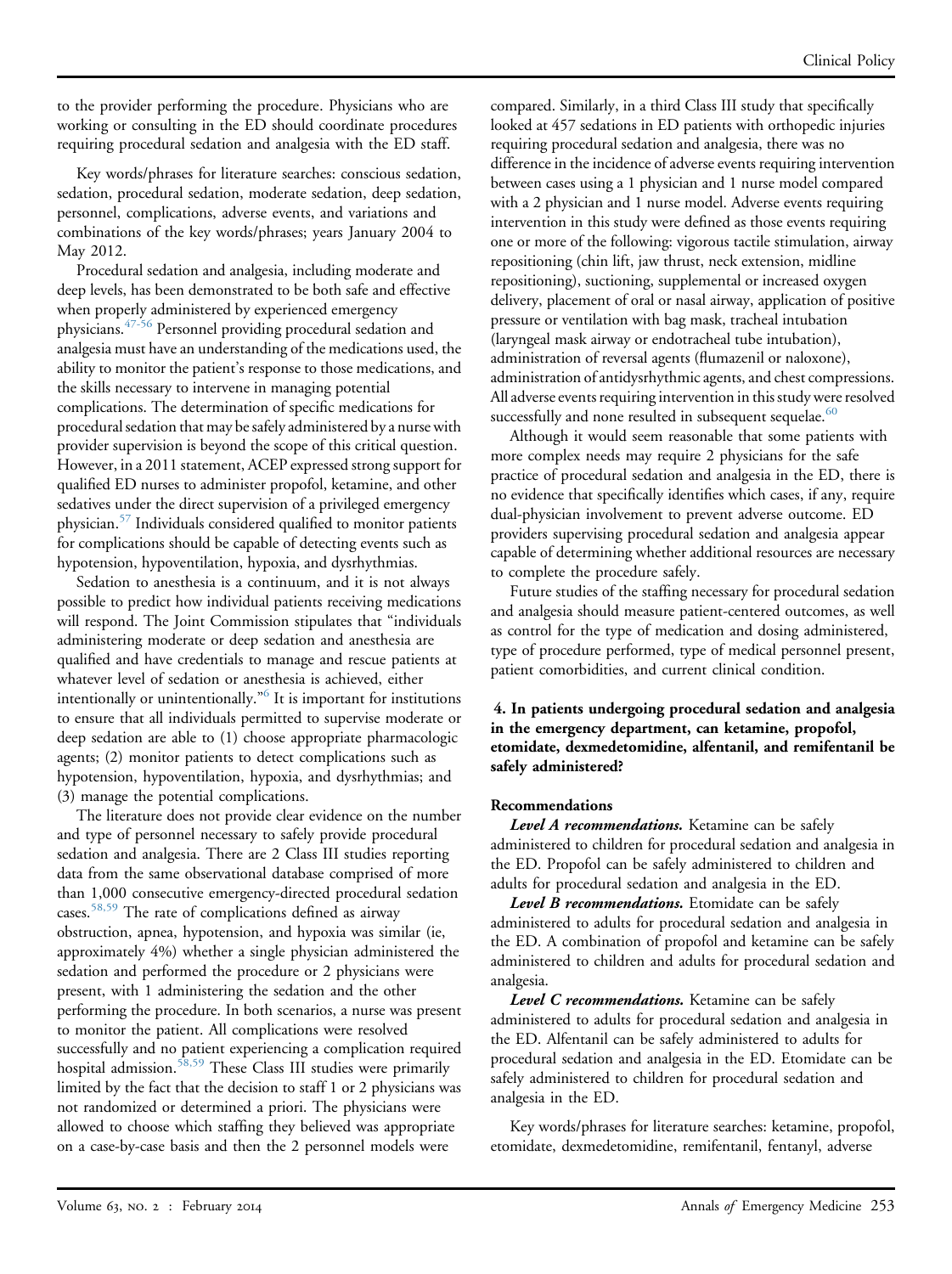to the provider performing the procedure. Physicians who are working or consulting in the ED should coordinate procedures requiring procedural sedation and analgesia with the ED staff.

Key words/phrases for literature searches: conscious sedation, sedation, procedural sedation, moderate sedation, deep sedation, personnel, complications, adverse events, and variations and combinations of the key words/phrases; years January 2004 to May 2012.

Procedural sedation and analgesia, including moderate and deep levels, has been demonstrated to be both safe and effective when properly administered by experienced emergency physicians.[47-56](#page-9-22) Personnel providing procedural sedation and analgesia must have an understanding of the medications used, the ability to monitor the patient's response to those medications, and the skills necessary to intervene in managing potential complications. The determination of specific medications for procedural sedation that may be safely administered by a nurse with provider supervision is beyond the scope of this critical question. However, in a 2011 statement, ACEP expressed strong support for qualified ED nurses to administer propofol, ketamine, and other sedatives under the direct supervision of a privileged emergency physician.<sup>[57](#page-10-0)</sup> Individuals considered qualified to monitor patients for complications should be capable of detecting events such as hypotension, hypoventilation, hypoxia, and dysrhythmias.

Sedation to anesthesia is a continuum, and it is not always possible to predict how individual patients receiving medications will respond. The Joint Commission stipulates that "individuals administering moderate or deep sedation and anesthesia are qualified and have credentials to manage and rescue patients at whatever level of sedation or anesthesia is achieved, either intentionally or unintentionally." [6](#page-8-6) It is important for institutions to ensure that all individuals permitted to supervise moderate or deep sedation are able to (1) choose appropriate pharmacologic agents; (2) monitor patients to detect complications such as hypotension, hypoventilation, hypoxia, and dysrhythmias; and (3) manage the potential complications.

The literature does not provide clear evidence on the number and type of personnel necessary to safely provide procedural sedation and analgesia. There are 2 Class III studies reporting data from the same observational database comprised of more than 1,000 consecutive emergency-directed procedural sedation cases.<sup>[58,59](#page-10-1)</sup> The rate of complications defined as airway obstruction, apnea, hypotension, and hypoxia was similar (ie, approximately 4%) whether a single physician administered the sedation and performed the procedure or 2 physicians were present, with 1 administering the sedation and the other performing the procedure. In both scenarios, a nurse was present to monitor the patient. All complications were resolved successfully and no patient experiencing a complication required hospital admission.<sup>[58,59](#page-10-1)</sup> These Class III studies were primarily limited by the fact that the decision to staff 1 or 2 physicians was not randomized or determined a priori. The physicians were allowed to choose which staffing they believed was appropriate on a case-by-case basis and then the 2 personnel models were

compared. Similarly, in a third Class III study that specifically looked at 457 sedations in ED patients with orthopedic injuries requiring procedural sedation and analgesia, there was no difference in the incidence of adverse events requiring intervention between cases using a 1 physician and 1 nurse model compared with a 2 physician and 1 nurse model. Adverse events requiring intervention in this study were defined as those events requiring one or more of the following: vigorous tactile stimulation, airway repositioning (chin lift, jaw thrust, neck extension, midline repositioning), suctioning, supplemental or increased oxygen delivery, placement of oral or nasal airway, application of positive pressure or ventilation with bag mask, tracheal intubation (laryngeal mask airway or endotracheal tube intubation), administration of reversal agents (flumazenil or naloxone), administration of antidysrhythmic agents, and chest compressions. All adverse events requiring intervention in this study were resolved successfully and none resulted in subsequent sequelae.<sup>[60](#page-10-2)</sup>

Although it would seem reasonable that some patients with more complex needs may require 2 physicians for the safe practice of procedural sedation and analgesia in the ED, there is no evidence that specifically identifies which cases, if any, require dual-physician involvement to prevent adverse outcome. ED providers supervising procedural sedation and analgesia appear capable of determining whether additional resources are necessary to complete the procedure safely.

Future studies of the staffing necessary for procedural sedation and analgesia should measure patient-centered outcomes, as well as control for the type of medication and dosing administered, type of procedure performed, type of medical personnel present, patient comorbidities, and current clinical condition.

4. In patients undergoing procedural sedation and analgesia in the emergency department, can ketamine, propofol, etomidate, dexmedetomidine, alfentanil, and remifentanil be safely administered?

### Recommendations

Level A recommendations. Ketamine can be safely administered to children for procedural sedation and analgesia in the ED. Propofol can be safely administered to children and adults for procedural sedation and analgesia in the ED.

Level B recommendations. Etomidate can be safely administered to adults for procedural sedation and analgesia in the ED. A combination of propofol and ketamine can be safely administered to children and adults for procedural sedation and analgesia.

Level C recommendations. Ketamine can be safely administered to adults for procedural sedation and analgesia in the ED. Alfentanil can be safely administered to adults for procedural sedation and analgesia in the ED. Etomidate can be safely administered to children for procedural sedation and analgesia in the ED.

Key words/phrases for literature searches: ketamine, propofol, etomidate, dexmedetomidine, remifentanil, fentanyl, adverse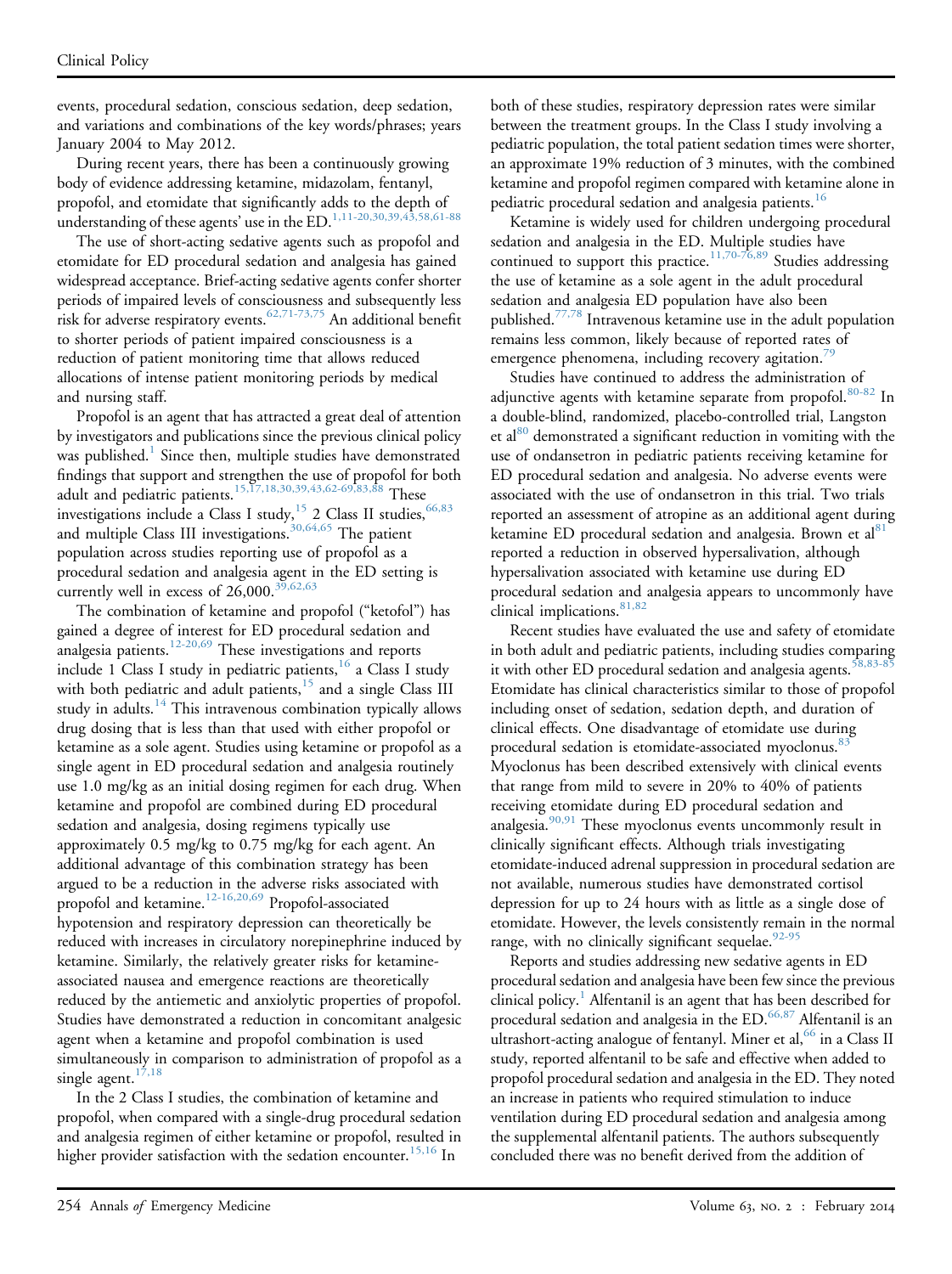events, procedural sedation, conscious sedation, deep sedation, and variations and combinations of the key words/phrases; years January 2004 to May 2012.

During recent years, there has been a continuously growing body of evidence addressing ketamine, midazolam, fentanyl, propofol, and etomidate that significantly adds to the depth of understanding of these agents' use in the ED.<sup>[1,11-20,30,39,43,58,61-88](#page-8-0)</sup>

The use of short-acting sedative agents such as propofol and etomidate for ED procedural sedation and analgesia has gained widespread acceptance. Brief-acting sedative agents confer shorter periods of impaired levels of consciousness and subsequently less risk for adverse respiratory events. $62,71-73,75$  An additional benefit to shorter periods of patient impaired consciousness is a reduction of patient monitoring time that allows reduced allocations of intense patient monitoring periods by medical and nursing staff.

Propofol is an agent that has attracted a great deal of attention by investigators and publications since the previous clinical policy was published.<sup>[1](#page-8-0)</sup> Since then, multiple studies have demonstrated findings that support and strengthen the use of propofol for both adult and pediatric patients.<sup>[15,17,18,30,39,43,62-69,83,88](#page-8-7)</sup> These investigations include a Class I study,<sup>[15](#page-8-7)</sup> 2 Class II studies,<sup>[66,83](#page-10-4)</sup> and multiple Class III investigations.<sup>[30,64,65](#page-9-4)</sup> The patient population across studies reporting use of propofol as a procedural sedation and analgesia agent in the ED setting is currently well in excess of  $26,000$ .<sup>[39,62,63](#page-9-10)</sup>

The combination of ketamine and propofol ("ketofol") has gained a degree of interest for ED procedural sedation and analgesia patients.<sup>[12-20,69](#page-8-8)</sup> These investigations and reports include 1 Class I study in pediatric patients,  $^{16}$  $^{16}$  $^{16}$  a Class I study with both pediatric and adult patients,  $15$  and a single Class III study in adults.<sup>[14](#page-8-10)</sup> This intravenous combination typically allows drug dosing that is less than that used with either propofol or ketamine as a sole agent. Studies using ketamine or propofol as a single agent in ED procedural sedation and analgesia routinely use 1.0 mg/kg as an initial dosing regimen for each drug. When ketamine and propofol are combined during ED procedural sedation and analgesia, dosing regimens typically use approximately 0.5 mg/kg to 0.75 mg/kg for each agent. An additional advantage of this combination strategy has been argued to be a reduction in the adverse risks associated with propofol and ketamine.[12-16,20,69](#page-8-8) Propofol-associated hypotension and respiratory depression can theoretically be reduced with increases in circulatory norepinephrine induced by ketamine. Similarly, the relatively greater risks for ketamineassociated nausea and emergence reactions are theoretically reduced by the antiemetic and anxiolytic properties of propofol. Studies have demonstrated a reduction in concomitant analgesic agent when a ketamine and propofol combination is used simultaneously in comparison to administration of propofol as a single agent. $17,18$ 

In the 2 Class I studies, the combination of ketamine and propofol, when compared with a single-drug procedural sedation and analgesia regimen of either ketamine or propofol, resulted in higher provider satisfaction with the sedation encounter.<sup>[15,16](#page-8-7)</sup> In

both of these studies, respiratory depression rates were similar between the treatment groups. In the Class I study involving a pediatric population, the total patient sedation times were shorter, an approximate 19% reduction of 3 minutes, with the combined ketamine and propofol regimen compared with ketamine alone in pediatric procedural sedation and analgesia patients.<sup>[16](#page-8-9)</sup>

Ketamine is widely used for children undergoing procedural sedation and analgesia in the ED. Multiple studies have continued to support this practice.<sup>[11,70-76,89](#page-8-4)</sup> Studies addressing the use of ketamine as a sole agent in the adult procedural sedation and analgesia ED population have also been published.[77,78](#page-10-5) Intravenous ketamine use in the adult population remains less common, likely because of reported rates of emergence phenomena, including recovery agitation.<sup>[79](#page-10-6)</sup>

Studies have continued to address the administration of adjunctive agents with ketamine separate from propofol.<sup>[80-82](#page-10-7)</sup> In a double-blind, randomized, placebo-controlled trial, Langston et al<sup>[80](#page-10-7)</sup> demonstrated a significant reduction in vomiting with the use of ondansetron in pediatric patients receiving ketamine for ED procedural sedation and analgesia. No adverse events were associated with the use of ondansetron in this trial. Two trials reported an assessment of atropine as an additional agent during ketamine ED procedural sedation and analgesia. Brown et  $a^{81}$  $a^{81}$  $a^{81}$ reported a reduction in observed hypersalivation, although hypersalivation associated with ketamine use during ED procedural sedation and analgesia appears to uncommonly have clinical implications.  $81,82$ 

Recent studies have evaluated the use and safety of etomidate in both adult and pediatric patients, including studies comparing it with other ED procedural sedation and analgesia agents.<sup>58,83-8</sup> Etomidate has clinical characteristics similar to those of propofol including onset of sedation, sedation depth, and duration of clinical effects. One disadvantage of etomidate use during procedural sedation is etomidate-associated myoclonus.<sup>8</sup> Myoclonus has been described extensively with clinical events that range from mild to severe in 20% to 40% of patients receiving etomidate during ED procedural sedation and analgesia. $90,91$  These myoclonus events uncommonly result in clinically significant effects. Although trials investigating etomidate-induced adrenal suppression in procedural sedation are not available, numerous studies have demonstrated cortisol depression for up to 24 hours with as little as a single dose of etomidate. However, the levels consistently remain in the normal range, with no clinically significant sequelae.<sup>[92-95](#page-10-11)</sup>

Reports and studies addressing new sedative agents in ED procedural sedation and analgesia have been few since the previous clinical policy.<sup>[1](#page-8-0)</sup> Alfentanil is an agent that has been described for procedural sedation and analgesia in the  $ED.^{66,87}$  $ED.^{66,87}$  $ED.^{66,87}$  Alfentanil is an ultrashort-acting analogue of fentanyl. Miner et al,  $^{66}$  $^{66}$  $^{66}$  in a Class II study, reported alfentanil to be safe and effective when added to propofol procedural sedation and analgesia in the ED. They noted an increase in patients who required stimulation to induce ventilation during ED procedural sedation and analgesia among the supplemental alfentanil patients. The authors subsequently concluded there was no benefit derived from the addition of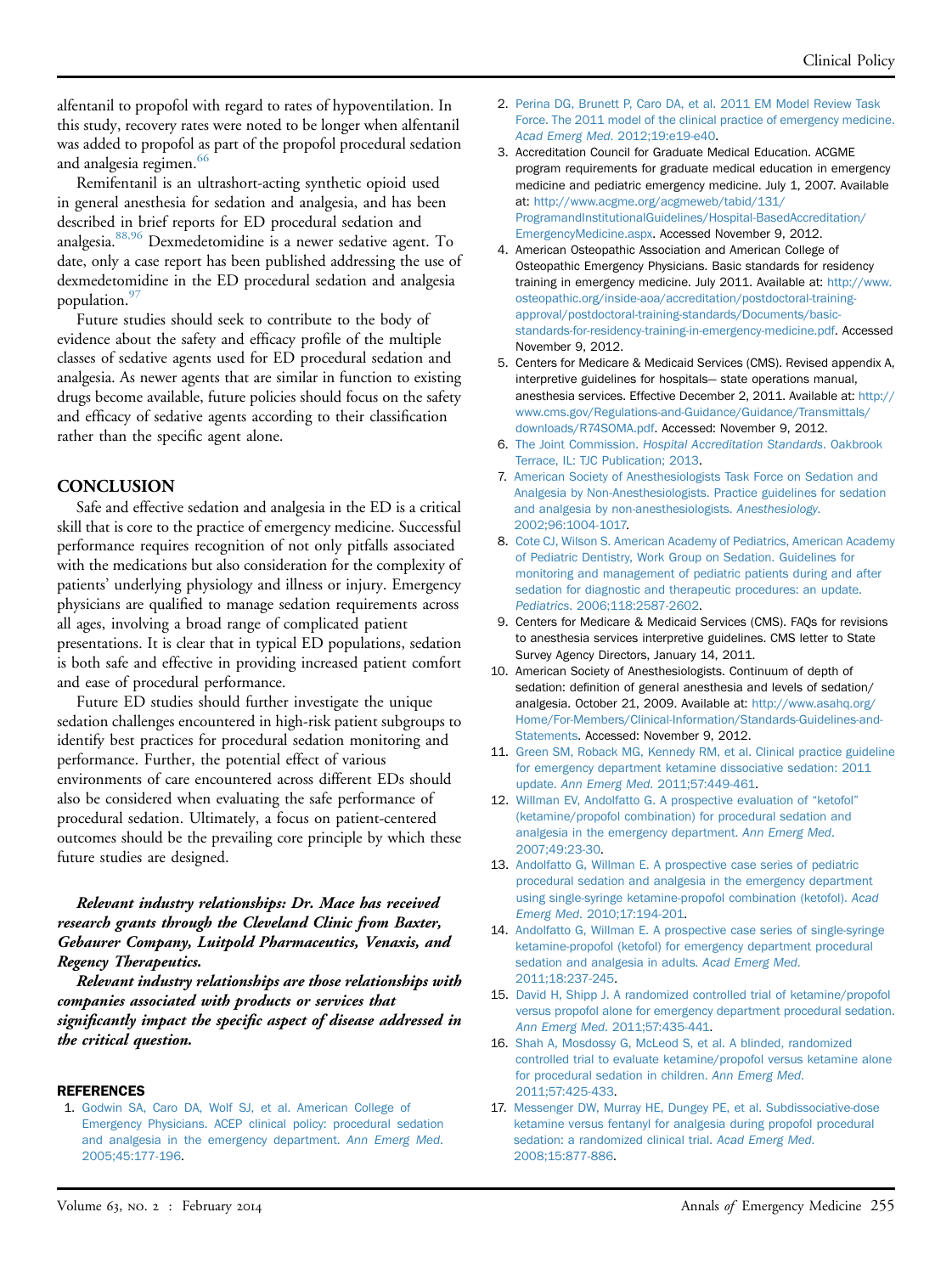alfentanil to propofol with regard to rates of hypoventilation. In this study, recovery rates were noted to be longer when alfentanil was added to propofol as part of the propofol procedural sedation and analgesia regimen.<sup>66</sup>

Remifentanil is an ultrashort-acting synthetic opioid used in general anesthesia for sedation and analgesia, and has been described in brief reports for ED procedural sedation and analgesia.<sup>[88,96](#page-10-12)</sup> Dexmedetomidine is a newer sedative agent. To date, only a case report has been published addressing the use of dexmedetomidine in the ED procedural sedation and analgesia population.<sup>97</sup>

Future studies should seek to contribute to the body of evidence about the safety and efficacy profile of the multiple classes of sedative agents used for ED procedural sedation and analgesia. As newer agents that are similar in function to existing drugs become available, future policies should focus on the safety and efficacy of sedative agents according to their classification rather than the specific agent alone.

#### **CONCLUSION**

Safe and effective sedation and analgesia in the ED is a critical skill that is core to the practice of emergency medicine. Successful performance requires recognition of not only pitfalls associated with the medications but also consideration for the complexity of patients' underlying physiology and illness or injury. Emergency physicians are qualified to manage sedation requirements across all ages, involving a broad range of complicated patient presentations. It is clear that in typical ED populations, sedation is both safe and effective in providing increased patient comfort and ease of procedural performance.

Future ED studies should further investigate the unique sedation challenges encountered in high-risk patient subgroups to identify best practices for procedural sedation monitoring and performance. Further, the potential effect of various environments of care encountered across different EDs should also be considered when evaluating the safe performance of procedural sedation. Ultimately, a focus on patient-centered outcomes should be the prevailing core principle by which these future studies are designed.

Relevant industry relationships: Dr. Mace has received research grants through the Cleveland Clinic from Baxter, Gebaurer Company, Luitpold Pharmaceutics, Venaxis, and Regency Therapeutics.

Relevant industry relationships are those relationships with companies associated with products or services that significantly impact the specific aspect of disease addressed in the critical question.

#### <span id="page-8-0"></span>**REFERENCES**

1. [Godwin SA, Caro DA, Wolf SJ, et al. American College of](http://refhub.elsevier.com/S0196-0644(13)01489-3/sref1) [Emergency Physicians. ACEP clinical policy: procedural sedation](http://refhub.elsevier.com/S0196-0644(13)01489-3/sref1) [and analgesia in the emergency department.](http://refhub.elsevier.com/S0196-0644(13)01489-3/sref1) Ann Emerg Med. [2005;45:177-196](http://refhub.elsevier.com/S0196-0644(13)01489-3/sref1).

- <span id="page-8-1"></span>2. [Perina DG, Brunett P, Caro DA, et al. 2011 EM Model Review Task](http://refhub.elsevier.com/S0196-0644(13)01489-3/sref2) [Force. The 2011 model of the clinical practice of emergency medicine.](http://refhub.elsevier.com/S0196-0644(13)01489-3/sref2) Acad Emerg Med[. 2012;19:e19-e40.](http://refhub.elsevier.com/S0196-0644(13)01489-3/sref2)
- 3. Accreditation Council for Graduate Medical Education. ACGME program requirements for graduate medical education in emergency medicine and pediatric emergency medicine. July 1, 2007. Available at: [http://www.acgme.org/acgmeweb/tabid/131/](http://www.acgme.org/acgmeweb/tabid/131/ProgramandInstitutionalGuidelines/Hospital-BasedAccreditation/EmergencyMedicine.aspx) [ProgramandInstitutionalGuidelines/Hospital-BasedAccreditation/](http://www.acgme.org/acgmeweb/tabid/131/ProgramandInstitutionalGuidelines/Hospital-BasedAccreditation/EmergencyMedicine.aspx) [EmergencyMedicine.aspx](http://www.acgme.org/acgmeweb/tabid/131/ProgramandInstitutionalGuidelines/Hospital-BasedAccreditation/EmergencyMedicine.aspx). Accessed November 9, 2012.
- 4. American Osteopathic Association and American College of Osteopathic Emergency Physicians. Basic standards for residency training in emergency medicine. July 2011. Available at: [http://www.](http://www.osteopathic.org/inside-aoa/accreditation/postdoctoral-training-approval/postdoctoral-training-standards/Documents/basic-standards-for-residency-training-in-emergency-medicine.pdf) [osteopathic.org/inside-aoa/accreditation/postdoctoral-training](http://www.osteopathic.org/inside-aoa/accreditation/postdoctoral-training-approval/postdoctoral-training-standards/Documents/basic-standards-for-residency-training-in-emergency-medicine.pdf)[approval/postdoctoral-training-standards/Documents/basic](http://www.osteopathic.org/inside-aoa/accreditation/postdoctoral-training-approval/postdoctoral-training-standards/Documents/basic-standards-for-residency-training-in-emergency-medicine.pdf)[standards-for-residency-training-in-emergency-medicine.pdf](http://www.osteopathic.org/inside-aoa/accreditation/postdoctoral-training-approval/postdoctoral-training-standards/Documents/basic-standards-for-residency-training-in-emergency-medicine.pdf). Accessed November 9, 2012.
- <span id="page-8-2"></span>5. Centers for Medicare & Medicaid Services (CMS). Revised appendix A, interpretive guidelines for hospitals— state operations manual, anesthesia services. Effective December 2, 2011. Available at: [http://](http://www.cms.gov/Regulations-and-Guidance/Guidance/Transmittals/downloads/R74SOMA.pdf) [www.cms.gov/Regulations-and-Guidance/Guidance/Transmittals/](http://www.cms.gov/Regulations-and-Guidance/Guidance/Transmittals/downloads/R74SOMA.pdf) [downloads/R74SOMA.pdf](http://www.cms.gov/Regulations-and-Guidance/Guidance/Transmittals/downloads/R74SOMA.pdf). Accessed: November 9, 2012.
- <span id="page-8-6"></span>6. The Joint Commission. [Hospital Accreditation Standards](http://refhub.elsevier.com/S0196-0644(13)01489-3/sref3). Oakbrook [Terrace, IL: TJC Publication; 2013.](http://refhub.elsevier.com/S0196-0644(13)01489-3/sref3)
- <span id="page-8-5"></span>7. [American Society of Anesthesiologists Task Force on Sedation and](http://refhub.elsevier.com/S0196-0644(13)01489-3/sref4) [Analgesia by Non-Anesthesiologists. Practice guidelines for sedation](http://refhub.elsevier.com/S0196-0644(13)01489-3/sref4) [and analgesia by non-anesthesiologists.](http://refhub.elsevier.com/S0196-0644(13)01489-3/sref4) Anesthesiology. [2002;96:1004-1017.](http://refhub.elsevier.com/S0196-0644(13)01489-3/sref4)
- 8. [Cote CJ, Wilson S. American Academy of Pediatrics, American Academy](http://refhub.elsevier.com/S0196-0644(13)01489-3/sref5) [of Pediatric Dentistry, Work Group on Sedation. Guidelines for](http://refhub.elsevier.com/S0196-0644(13)01489-3/sref5) [monitoring and management of pediatric patients during and after](http://refhub.elsevier.com/S0196-0644(13)01489-3/sref5) [sedation for diagnostic and therapeutic procedures: an update.](http://refhub.elsevier.com/S0196-0644(13)01489-3/sref5) Pediatrics[. 2006;118:2587-2602.](http://refhub.elsevier.com/S0196-0644(13)01489-3/sref5)
- <span id="page-8-3"></span>9. Centers for Medicare & Medicaid Services (CMS). FAQs for revisions to anesthesia services interpretive guidelines. CMS letter to State Survey Agency Directors, January 14, 2011.
- 10. American Society of Anesthesiologists. Continuum of depth of sedation: definition of general anesthesia and levels of sedation/ analgesia. October 21, 2009. Available at: [http://www.asahq.org/](http://www.asahq.org/Home/For-Members/Clinical-Information/Standards-Guidelines-and-Statements) [Home/For-Members/Clinical-Information/Standards-Guidelines-and-](http://www.asahq.org/Home/For-Members/Clinical-Information/Standards-Guidelines-and-Statements)[Statements](http://www.asahq.org/Home/For-Members/Clinical-Information/Standards-Guidelines-and-Statements). Accessed: November 9, 2012.
- <span id="page-8-4"></span>11. [Green SM, Roback MG, Kennedy RM, et al. Clinical practice guideline](http://refhub.elsevier.com/S0196-0644(13)01489-3/sref6) [for emergency department ketamine dissociative sedation: 2011](http://refhub.elsevier.com/S0196-0644(13)01489-3/sref6) update. Ann Emerg Med[. 2011;57:449-461](http://refhub.elsevier.com/S0196-0644(13)01489-3/sref6).
- <span id="page-8-8"></span>12. [Willman EV, Andolfatto G. A prospective evaluation of](http://refhub.elsevier.com/S0196-0644(13)01489-3/sref7) "ketofol" [\(ketamine/propofol combination\) for procedural sedation and](http://refhub.elsevier.com/S0196-0644(13)01489-3/sref7) [analgesia in the emergency department.](http://refhub.elsevier.com/S0196-0644(13)01489-3/sref7) Ann Emerg Med. [2007;49:23-30](http://refhub.elsevier.com/S0196-0644(13)01489-3/sref7).
- 13. [Andolfatto G, Willman E. A prospective case series of pediatric](http://refhub.elsevier.com/S0196-0644(13)01489-3/sref8) [procedural sedation and analgesia in the emergency department](http://refhub.elsevier.com/S0196-0644(13)01489-3/sref8) [using single-syringe ketamine-propofol combination \(ketofol\).](http://refhub.elsevier.com/S0196-0644(13)01489-3/sref8) Acad Emerg Med[. 2010;17:194-201](http://refhub.elsevier.com/S0196-0644(13)01489-3/sref8).
- <span id="page-8-10"></span>14. [Andolfatto G, Willman E. A prospective case series of single-syringe](http://refhub.elsevier.com/S0196-0644(13)01489-3/sref9) [ketamine-propofol \(ketofol\) for emergency department procedural](http://refhub.elsevier.com/S0196-0644(13)01489-3/sref9) [sedation and analgesia in adults.](http://refhub.elsevier.com/S0196-0644(13)01489-3/sref9) Acad Emerg Med. [2011;18:237-245.](http://refhub.elsevier.com/S0196-0644(13)01489-3/sref9)
- <span id="page-8-7"></span>15. [David H, Shipp J. A randomized controlled trial of ketamine/propofol](http://refhub.elsevier.com/S0196-0644(13)01489-3/sref10) [versus propofol alone for emergency department procedural sedation.](http://refhub.elsevier.com/S0196-0644(13)01489-3/sref10) Ann Emerg Med[. 2011;57:435-441](http://refhub.elsevier.com/S0196-0644(13)01489-3/sref10).
- <span id="page-8-9"></span>16. [Shah A, Mosdossy G, McLeod S, et al. A blinded, randomized](http://refhub.elsevier.com/S0196-0644(13)01489-3/sref11) [controlled trial to evaluate ketamine/propofol versus ketamine alone](http://refhub.elsevier.com/S0196-0644(13)01489-3/sref11) [for procedural sedation in children.](http://refhub.elsevier.com/S0196-0644(13)01489-3/sref11) Ann Emerg Med. [2011;57:425-433](http://refhub.elsevier.com/S0196-0644(13)01489-3/sref11).
- <span id="page-8-11"></span>17. [Messenger DW, Murray HE, Dungey PE, et al. Subdissociative-dose](http://refhub.elsevier.com/S0196-0644(13)01489-3/sref12) [ketamine versus fentanyl for analgesia during propofol procedural](http://refhub.elsevier.com/S0196-0644(13)01489-3/sref12) [sedation: a randomized clinical trial.](http://refhub.elsevier.com/S0196-0644(13)01489-3/sref12) Acad Emerg Med. [2008;15:877-886](http://refhub.elsevier.com/S0196-0644(13)01489-3/sref12).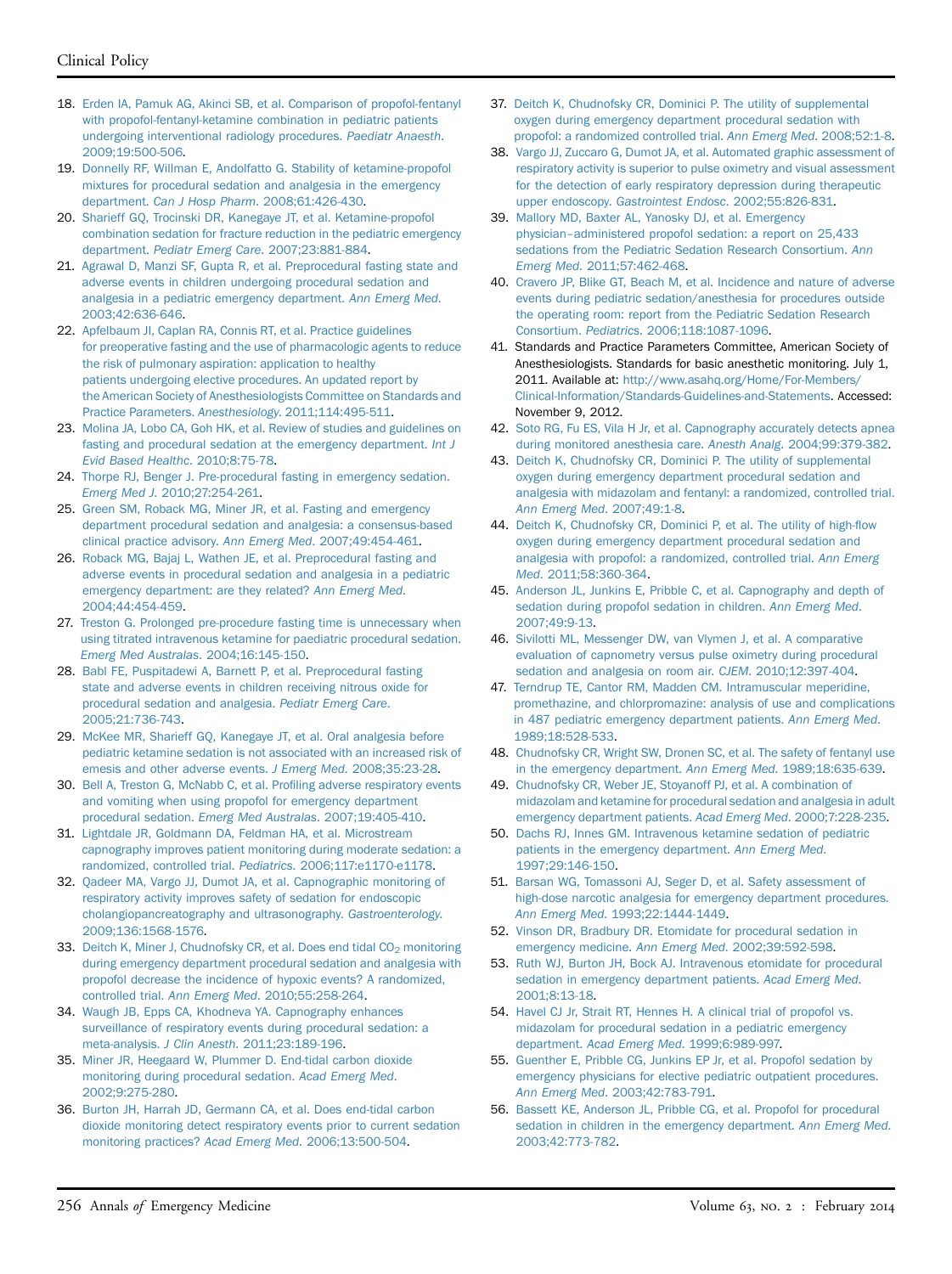- 18. [Erden IA, Pamuk AG, Akinci SB, et al. Comparison of propofol-fentanyl](http://refhub.elsevier.com/S0196-0644(13)01489-3/sref13) [with propofol-fentanyl-ketamine combination in pediatric patients](http://refhub.elsevier.com/S0196-0644(13)01489-3/sref13) [undergoing interventional radiology procedures.](http://refhub.elsevier.com/S0196-0644(13)01489-3/sref13) Paediatr Anaesth. [2009;19:500-506](http://refhub.elsevier.com/S0196-0644(13)01489-3/sref13).
- 19. [Donnelly RF, Willman E, Andolfatto G. Stability of ketamine-propofol](http://refhub.elsevier.com/S0196-0644(13)01489-3/sref14) [mixtures for procedural sedation and analgesia in the emergency](http://refhub.elsevier.com/S0196-0644(13)01489-3/sref14) department. Can J Hosp Pharm[. 2008;61:426-430](http://refhub.elsevier.com/S0196-0644(13)01489-3/sref14).
- 20. [Sharieff GQ, Trocinski DR, Kanegaye JT, et al. Ketamine-propofol](http://refhub.elsevier.com/S0196-0644(13)01489-3/sref15) [combination sedation for fracture reduction in the pediatric emergency](http://refhub.elsevier.com/S0196-0644(13)01489-3/sref15) department. [Pediatr Emerg Care](http://refhub.elsevier.com/S0196-0644(13)01489-3/sref15). 2007;23:881-884.
- <span id="page-9-0"></span>21. [Agrawal D, Manzi SF, Gupta R, et al. Preprocedural fasting state and](http://refhub.elsevier.com/S0196-0644(13)01489-3/sref16) [adverse events in children undergoing procedural sedation and](http://refhub.elsevier.com/S0196-0644(13)01489-3/sref16) [analgesia in a pediatric emergency department.](http://refhub.elsevier.com/S0196-0644(13)01489-3/sref16) Ann Emerg Med. [2003;42:636-646](http://refhub.elsevier.com/S0196-0644(13)01489-3/sref16).
- <span id="page-9-1"></span>22. [Apfelbaum JI, Caplan RA, Connis RT, et al. Practice guidelines](http://refhub.elsevier.com/S0196-0644(13)01489-3/sref17) [for preoperative fasting and the use of pharmacologic agents to reduce](http://refhub.elsevier.com/S0196-0644(13)01489-3/sref17) [the risk of pulmonary aspiration: application to healthy](http://refhub.elsevier.com/S0196-0644(13)01489-3/sref17) [patients undergoing elective procedures. An updated report by](http://refhub.elsevier.com/S0196-0644(13)01489-3/sref17) [the American Society of Anesthesiologists Committee on Standards and](http://refhub.elsevier.com/S0196-0644(13)01489-3/sref17) Practice Parameters. Anesthesiology[. 2011;114:495-511](http://refhub.elsevier.com/S0196-0644(13)01489-3/sref17).
- <span id="page-9-2"></span>23. [Molina JA, Lobo CA, Goh HK, et al. Review of studies and guidelines on](http://refhub.elsevier.com/S0196-0644(13)01489-3/sref18) [fasting and procedural sedation at the emergency department.](http://refhub.elsevier.com/S0196-0644(13)01489-3/sref18) Int J [Evid Based Healthc](http://refhub.elsevier.com/S0196-0644(13)01489-3/sref18). 2010;8:75-78.
- 24. [Thorpe RJ, Benger J. Pre-procedural fasting in emergency sedation.](http://refhub.elsevier.com/S0196-0644(13)01489-3/sref19) Emerg Med J[. 2010;27:254-261](http://refhub.elsevier.com/S0196-0644(13)01489-3/sref19).
- 25. [Green SM, Roback MG, Miner JR, et al. Fasting and emergency](http://refhub.elsevier.com/S0196-0644(13)01489-3/sref20) [department procedural sedation and analgesia: a consensus-based](http://refhub.elsevier.com/S0196-0644(13)01489-3/sref20) [clinical practice advisory.](http://refhub.elsevier.com/S0196-0644(13)01489-3/sref20) Ann Emerg Med. 2007;49:454-461.
- <span id="page-9-3"></span>26. [Roback MG, Bajaj L, Wathen JE, et al. Preprocedural fasting and](http://refhub.elsevier.com/S0196-0644(13)01489-3/sref21) [adverse events in procedural sedation and analgesia in a pediatric](http://refhub.elsevier.com/S0196-0644(13)01489-3/sref21) [emergency department: are they related?](http://refhub.elsevier.com/S0196-0644(13)01489-3/sref21) Ann Emerg Med. [2004;44:454-459](http://refhub.elsevier.com/S0196-0644(13)01489-3/sref21).
- <span id="page-9-5"></span>27. [Treston G. Prolonged pre-procedure fasting time is unnecessary when](http://refhub.elsevier.com/S0196-0644(13)01489-3/sref22) [using titrated intravenous ketamine for paediatric procedural sedation.](http://refhub.elsevier.com/S0196-0644(13)01489-3/sref22) [Emerg Med Australas](http://refhub.elsevier.com/S0196-0644(13)01489-3/sref22). 2004;16:145-150.
- <span id="page-9-6"></span>28. [Babl FE, Puspitadewi A, Barnett P, et al. Preprocedural fasting](http://refhub.elsevier.com/S0196-0644(13)01489-3/sref23) [state and adverse events in children receiving nitrous oxide for](http://refhub.elsevier.com/S0196-0644(13)01489-3/sref23) [procedural sedation and analgesia.](http://refhub.elsevier.com/S0196-0644(13)01489-3/sref23) Pediatr Emerg Care. [2005;21:736-743](http://refhub.elsevier.com/S0196-0644(13)01489-3/sref23).
- <span id="page-9-7"></span>29. [McKee MR, Sharieff GQ, Kanegaye JT, et al. Oral analgesia before](http://refhub.elsevier.com/S0196-0644(13)01489-3/sref24) [pediatric ketamine sedation is not associated with an increased risk of](http://refhub.elsevier.com/S0196-0644(13)01489-3/sref24) [emesis and other adverse events.](http://refhub.elsevier.com/S0196-0644(13)01489-3/sref24) J Emerg Med. 2008;35:23-28.
- <span id="page-9-4"></span>30. [Bell A, Treston G, McNabb C, et al. Pro](http://refhub.elsevier.com/S0196-0644(13)01489-3/sref25)filing adverse respiratory events [and vomiting when using propofol for emergency department](http://refhub.elsevier.com/S0196-0644(13)01489-3/sref25) procedural sedation. [Emerg Med Australas](http://refhub.elsevier.com/S0196-0644(13)01489-3/sref25). 2007;19:405-410.
- <span id="page-9-8"></span>31. [Lightdale JR, Goldmann DA, Feldman HA, et al. Microstream](http://refhub.elsevier.com/S0196-0644(13)01489-3/sref26) [capnography improves patient monitoring during moderate sedation: a](http://refhub.elsevier.com/S0196-0644(13)01489-3/sref26) [randomized, controlled trial.](http://refhub.elsevier.com/S0196-0644(13)01489-3/sref26) Pediatrics. 2006;117:e1170-e1178.
- <span id="page-9-19"></span>32. [Qadeer MA, Vargo JJ, Dumot JA, et al. Capnographic monitoring of](http://refhub.elsevier.com/S0196-0644(13)01489-3/sref27) [respiratory activity improves safety of sedation for endoscopic](http://refhub.elsevier.com/S0196-0644(13)01489-3/sref27) [cholangiopancreatography and ultrasonography.](http://refhub.elsevier.com/S0196-0644(13)01489-3/sref27) Gastroenterology. [2009;136:1568-1576](http://refhub.elsevier.com/S0196-0644(13)01489-3/sref27).
- <span id="page-9-20"></span>33. Deitch K, Miner J, Chudnofsky CR, et al. Does end tidal  $CO<sub>2</sub>$  [monitoring](http://refhub.elsevier.com/S0196-0644(13)01489-3/sref28) [during emergency department procedural sedation and analgesia with](http://refhub.elsevier.com/S0196-0644(13)01489-3/sref28) [propofol decrease the incidence of hypoxic events? A randomized,](http://refhub.elsevier.com/S0196-0644(13)01489-3/sref28) controlled trial. Ann Emerg Med[. 2010;55:258-264.](http://refhub.elsevier.com/S0196-0644(13)01489-3/sref28)
- <span id="page-9-9"></span>34. [Waugh JB, Epps CA, Khodneva YA. Capnography enhances](http://refhub.elsevier.com/S0196-0644(13)01489-3/sref29) [surveillance of respiratory events during procedural sedation: a](http://refhub.elsevier.com/S0196-0644(13)01489-3/sref29) meta-analysis. J Clin Anesth[. 2011;23:189-196.](http://refhub.elsevier.com/S0196-0644(13)01489-3/sref29)
- <span id="page-9-11"></span>35. [Miner JR, Heegaard W, Plummer D. End-tidal carbon dioxide](http://refhub.elsevier.com/S0196-0644(13)01489-3/sref30) [monitoring during procedural sedation.](http://refhub.elsevier.com/S0196-0644(13)01489-3/sref30) Acad Emerg Med. [2002;9:275-280](http://refhub.elsevier.com/S0196-0644(13)01489-3/sref30).
- <span id="page-9-14"></span>36. [Burton JH, Harrah JD, Germann CA, et al. Does end-tidal carbon](http://refhub.elsevier.com/S0196-0644(13)01489-3/sref31) [dioxide monitoring detect respiratory events prior to current sedation](http://refhub.elsevier.com/S0196-0644(13)01489-3/sref31) [monitoring practices?](http://refhub.elsevier.com/S0196-0644(13)01489-3/sref31) Acad Emerg Med. 2006;13:500-504.
- <span id="page-9-15"></span>37. [Deitch K, Chudnofsky CR, Dominici P. The utility of supplemental](http://refhub.elsevier.com/S0196-0644(13)01489-3/sref32) [oxygen during emergency department procedural sedation with](http://refhub.elsevier.com/S0196-0644(13)01489-3/sref32) [propofol: a randomized controlled trial.](http://refhub.elsevier.com/S0196-0644(13)01489-3/sref32) Ann Emerg Med. 2008;52:1-8.
- <span id="page-9-12"></span>38. [Vargo JJ, Zuccaro G, Dumot JA, et al. Automated graphic assessment of](http://refhub.elsevier.com/S0196-0644(13)01489-3/sref33) [respiratory activity is superior to pulse oximetry and visual assessment](http://refhub.elsevier.com/S0196-0644(13)01489-3/sref33) [for the detection of early respiratory depression during therapeutic](http://refhub.elsevier.com/S0196-0644(13)01489-3/sref33) upper endoscopy. [Gastrointest Endosc](http://refhub.elsevier.com/S0196-0644(13)01489-3/sref33). 2002;55:826-831.
- <span id="page-9-10"></span>39. [Mallory MD, Baxter AL, Yanosky DJ, et al. Emergency](http://refhub.elsevier.com/S0196-0644(13)01489-3/sref34) [physician](http://refhub.elsevier.com/S0196-0644(13)01489-3/sref34)–[administered propofol sedation: a report on 25,433](http://refhub.elsevier.com/S0196-0644(13)01489-3/sref34) [sedations from the Pediatric Sedation Research Consortium.](http://refhub.elsevier.com/S0196-0644(13)01489-3/sref34) Ann Emerg Med[. 2011;57:462-468](http://refhub.elsevier.com/S0196-0644(13)01489-3/sref34).
- 40. [Cravero JP, Blike GT, Beach M, et al. Incidence and nature of adverse](http://refhub.elsevier.com/S0196-0644(13)01489-3/sref35) [events during pediatric sedation/anesthesia for procedures outside](http://refhub.elsevier.com/S0196-0644(13)01489-3/sref35) [the operating room: report from the Pediatric Sedation Research](http://refhub.elsevier.com/S0196-0644(13)01489-3/sref35) Consortium. Pediatrics[. 2006;118:1087-1096](http://refhub.elsevier.com/S0196-0644(13)01489-3/sref35).
- 41. Standards and Practice Parameters Committee, American Society of Anesthesiologists. Standards for basic anesthetic monitoring. July 1, 2011. Available at: [http://www.asahq.org/Home/For-Members/](http://www.asahq.org/Home/For-Members/Clinical-Information/Standards-Guidelines-and-Statements) [Clinical-Information/Standards-Guidelines-and-Statements](http://www.asahq.org/Home/For-Members/Clinical-Information/Standards-Guidelines-and-Statements). Accessed: November 9, 2012.
- <span id="page-9-13"></span>42. [Soto RG, Fu ES, Vila H Jr, et al. Capnography accurately detects apnea](http://refhub.elsevier.com/S0196-0644(13)01489-3/sref36) [during monitored anesthesia care.](http://refhub.elsevier.com/S0196-0644(13)01489-3/sref36) Anesth Analg. 2004;99:379-382.
- <span id="page-9-16"></span>43. [Deitch K, Chudnofsky CR, Dominici P. The utility of supplemental](http://refhub.elsevier.com/S0196-0644(13)01489-3/sref37) [oxygen during emergency department procedural sedation and](http://refhub.elsevier.com/S0196-0644(13)01489-3/sref37) [analgesia with midazolam and fentanyl: a randomized, controlled trial.](http://refhub.elsevier.com/S0196-0644(13)01489-3/sref37) [Ann Emerg Med](http://refhub.elsevier.com/S0196-0644(13)01489-3/sref37). 2007;49:1-8.
- <span id="page-9-17"></span>44. [Deitch K, Chudnofsky CR, Dominici P, et al. The utility of high-](http://refhub.elsevier.com/S0196-0644(13)01489-3/sref38)flow [oxygen during emergency department procedural sedation and](http://refhub.elsevier.com/S0196-0644(13)01489-3/sref38) [analgesia with propofol: a randomized, controlled trial.](http://refhub.elsevier.com/S0196-0644(13)01489-3/sref38) Ann Emerg Med[. 2011;58:360-364.](http://refhub.elsevier.com/S0196-0644(13)01489-3/sref38)
- <span id="page-9-18"></span>45. [Anderson JL, Junkins E, Pribble C, et al. Capnography and depth of](http://refhub.elsevier.com/S0196-0644(13)01489-3/sref39) [sedation during propofol sedation in children.](http://refhub.elsevier.com/S0196-0644(13)01489-3/sref39) Ann Emerg Med. [2007;49:9-13](http://refhub.elsevier.com/S0196-0644(13)01489-3/sref39).
- <span id="page-9-21"></span>46. [Sivilotti ML, Messenger DW, van Vlymen J, et al. A comparative](http://refhub.elsevier.com/S0196-0644(13)01489-3/sref40) [evaluation of capnometry versus pulse oximetry during procedural](http://refhub.elsevier.com/S0196-0644(13)01489-3/sref40) [sedation and analgesia on room air.](http://refhub.elsevier.com/S0196-0644(13)01489-3/sref40) CJEM. 2010;12:397-404.
- <span id="page-9-22"></span>47. [Terndrup TE, Cantor RM, Madden CM. Intramuscular meperidine,](http://refhub.elsevier.com/S0196-0644(13)01489-3/sref41) [promethazine, and chlorpromazine: analysis of use and complications](http://refhub.elsevier.com/S0196-0644(13)01489-3/sref41) [in 487 pediatric emergency department patients.](http://refhub.elsevier.com/S0196-0644(13)01489-3/sref41) Ann Emerg Med. [1989;18:528-533](http://refhub.elsevier.com/S0196-0644(13)01489-3/sref41).
- 48. [Chudnofsky CR, Wright SW, Dronen SC, et al. The safety of fentanyl use](http://refhub.elsevier.com/S0196-0644(13)01489-3/sref42) [in the emergency department.](http://refhub.elsevier.com/S0196-0644(13)01489-3/sref42) Ann Emerg Med. 1989;18:635-639.
- 49. [Chudnofsky CR, Weber JE, Stoyanoff PJ, et al. A combination of](http://refhub.elsevier.com/S0196-0644(13)01489-3/sref43) [midazolam and ketamine for procedural sedation and analgesia in adult](http://refhub.elsevier.com/S0196-0644(13)01489-3/sref43) [emergency department patients.](http://refhub.elsevier.com/S0196-0644(13)01489-3/sref43) Acad Emerg Med. 2000;7:228-235.
- 50. [Dachs RJ, Innes GM. Intravenous ketamine sedation of pediatric](http://refhub.elsevier.com/S0196-0644(13)01489-3/sref44) [patients in the emergency department.](http://refhub.elsevier.com/S0196-0644(13)01489-3/sref44) Ann Emerg Med. [1997;29:146-150.](http://refhub.elsevier.com/S0196-0644(13)01489-3/sref44)
- 51. [Barsan WG, Tomassoni AJ, Seger D, et al. Safety assessment of](http://refhub.elsevier.com/S0196-0644(13)01489-3/sref45) [high-dose narcotic analgesia for emergency department procedures.](http://refhub.elsevier.com/S0196-0644(13)01489-3/sref45) Ann Emerg Med[. 1993;22:1444-1449](http://refhub.elsevier.com/S0196-0644(13)01489-3/sref45).
- 52. [Vinson DR, Bradbury DR. Etomidate for procedural sedation in](http://refhub.elsevier.com/S0196-0644(13)01489-3/sref46) [emergency medicine.](http://refhub.elsevier.com/S0196-0644(13)01489-3/sref46) Ann Emerg Med. 2002;39:592-598.
- 53. [Ruth WJ, Burton JH, Bock AJ. Intravenous etomidate for procedural](http://refhub.elsevier.com/S0196-0644(13)01489-3/sref47) [sedation in emergency department patients.](http://refhub.elsevier.com/S0196-0644(13)01489-3/sref47) Acad Emerg Med. [2001;8:13-18.](http://refhub.elsevier.com/S0196-0644(13)01489-3/sref47)
- 54. [Havel CJ Jr, Strait RT, Hennes H. A clinical trial of propofol vs.](http://refhub.elsevier.com/S0196-0644(13)01489-3/sref48) [midazolam for procedural sedation in a pediatric emergency](http://refhub.elsevier.com/S0196-0644(13)01489-3/sref48) department. Acad Emerg Med[. 1999;6:989-997.](http://refhub.elsevier.com/S0196-0644(13)01489-3/sref48)
- 55. [Guenther E, Pribble CG, Junkins EP Jr, et al. Propofol sedation by](http://refhub.elsevier.com/S0196-0644(13)01489-3/sref49) [emergency physicians for elective pediatric outpatient procedures.](http://refhub.elsevier.com/S0196-0644(13)01489-3/sref49) Ann Emerg Med[. 2003;42:783-791.](http://refhub.elsevier.com/S0196-0644(13)01489-3/sref49)
- 56. [Bassett KE, Anderson JL, Pribble CG, et al. Propofol for procedural](http://refhub.elsevier.com/S0196-0644(13)01489-3/sref50) [sedation in children in the emergency department.](http://refhub.elsevier.com/S0196-0644(13)01489-3/sref50) Ann Emerg Med. [2003;42:773-782.](http://refhub.elsevier.com/S0196-0644(13)01489-3/sref50)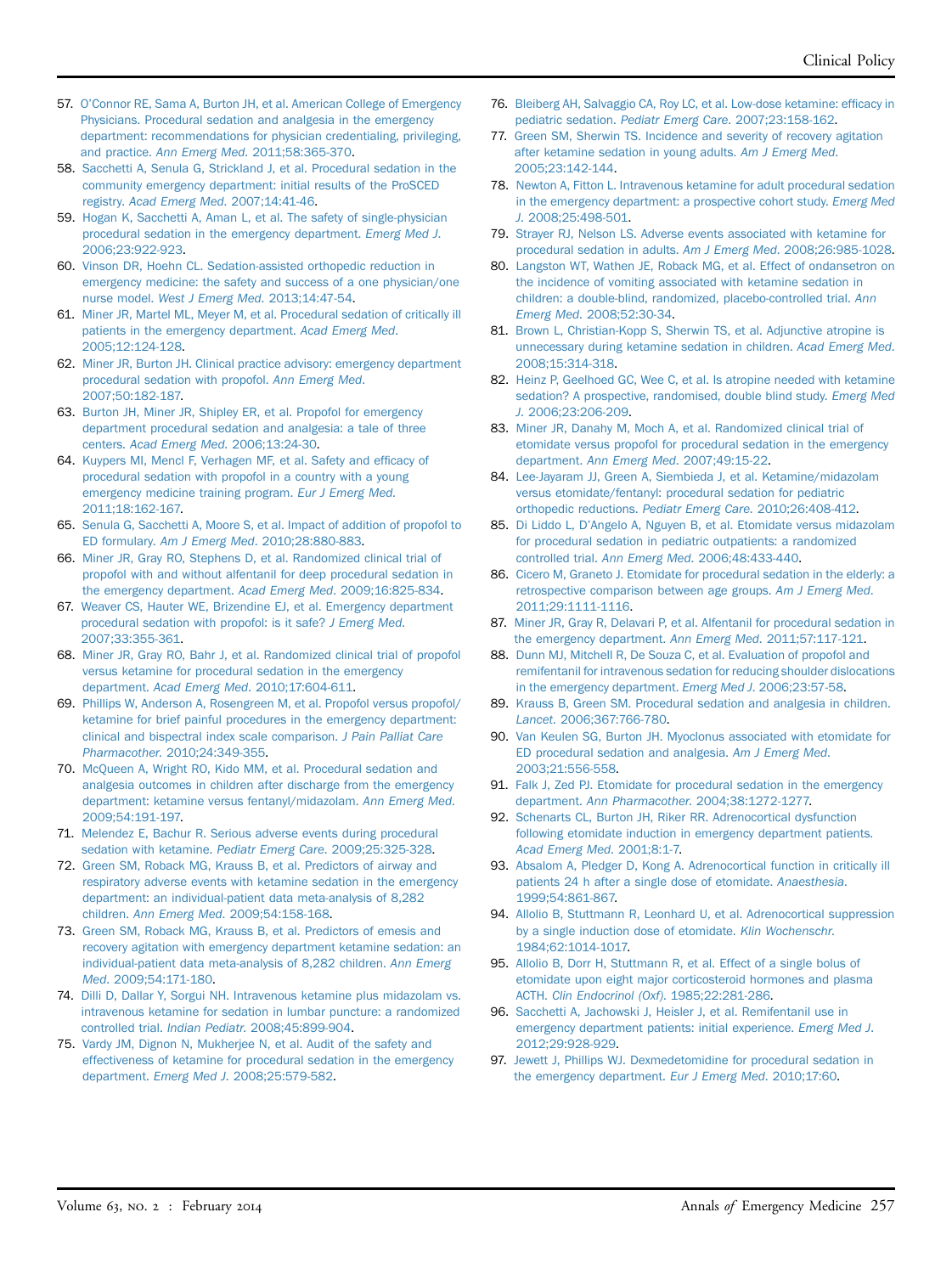- <span id="page-10-0"></span>57. O'[Connor RE, Sama A, Burton JH, et al. American College of Emergency](http://refhub.elsevier.com/S0196-0644(13)01489-3/sref51) [Physicians. Procedural sedation and analgesia in the emergency](http://refhub.elsevier.com/S0196-0644(13)01489-3/sref51) [department: recommendations for physician credentialing, privileging,](http://refhub.elsevier.com/S0196-0644(13)01489-3/sref51) and practice. Ann Emerg Med[. 2011;58:365-370](http://refhub.elsevier.com/S0196-0644(13)01489-3/sref51).
- <span id="page-10-1"></span>58. [Sacchetti A, Senula G, Strickland J, et al. Procedural sedation in the](http://refhub.elsevier.com/S0196-0644(13)01489-3/sref52) [community emergency department: initial results of the ProSCED](http://refhub.elsevier.com/S0196-0644(13)01489-3/sref52) registry. [Acad Emerg Med](http://refhub.elsevier.com/S0196-0644(13)01489-3/sref52). 2007;14:41-46.
- 59. [Hogan K, Sacchetti A, Aman L, et al. The safety of single-physician](http://refhub.elsevier.com/S0196-0644(13)01489-3/sref53) [procedural sedation in the emergency department.](http://refhub.elsevier.com/S0196-0644(13)01489-3/sref53) Emerg Med J. [2006;23:922-923](http://refhub.elsevier.com/S0196-0644(13)01489-3/sref53).
- <span id="page-10-2"></span>60. [Vinson DR, Hoehn CL. Sedation-assisted orthopedic reduction in](http://refhub.elsevier.com/S0196-0644(13)01489-3/sref54) [emergency medicine: the safety and success of a one physician/one](http://refhub.elsevier.com/S0196-0644(13)01489-3/sref54) nurse model. [West J Emerg Med](http://refhub.elsevier.com/S0196-0644(13)01489-3/sref54). 2013;14:47-54.
- 61. [Miner JR, Martel ML, Meyer M, et al. Procedural sedation of critically ill](http://refhub.elsevier.com/S0196-0644(13)01489-3/sref55) [patients in the emergency department.](http://refhub.elsevier.com/S0196-0644(13)01489-3/sref55) Acad Emerg Med. [2005;12:124-128.](http://refhub.elsevier.com/S0196-0644(13)01489-3/sref55)
- <span id="page-10-3"></span>62. [Miner JR, Burton JH. Clinical practice advisory: emergency department](http://refhub.elsevier.com/S0196-0644(13)01489-3/sref56) [procedural sedation with propofol.](http://refhub.elsevier.com/S0196-0644(13)01489-3/sref56) Ann Emerg Med. [2007;50:182-187.](http://refhub.elsevier.com/S0196-0644(13)01489-3/sref56)
- 63. [Burton JH, Miner JR, Shipley ER, et al. Propofol for emergency](http://refhub.elsevier.com/S0196-0644(13)01489-3/sref57) [department procedural sedation and analgesia: a tale of three](http://refhub.elsevier.com/S0196-0644(13)01489-3/sref57) centers. [Acad Emerg Med](http://refhub.elsevier.com/S0196-0644(13)01489-3/sref57). 2006;13:24-30.
- 64. [Kuypers MI, Mencl F, Verhagen MF, et al. Safety and ef](http://refhub.elsevier.com/S0196-0644(13)01489-3/sref58)ficacy of [procedural sedation with propofol in a country with a young](http://refhub.elsevier.com/S0196-0644(13)01489-3/sref58) [emergency medicine training program.](http://refhub.elsevier.com/S0196-0644(13)01489-3/sref58) Eur J Emerg Med. [2011;18:162-167.](http://refhub.elsevier.com/S0196-0644(13)01489-3/sref58)
- 65. [Senula G, Sacchetti A, Moore S, et al. Impact of addition of propofol to](http://refhub.elsevier.com/S0196-0644(13)01489-3/sref59) ED formulary. Am J Emerg Med[. 2010;28:880-883](http://refhub.elsevier.com/S0196-0644(13)01489-3/sref59).
- <span id="page-10-4"></span>66. [Miner JR, Gray RO, Stephens D, et al. Randomized clinical trial of](http://refhub.elsevier.com/S0196-0644(13)01489-3/sref60) [propofol with and without alfentanil for deep procedural sedation in](http://refhub.elsevier.com/S0196-0644(13)01489-3/sref60) [the emergency department.](http://refhub.elsevier.com/S0196-0644(13)01489-3/sref60) Acad Emerg Med. 2009;16:825-834.
- 67. [Weaver CS, Hauter WE, Brizendine EJ, et al. Emergency department](http://refhub.elsevier.com/S0196-0644(13)01489-3/sref61) [procedural sedation with propofol: is it safe?](http://refhub.elsevier.com/S0196-0644(13)01489-3/sref61) J Emerg Med. [2007;33:355-361.](http://refhub.elsevier.com/S0196-0644(13)01489-3/sref61)
- 68. [Miner JR, Gray RO, Bahr J, et al. Randomized clinical trial of propofol](http://refhub.elsevier.com/S0196-0644(13)01489-3/sref62) [versus ketamine for procedural sedation in the emergency](http://refhub.elsevier.com/S0196-0644(13)01489-3/sref62) department. Acad Emerg Med[. 2010;17:604-611.](http://refhub.elsevier.com/S0196-0644(13)01489-3/sref62)
- 69. [Phillips W, Anderson A, Rosengreen M, et al. Propofol versus propofol/](http://refhub.elsevier.com/S0196-0644(13)01489-3/sref63) [ketamine for brief painful procedures in the emergency department:](http://refhub.elsevier.com/S0196-0644(13)01489-3/sref63) [clinical and bispectral index scale comparison.](http://refhub.elsevier.com/S0196-0644(13)01489-3/sref63) J Pain Palliat Care Pharmacother[. 2010;24:349-355](http://refhub.elsevier.com/S0196-0644(13)01489-3/sref63).
- 70. [McQueen A, Wright RO, Kido MM, et al. Procedural sedation and](http://refhub.elsevier.com/S0196-0644(13)01489-3/sref64) [analgesia outcomes in children after discharge from the emergency](http://refhub.elsevier.com/S0196-0644(13)01489-3/sref64) [department: ketamine versus fentanyl/midazolam.](http://refhub.elsevier.com/S0196-0644(13)01489-3/sref64) Ann Emerg Med. [2009;54:191-197.](http://refhub.elsevier.com/S0196-0644(13)01489-3/sref64)
- 71. [Melendez E, Bachur R. Serious adverse events during procedural](http://refhub.elsevier.com/S0196-0644(13)01489-3/sref65) [sedation with ketamine.](http://refhub.elsevier.com/S0196-0644(13)01489-3/sref65) Pediatr Emerg Care. 2009;25:325-328.
- 72. [Green SM, Roback MG, Krauss B, et al. Predictors of airway and](http://refhub.elsevier.com/S0196-0644(13)01489-3/sref66) [respiratory adverse events with ketamine sedation in the emergency](http://refhub.elsevier.com/S0196-0644(13)01489-3/sref66) [department: an individual-patient data meta-analysis of 8,282](http://refhub.elsevier.com/S0196-0644(13)01489-3/sref66) children. Ann Emerg Med[. 2009;54:158-168](http://refhub.elsevier.com/S0196-0644(13)01489-3/sref66).
- 73. [Green SM, Roback MG, Krauss B, et al. Predictors of emesis and](http://refhub.elsevier.com/S0196-0644(13)01489-3/sref67) [recovery agitation with emergency department ketamine sedation: an](http://refhub.elsevier.com/S0196-0644(13)01489-3/sref67) [individual-patient data meta-analysis of 8,282 children.](http://refhub.elsevier.com/S0196-0644(13)01489-3/sref67) Ann Emerg Med[. 2009;54:171-180.](http://refhub.elsevier.com/S0196-0644(13)01489-3/sref67)
- 74. [Dilli D, Dallar Y, Sorgui NH. Intravenous ketamine plus midazolam vs.](http://refhub.elsevier.com/S0196-0644(13)01489-3/sref68) [intravenous ketamine for sedation in lumbar puncture: a randomized](http://refhub.elsevier.com/S0196-0644(13)01489-3/sref68) controlled trial. Indian Pediatr[. 2008;45:899-904.](http://refhub.elsevier.com/S0196-0644(13)01489-3/sref68)
- 75. [Vardy JM, Dignon N, Mukherjee N, et al. Audit of the safety and](http://refhub.elsevier.com/S0196-0644(13)01489-3/sref69) [effectiveness of ketamine for procedural sedation in the emergency](http://refhub.elsevier.com/S0196-0644(13)01489-3/sref69) department. Emerg Med J[. 2008;25:579-582.](http://refhub.elsevier.com/S0196-0644(13)01489-3/sref69)
- 76. [Bleiberg AH, Salvaggio CA, Roy LC, et al. Low-dose ketamine: ef](http://refhub.elsevier.com/S0196-0644(13)01489-3/sref70)ficacy in pediatric sedation. [Pediatr Emerg Care](http://refhub.elsevier.com/S0196-0644(13)01489-3/sref70). 2007;23:158-162.
- <span id="page-10-5"></span>77. [Green SM, Sherwin TS. Incidence and severity of recovery agitation](http://refhub.elsevier.com/S0196-0644(13)01489-3/sref71) [after ketamine sedation in young adults.](http://refhub.elsevier.com/S0196-0644(13)01489-3/sref71) Am J Emerg Med. [2005;23:142-144](http://refhub.elsevier.com/S0196-0644(13)01489-3/sref71).
- 78. [Newton A, Fitton L. Intravenous ketamine for adult procedural sedation](http://refhub.elsevier.com/S0196-0644(13)01489-3/sref72) [in the emergency department: a prospective cohort study.](http://refhub.elsevier.com/S0196-0644(13)01489-3/sref72) Emerg Med J[. 2008;25:498-501](http://refhub.elsevier.com/S0196-0644(13)01489-3/sref72).
- <span id="page-10-6"></span>79. [Strayer RJ, Nelson LS. Adverse events associated with ketamine for](http://refhub.elsevier.com/S0196-0644(13)01489-3/sref73) [procedural sedation in adults.](http://refhub.elsevier.com/S0196-0644(13)01489-3/sref73) Am J Emerg Med. 2008;26:985-1028.
- <span id="page-10-7"></span>80. [Langston WT, Wathen JE, Roback MG, et al. Effect of ondansetron on](http://refhub.elsevier.com/S0196-0644(13)01489-3/sref74) [the incidence of vomiting associated with ketamine sedation in](http://refhub.elsevier.com/S0196-0644(13)01489-3/sref74) [children: a double-blind, randomized, placebo-controlled trial.](http://refhub.elsevier.com/S0196-0644(13)01489-3/sref74) Ann Emerg Med[. 2008;52:30-34](http://refhub.elsevier.com/S0196-0644(13)01489-3/sref74).
- <span id="page-10-8"></span>81. [Brown L, Christian-Kopp S, Sherwin TS, et al. Adjunctive atropine is](http://refhub.elsevier.com/S0196-0644(13)01489-3/sref75) [unnecessary during ketamine sedation in children.](http://refhub.elsevier.com/S0196-0644(13)01489-3/sref75) Acad Emerg Med. [2008;15:314-318.](http://refhub.elsevier.com/S0196-0644(13)01489-3/sref75)
- 82. [Heinz P, Geelhoed GC, Wee C, et al. Is atropine needed with ketamine](http://refhub.elsevier.com/S0196-0644(13)01489-3/sref76) [sedation? A prospective, randomised, double blind study.](http://refhub.elsevier.com/S0196-0644(13)01489-3/sref76) Emerg Med J[. 2006;23:206-209](http://refhub.elsevier.com/S0196-0644(13)01489-3/sref76).
- <span id="page-10-9"></span>83. [Miner JR, Danahy M, Moch A, et al. Randomized clinical trial of](http://refhub.elsevier.com/S0196-0644(13)01489-3/sref77) [etomidate versus propofol for procedural sedation in the emergency](http://refhub.elsevier.com/S0196-0644(13)01489-3/sref77) department. Ann Emerg Med[. 2007;49:15-22.](http://refhub.elsevier.com/S0196-0644(13)01489-3/sref77)
- 84. [Lee-Jayaram JJ, Green A, Siembieda J, et al. Ketamine/midazolam](http://refhub.elsevier.com/S0196-0644(13)01489-3/sref78) [versus etomidate/fentanyl: procedural sedation for pediatric](http://refhub.elsevier.com/S0196-0644(13)01489-3/sref78) [orthopedic reductions.](http://refhub.elsevier.com/S0196-0644(13)01489-3/sref78) Pediatr Emerg Care. 2010;26:408-412.
- 85. Di Liddo L, D'[Angelo A, Nguyen B, et al. Etomidate versus midazolam](http://refhub.elsevier.com/S0196-0644(13)01489-3/sref79) [for procedural sedation in pediatric outpatients: a randomized](http://refhub.elsevier.com/S0196-0644(13)01489-3/sref79) controlled trial. Ann Emerg Med[. 2006;48:433-440.](http://refhub.elsevier.com/S0196-0644(13)01489-3/sref79)
- 86. [Cicero M, Graneto J. Etomidate for procedural sedation in the elderly: a](http://refhub.elsevier.com/S0196-0644(13)01489-3/sref80) [retrospective comparison between age groups.](http://refhub.elsevier.com/S0196-0644(13)01489-3/sref80) Am J Emerg Med. [2011;29:1111-1116](http://refhub.elsevier.com/S0196-0644(13)01489-3/sref80).
- 87. [Miner JR, Gray R, Delavari P, et al. Alfentanil for procedural sedation in](http://refhub.elsevier.com/S0196-0644(13)01489-3/sref81) [the emergency department.](http://refhub.elsevier.com/S0196-0644(13)01489-3/sref81) Ann Emerg Med. 2011;57:117-121.
- <span id="page-10-12"></span>88. [Dunn MJ, Mitchell R, De Souza C, et al. Evaluation of propofol and](http://refhub.elsevier.com/S0196-0644(13)01489-3/sref82) [remifentanil for intravenous sedation for reducing shoulder dislocations](http://refhub.elsevier.com/S0196-0644(13)01489-3/sref82) [in the emergency department.](http://refhub.elsevier.com/S0196-0644(13)01489-3/sref82) Emerg Med J. 2006;23:57-58.
- 89. [Krauss B, Green SM. Procedural sedation and analgesia in children.](http://refhub.elsevier.com/S0196-0644(13)01489-3/sref83) Lancet[. 2006;367:766-780.](http://refhub.elsevier.com/S0196-0644(13)01489-3/sref83)
- <span id="page-10-10"></span>90. [Van Keulen SG, Burton JH. Myoclonus associated with etomidate for](http://refhub.elsevier.com/S0196-0644(13)01489-3/sref84) [ED procedural sedation and analgesia.](http://refhub.elsevier.com/S0196-0644(13)01489-3/sref84) Am J Emerg Med. [2003;21:556-558.](http://refhub.elsevier.com/S0196-0644(13)01489-3/sref84)
- 91. [Falk J, Zed PJ. Etomidate for procedural sedation in the emergency](http://refhub.elsevier.com/S0196-0644(13)01489-3/sref85) department. Ann Pharmacother[. 2004;38:1272-1277.](http://refhub.elsevier.com/S0196-0644(13)01489-3/sref85)
- <span id="page-10-11"></span>92. [Schenarts CL, Burton JH, Riker RR. Adrenocortical dysfunction](http://refhub.elsevier.com/S0196-0644(13)01489-3/sref86) [following etomidate induction in emergency department patients.](http://refhub.elsevier.com/S0196-0644(13)01489-3/sref86) [Acad Emerg Med](http://refhub.elsevier.com/S0196-0644(13)01489-3/sref86). 2001;8:1-7.
- 93. [Absalom A, Pledger D, Kong A. Adrenocortical function in critically ill](http://refhub.elsevier.com/S0196-0644(13)01489-3/sref87) [patients 24 h after a single dose of etomidate.](http://refhub.elsevier.com/S0196-0644(13)01489-3/sref87) Anaesthesia. [1999;54:861-867.](http://refhub.elsevier.com/S0196-0644(13)01489-3/sref87)
- 94. [Allolio B, Stuttmann R, Leonhard U, et al. Adrenocortical suppression](http://refhub.elsevier.com/S0196-0644(13)01489-3/sref88) [by a single induction dose of etomidate.](http://refhub.elsevier.com/S0196-0644(13)01489-3/sref88) Klin Wochenschr. [1984;62:1014-1017.](http://refhub.elsevier.com/S0196-0644(13)01489-3/sref88)
- 95. [Allolio B, Dorr H, Stuttmann R, et al. Effect of a single bolus of](http://refhub.elsevier.com/S0196-0644(13)01489-3/sref89) [etomidate upon eight major corticosteroid hormones and plasma](http://refhub.elsevier.com/S0196-0644(13)01489-3/sref89) ACTH. [Clin Endocrinol \(Oxf\)](http://refhub.elsevier.com/S0196-0644(13)01489-3/sref89). 1985;22:281-286.
- 96. [Sacchetti A, Jachowski J, Heisler J, et al. Remifentanil use in](http://refhub.elsevier.com/S0196-0644(13)01489-3/sref90) [emergency department patients: initial experience.](http://refhub.elsevier.com/S0196-0644(13)01489-3/sref90) Emerg Med J. [2012;29:928-929.](http://refhub.elsevier.com/S0196-0644(13)01489-3/sref90)
- <span id="page-10-13"></span>97. [Jewett J, Phillips WJ. Dexmedetomidine for procedural sedation in](http://refhub.elsevier.com/S0196-0644(13)01489-3/sref91) [the emergency department.](http://refhub.elsevier.com/S0196-0644(13)01489-3/sref91) Eur J Emerg Med. 2010;17:60.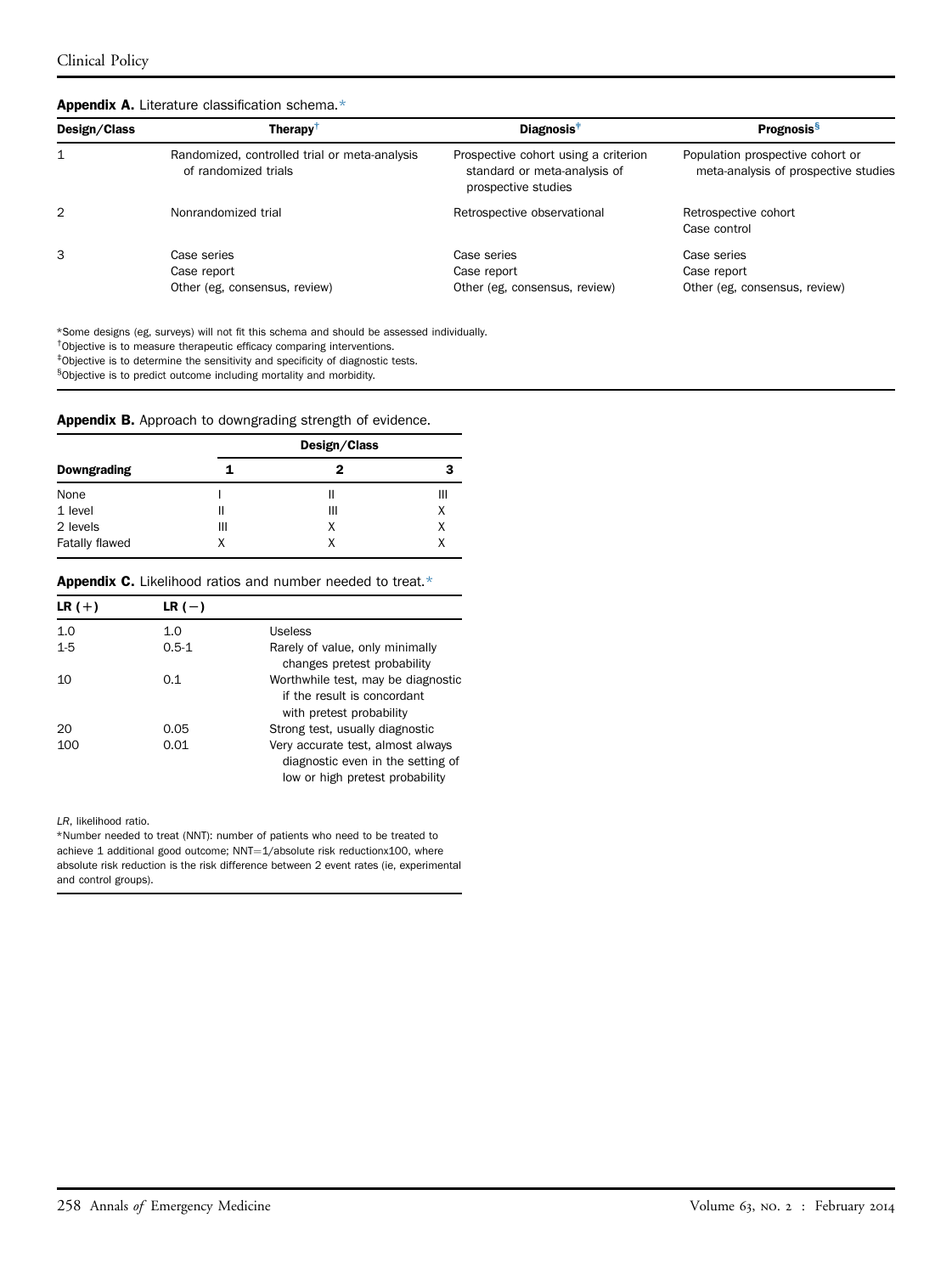|  | Appendix A. Literature classification schema.* |  |
|--|------------------------------------------------|--|
|  |                                                |  |

| Design/Class   | Therapy <sup>1</sup>                                                  | <b>Diagnosis<sup>†</sup></b>                                                                | <b>Prognosis<sup>9</sup></b>                                             |  |
|----------------|-----------------------------------------------------------------------|---------------------------------------------------------------------------------------------|--------------------------------------------------------------------------|--|
|                | Randomized, controlled trial or meta-analysis<br>of randomized trials | Prospective cohort using a criterion<br>standard or meta-analysis of<br>prospective studies | Population prospective cohort or<br>meta-analysis of prospective studies |  |
| $\overline{2}$ | Nonrandomized trial                                                   | Retrospective observational                                                                 | Retrospective cohort<br>Case control                                     |  |
| 3              | Case series<br>Case report<br>Other (eg. consensus, review)           | Case series<br>Case report<br>Other (eg. consensus, review)                                 | Case series<br>Case report<br>Other (eg. consensus, review)              |  |

<span id="page-11-1"></span>\*Some designs (eg, surveys) will not fit this schema and should be assessed individually.

<span id="page-11-2"></span><sup>†</sup>Objective is to measure therapeutic efficacy comparing interventions.

<span id="page-11-3"></span>‡ Objective is to determine the sensitivity and specificity of diagnostic tests.

<span id="page-11-4"></span>§ Objective is to predict outcome including mortality and morbidity.

Appendix B. Approach to downgrading strength of evidence.

|                    | Design/Class |   |   |  |
|--------------------|--------------|---|---|--|
| <b>Downgrading</b> |              | 2 | з |  |
| None               |              | Ш | Ш |  |
| 1 level            | Ш            | Ш | X |  |
| 2 levels           | Ш            | X | Χ |  |
| Fatally flawed     | Χ            | Χ |   |  |

#### Appendix C. Likelihood ratios and number needed to treat[.\\*](#page-11-0)

| LR $(+)$ | LR $(-)$  |                                                                                                           |
|----------|-----------|-----------------------------------------------------------------------------------------------------------|
| 1.0      | 1.0       | <b>Useless</b>                                                                                            |
| $1-5$    | $0.5 - 1$ | Rarely of value, only minimally<br>changes pretest probability                                            |
| 10       | 0.1       | Worthwhile test, may be diagnostic<br>if the result is concordant<br>with pretest probability             |
| 20       | 0.05      | Strong test, usually diagnostic                                                                           |
| 100      | 0.01      | Very accurate test, almost always<br>diagnostic even in the setting of<br>low or high pretest probability |

LR, likelihood ratio.

<span id="page-11-0"></span>\*Number needed to treat (NNT): number of patients who need to be treated to achieve 1 additional good outcome;  $NNT=1/absolute$  risk reductionx100, where absolute risk reduction is the risk difference between 2 event rates (ie, experimental and control groups).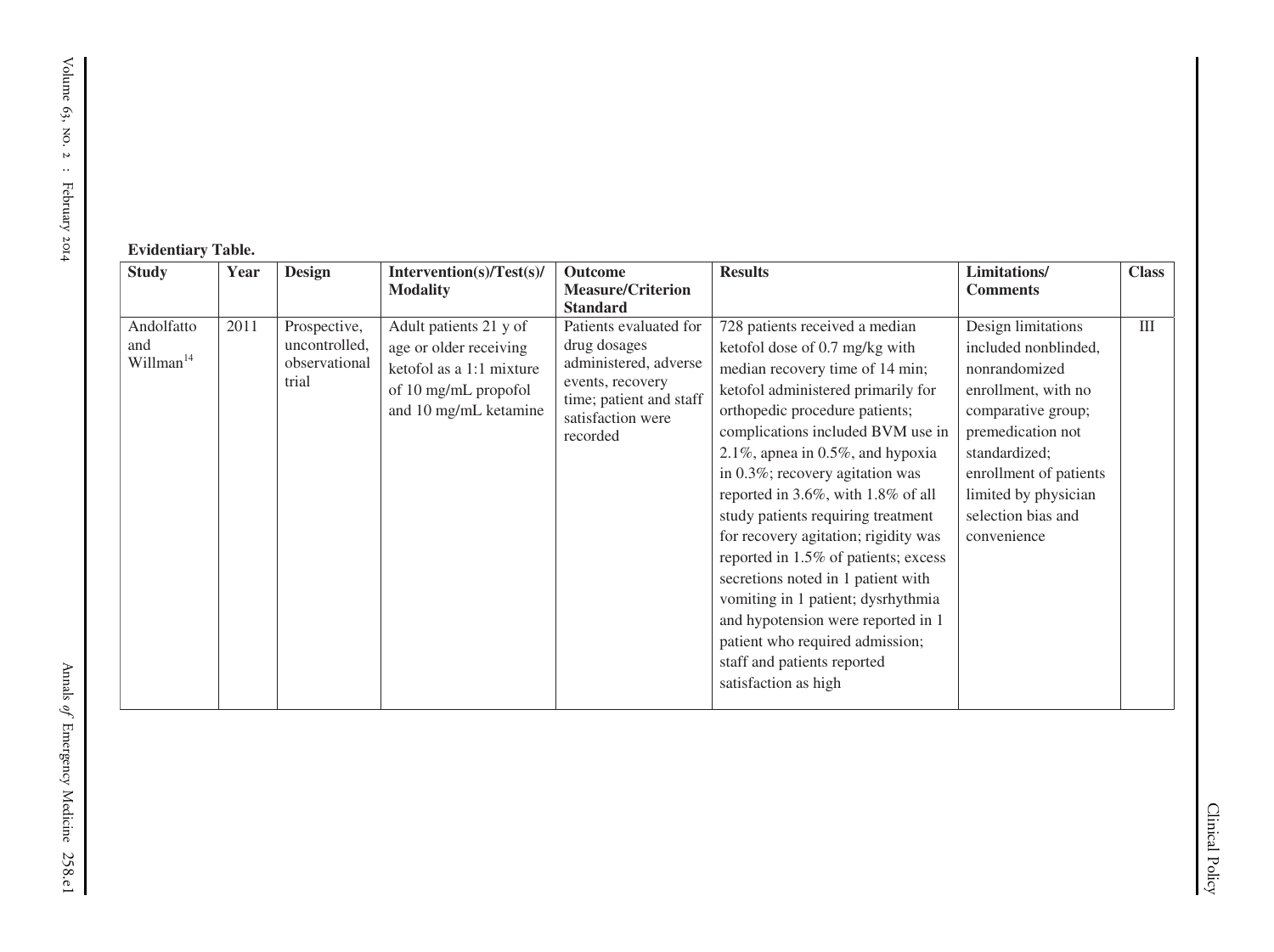| <b>Evidentiary Table.</b>                  |      |                                                         |                                                                                                                               |                                                                                                                                                 |                                                                                                                                                                                                                                                                                                                                                                                                                                                                                                                                                                                                                                                                         |                                                                                                                                                                                                                                       |              |
|--------------------------------------------|------|---------------------------------------------------------|-------------------------------------------------------------------------------------------------------------------------------|-------------------------------------------------------------------------------------------------------------------------------------------------|-------------------------------------------------------------------------------------------------------------------------------------------------------------------------------------------------------------------------------------------------------------------------------------------------------------------------------------------------------------------------------------------------------------------------------------------------------------------------------------------------------------------------------------------------------------------------------------------------------------------------------------------------------------------------|---------------------------------------------------------------------------------------------------------------------------------------------------------------------------------------------------------------------------------------|--------------|
| <b>Study</b>                               | Year | <b>Design</b>                                           | Intervention(s)/Test(s)/<br><b>Modality</b>                                                                                   | <b>Outcome</b><br><b>Measure/Criterion</b><br><b>Standard</b>                                                                                   | <b>Results</b>                                                                                                                                                                                                                                                                                                                                                                                                                                                                                                                                                                                                                                                          | Limitations/<br><b>Comments</b>                                                                                                                                                                                                       | <b>Class</b> |
| Andolfatto<br>and<br>Willman <sup>14</sup> | 2011 | Prospective,<br>uncontrolled,<br>observational<br>trial | Adult patients 21 y of<br>age or older receiving<br>ketofol as a 1:1 mixture<br>of 10 mg/mL propofol<br>and 10 mg/mL ketamine | Patients evaluated for<br>drug dosages<br>administered, adverse<br>events, recovery<br>time; patient and staff<br>satisfaction were<br>recorded | 728 patients received a median<br>ketofol dose of 0.7 mg/kg with<br>median recovery time of 14 min;<br>ketofol administered primarily for<br>orthopedic procedure patients;<br>complications included BVM use in<br>2.1%, appea in $0.5\%$ , and hypoxia<br>in $0.3\%$ ; recovery agitation was<br>reported in 3.6%, with 1.8% of all<br>study patients requiring treatment<br>for recovery agitation; rigidity was<br>reported in 1.5% of patients; excess<br>secretions noted in 1 patient with<br>vomiting in 1 patient; dysrhythmia<br>and hypotension were reported in 1<br>patient who required admission;<br>staff and patients reported<br>satisfaction as high | Design limitations<br>included nonblinded,<br>nonrandomized<br>enrollment, with no<br>comparative group;<br>premedication not<br>standardized;<br>enrollment of patients<br>limited by physician<br>selection bias and<br>convenience | $\rm III$    |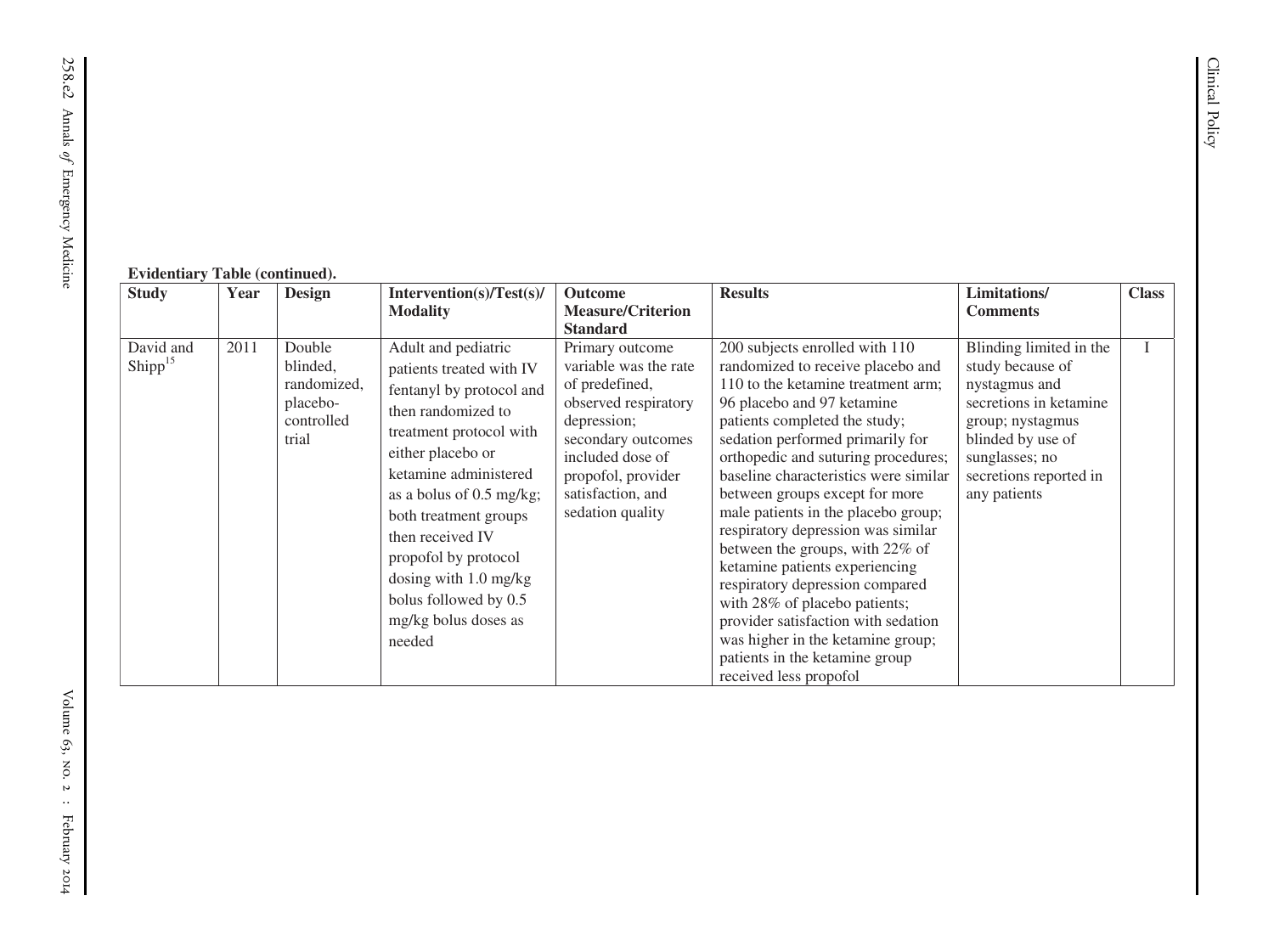**Class**

I

 **Limitations/ Comments**

Blinding limited in the study because of

# **Evidentiary Table (continued).**<br>**Study Year Design**  $\text{Intervention}(s)/\text{Test}(s)/\text{Test}(s)$ **Modality** David and<br>Shipp<sup>15</sup> 2011 Double blinded, randomized, placebocontrolled trialAdult and pediatric patients treated with IV then randomized to either placebo or Emergency Medicine Volume

| randomized, | fentanyl by protocol and            | of predefined,       | 110 to the ketamine treatment arm;    | nystagmus and          |
|-------------|-------------------------------------|----------------------|---------------------------------------|------------------------|
| placebo-    | then randomized to                  | observed respiratory | 96 placebo and 97 ketamine            | secretions in ketamine |
| controlled  |                                     | depression;          | patients completed the study;         | group; nystagmus       |
| trial       | treatment protocol with             | secondary outcomes   | sedation performed primarily for      | blinded by use of      |
|             | either placebo or                   | included dose of     | orthopedic and suturing procedures;   | sunglasses; no         |
|             | ketamine administered               | propofol, provider   | baseline characteristics were similar | secretions reported in |
|             | as a bolus of $0.5 \text{ mg/kg}$ ; | satisfaction, and    | between groups except for more        | any patients           |
|             | both treatment groups               | sedation quality     | male patients in the placebo group;   |                        |
|             | then received IV                    |                      | respiratory depression was similar    |                        |
|             |                                     |                      | between the groups, with 22% of       |                        |
|             | propofol by protocol                |                      | ketamine patients experiencing        |                        |
|             | dosing with $1.0 \text{ mg/kg}$     |                      | respiratory depression compared       |                        |
|             | bolus followed by 0.5               |                      | with 28% of placebo patients;         |                        |
|             | mg/kg bolus doses as                |                      | provider satisfaction with sedation   |                        |
|             | needed                              |                      | was higher in the ketamine group;     |                        |
|             |                                     |                      | patients in the ketamine group        |                        |
|             |                                     |                      | received less propofol                |                        |

**Results**

200 subjects enrolled with 110 randomized to receive placebo and

**Outcome** 

**Standard**

**Measure/Criterion** 

Primary outcome variable was the rate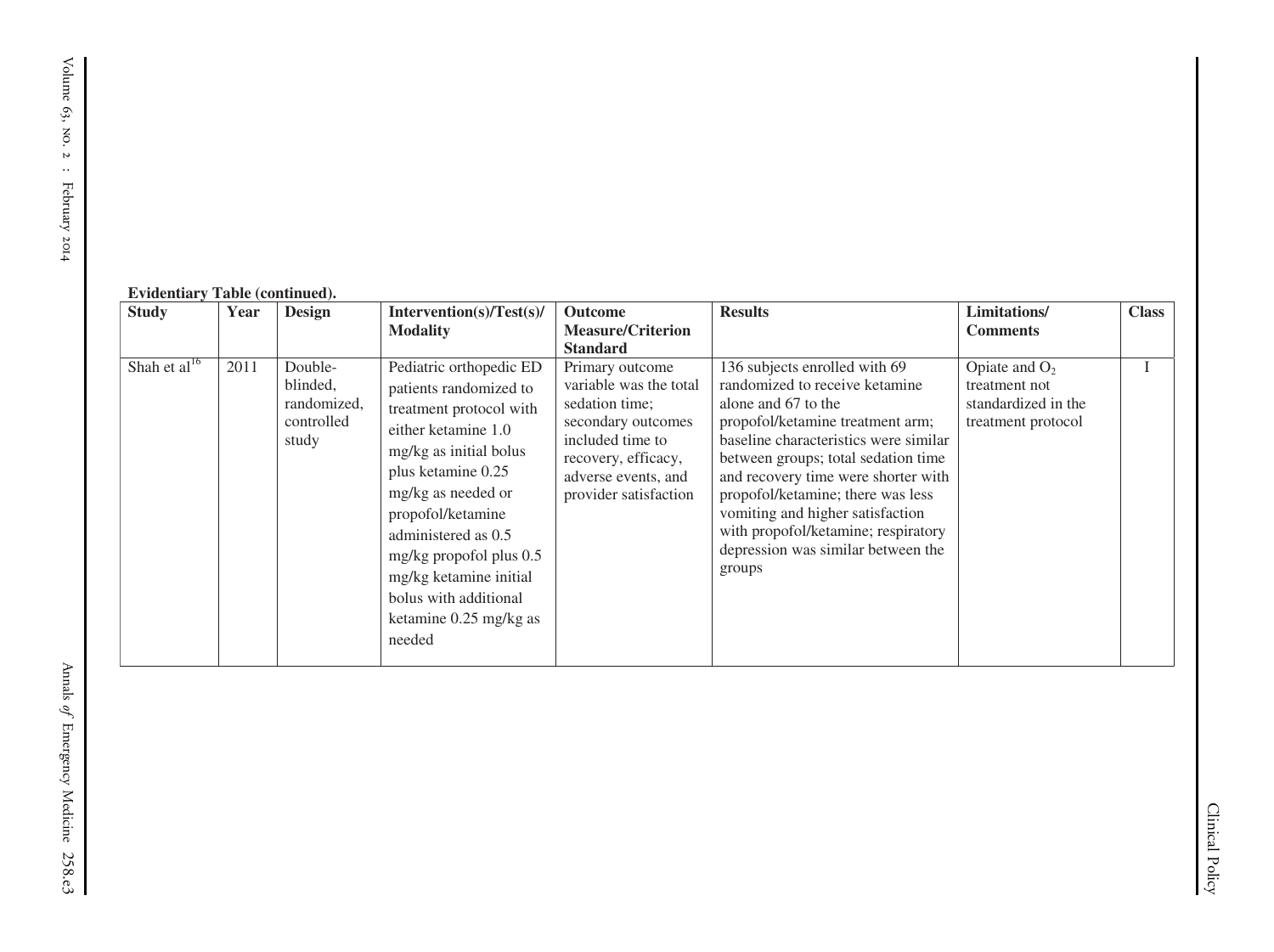| <b>Study</b>       | Year | <b>Design</b>                                             | Intervention(s)/Test(s)/<br><b>Modality</b>                                                                                                                                                                                                                                 | <b>Outcome</b><br><b>Measure/Criterion</b><br><b>Standard</b>                                                                                                                | <b>Results</b>                                                                                                                                                                                                                                                                                                                                                                                                    |
|--------------------|------|-----------------------------------------------------------|-----------------------------------------------------------------------------------------------------------------------------------------------------------------------------------------------------------------------------------------------------------------------------|------------------------------------------------------------------------------------------------------------------------------------------------------------------------------|-------------------------------------------------------------------------------------------------------------------------------------------------------------------------------------------------------------------------------------------------------------------------------------------------------------------------------------------------------------------------------------------------------------------|
| Shah et al $^{16}$ | 2011 | Double-<br>blinded.<br>randomized,<br>controlled<br>study | Pediatric orthopedic ED<br>patients randomized to<br>treatment protocol with<br>either ketamine 1.0<br>mg/kg as initial bolus<br>plus ketamine 0.25<br>mg/kg as needed or<br>propofol/ketamine<br>administered as 0.5<br>mg/kg propofol plus 0.5<br>malled katamina initial | Primary outcome<br>variable was the total<br>sedation time:<br>secondary outcomes<br>included time to<br>recovery, efficacy,<br>adverse events, and<br>provider satisfaction | 136 subjects enrolled with 69<br>randomized to receive ketamine<br>alone and 67 to the<br>propofol/ketamine treatment arm;<br>baseline characteristics were similar<br>between groups; total sedation time<br>and recovery time were shorter with<br>propofol/ketamine; there was less<br>vomiting and higher satisfaction<br>with propofol/ketamine; respiratory<br>depression was similar between the<br>groups |

mg/kg ketamine initial bolus with additional ketamine 0.25 mg/kg as

needed

Volume

 **Limitations/ Comments**

Opiate and  $O_2$ treatment not standardized in the treatment protocol

**Class**

I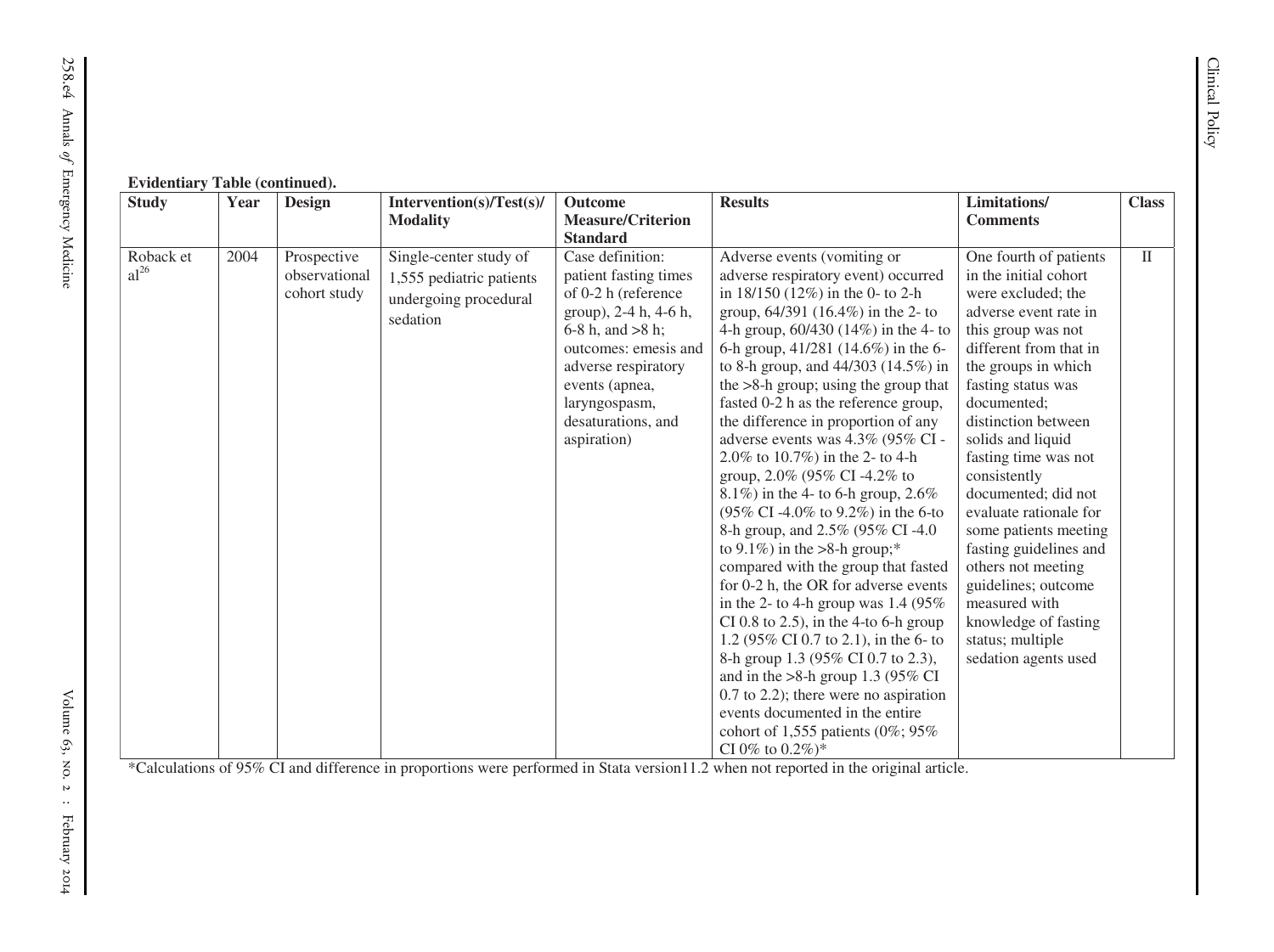| <b>Study</b>           | Year | <b>Design</b>                                | Intervention(s)/Test(s)/<br><b>Modality</b>                                             | <b>Outcome</b><br><b>Measure/Criterion</b><br><b>Standard</b>                                                                                                                                                                          | <b>Results</b>                                                                                                                                                                                                                                                                                                                                                                                                                                                                                                                                                                                                                                                                                                                                                                                                                                                                                                                                                                                                                                                                                                         | Limitations/<br><b>Comments</b>                                                                                                                                                                                                                                                                                                                                                                                                                                                                                                      | <b>Class</b> |
|------------------------|------|----------------------------------------------|-----------------------------------------------------------------------------------------|----------------------------------------------------------------------------------------------------------------------------------------------------------------------------------------------------------------------------------------|------------------------------------------------------------------------------------------------------------------------------------------------------------------------------------------------------------------------------------------------------------------------------------------------------------------------------------------------------------------------------------------------------------------------------------------------------------------------------------------------------------------------------------------------------------------------------------------------------------------------------------------------------------------------------------------------------------------------------------------------------------------------------------------------------------------------------------------------------------------------------------------------------------------------------------------------------------------------------------------------------------------------------------------------------------------------------------------------------------------------|--------------------------------------------------------------------------------------------------------------------------------------------------------------------------------------------------------------------------------------------------------------------------------------------------------------------------------------------------------------------------------------------------------------------------------------------------------------------------------------------------------------------------------------|--------------|
| Roback et<br>$al^{26}$ | 2004 | Prospective<br>observational<br>cohort study | Single-center study of<br>1,555 pediatric patients<br>undergoing procedural<br>sedation | Case definition:<br>patient fasting times<br>of 0-2 h (reference<br>group), 2-4 h, 4-6 h,<br>6-8 h, and $>8$ h;<br>outcomes: emesis and<br>adverse respiratory<br>events (apnea,<br>laryngospasm,<br>desaturations, and<br>aspiration) | Adverse events (vomiting or<br>adverse respiratory event) occurred<br>in $18/150$ (12%) in the 0- to 2-h<br>group, 64/391 (16.4%) in the 2- to<br>4-h group, $60/430$ (14%) in the 4- to<br>6-h group, $41/281$ (14.6%) in the 6-<br>to 8-h group, and 44/303 (14.5%) in<br>the $>8$ -h group; using the group that<br>fasted 0-2 h as the reference group,<br>the difference in proportion of any<br>adverse events was 4.3% (95% CI -<br>2.0% to 10.7%) in the 2- to 4-h<br>group, 2.0% (95% CI -4.2% to<br>8.1%) in the 4- to 6-h group, $2.6\%$<br>(95% CI -4.0% to 9.2%) in the 6-to<br>8-h group, and 2.5% (95% CI -4.0)<br>to 9.1%) in the $>8$ -h group;*<br>compared with the group that fasted<br>for 0-2 h, the OR for adverse events<br>in the 2- to 4-h group was $1.4$ (95%)<br>CI 0.8 to 2.5), in the 4-to 6-h group<br>1.2 (95% CI 0.7 to 2.1), in the 6- to<br>8-h group 1.3 (95% CI 0.7 to 2.3),<br>and in the $>8$ -h group 1.3 (95% CI<br>$0.7$ to $2.2$ ); there were no aspiration<br>events documented in the entire<br>cohort of 1,555 patients $(0\%; 95\%$<br>CI 0\% to $0.2\%$ <sup>*</sup> | One fourth of patients<br>in the initial cohort<br>were excluded; the<br>adverse event rate in<br>this group was not<br>different from that in<br>the groups in which<br>fasting status was<br>documented;<br>distinction between<br>solids and liquid<br>fasting time was not<br>consistently<br>documented; did not<br>evaluate rationale for<br>some patients meeting<br>fasting guidelines and<br>others not meeting<br>guidelines; outcome<br>measured with<br>knowledge of fasting<br>status; multiple<br>sedation agents used | $\rm II$     |

\*Calculations of 95% CI and difference in pro portions were performed in Stata version11.2 when not re ported in the original article.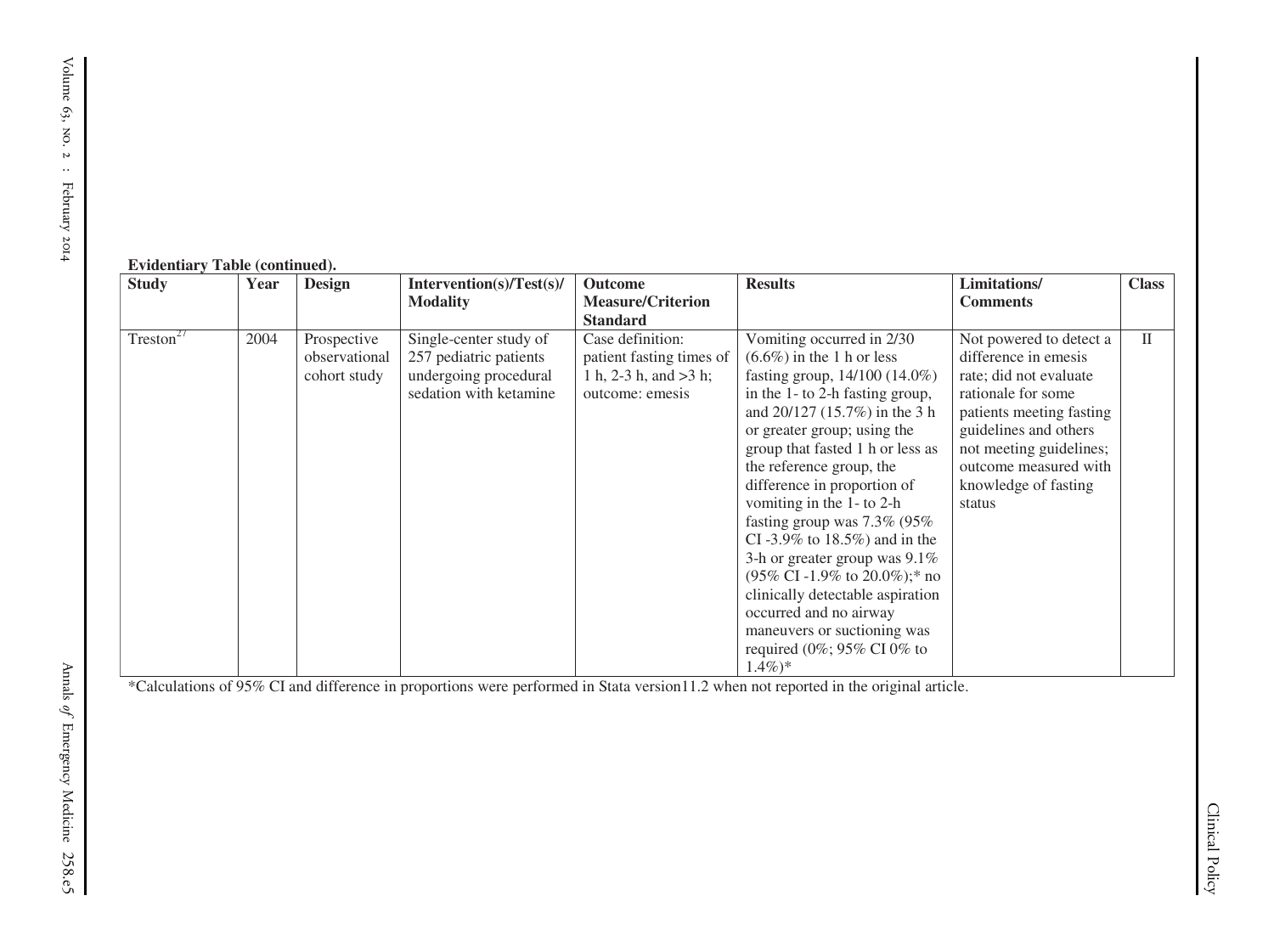| <b>Study</b>          | Year | Design        | Intervention(s)/Test(s)/ | <b>Outcome</b>           | <b>Results</b>                                       | Limitations/             | <b>Class</b> |
|-----------------------|------|---------------|--------------------------|--------------------------|------------------------------------------------------|--------------------------|--------------|
|                       |      |               | <b>Modality</b>          | <b>Measure/Criterion</b> |                                                      | <b>Comments</b>          |              |
|                       |      |               |                          | <b>Standard</b>          |                                                      |                          |              |
| Treston <sup>27</sup> | 2004 | Prospective   | Single-center study of   | Case definition:         | Vomiting occurred in 2/30                            | Not powered to detect a  | $\mathbf{I}$ |
|                       |      | observational | 257 pediatric patients   | patient fasting times of | $(6.6\%)$ in the 1 h or less                         | difference in emesis     |              |
|                       |      | cohort study  | undergoing procedural    | 1 h, 2-3 h, and $>3$ h;  | fasting group, 14/100 (14.0%)                        | rate; did not evaluate   |              |
|                       |      |               | sedation with ketamine   | outcome: emesis          | in the 1- to 2-h fasting group,                      | rationale for some       |              |
|                       |      |               |                          |                          | and 20/127 (15.7%) in the 3 h                        | patients meeting fasting |              |
|                       |      |               |                          |                          | or greater group; using the                          | guidelines and others    |              |
|                       |      |               |                          |                          | group that fasted 1 h or less as                     | not meeting guidelines;  |              |
|                       |      |               |                          |                          | the reference group, the                             | outcome measured with    |              |
|                       |      |               |                          |                          | difference in proportion of                          | knowledge of fasting     |              |
|                       |      |               |                          |                          | vomiting in the 1- to 2-h                            | status                   |              |
|                       |      |               |                          |                          | fasting group was $7.3\%$ (95%)                      |                          |              |
|                       |      |               |                          |                          | CI -3.9% to $18.5\%$ ) and in the                    |                          |              |
|                       |      |               |                          |                          | 3-h or greater group was 9.1%                        |                          |              |
|                       |      |               |                          |                          | $(95\% \text{ CI} - 1.9\% \text{ to } 20.0\%);$ * no |                          |              |
|                       |      |               |                          |                          | clinically detectable aspiration                     |                          |              |
|                       |      |               |                          |                          | occurred and no airway                               |                          |              |
|                       |      |               |                          |                          | maneuvers or suctioning was                          |                          |              |
|                       |      |               |                          |                          | required $(0\%; 95\% \text{ CI } 0\%$ to             |                          |              |
|                       |      |               |                          |                          | $1.4\%)*$                                            |                          |              |

\*Calculations of 95% CI and difference in pro portions were performed in Stata version11.2 when not re ported in the original article.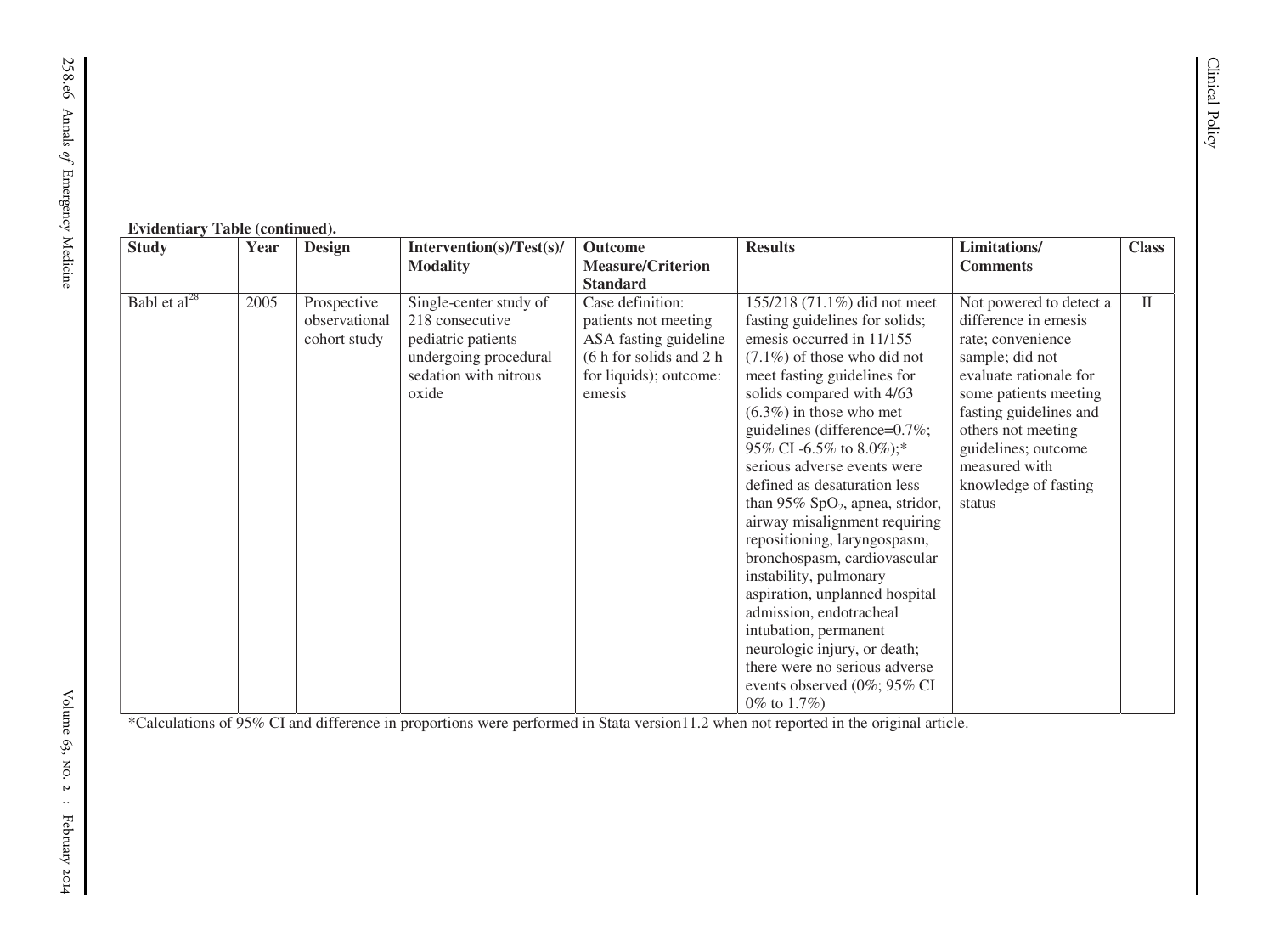| <b>Study</b>                 | Year | <b>Design</b>                                | Intervention(s)/Test(s)/                                                                                                   | Outcome                                                                                                                          | <b>Results</b>                                                                                                                                                                                                                                                                                                                                                                                                                                                                                                                                                                                                                                                                                             | Limitations/                                                                                                                                                                                                                                                         | <b>Class</b> |
|------------------------------|------|----------------------------------------------|----------------------------------------------------------------------------------------------------------------------------|----------------------------------------------------------------------------------------------------------------------------------|------------------------------------------------------------------------------------------------------------------------------------------------------------------------------------------------------------------------------------------------------------------------------------------------------------------------------------------------------------------------------------------------------------------------------------------------------------------------------------------------------------------------------------------------------------------------------------------------------------------------------------------------------------------------------------------------------------|----------------------------------------------------------------------------------------------------------------------------------------------------------------------------------------------------------------------------------------------------------------------|--------------|
|                              |      |                                              | <b>Modality</b>                                                                                                            | <b>Measure/Criterion</b><br><b>Standard</b>                                                                                      |                                                                                                                                                                                                                                                                                                                                                                                                                                                                                                                                                                                                                                                                                                            | <b>Comments</b>                                                                                                                                                                                                                                                      |              |
| Babl et $\overline{al^{28}}$ | 2005 | Prospective<br>observational<br>cohort study | Single-center study of<br>218 consecutive<br>pediatric patients<br>undergoing procedural<br>sedation with nitrous<br>oxide | Case definition:<br>patients not meeting<br>ASA fasting guideline<br>(6 h for solids and 2 h<br>for liquids); outcome:<br>emesis | 155/218 (71.1%) did not meet<br>fasting guidelines for solids;<br>emesis occurred in 11/155<br>$(7.1\%)$ of those who did not<br>meet fasting guidelines for<br>solids compared with 4/63<br>$(6.3\%)$ in those who met<br>guidelines (difference=0.7%;<br>serious adverse events were<br>defined as desaturation less<br>than 95% $SpO2$ , apnea, stridor,<br>airway misalignment requiring<br>repositioning, laryngospasm,<br>bronchospasm, cardiovascular<br>instability, pulmonary<br>aspiration, unplanned hospital<br>admission, endotracheal<br>intubation, permanent<br>neurologic injury, or death;<br>there were no serious adverse<br>events observed $(0\%; 95\% \text{ CI})$<br>0\% to 1.7\%) | Not powered to detect a<br>difference in emesis<br>rate; convenience<br>sample; did not<br>evaluate rationale for<br>some patients meeting<br>fasting guidelines and<br>others not meeting<br>guidelines; outcome<br>measured with<br>knowledge of fasting<br>status | $\Pi$        |

\*Calculations of 95% CI and difference in pro portions were performed in Stata version11.2 when not re ported in the original article.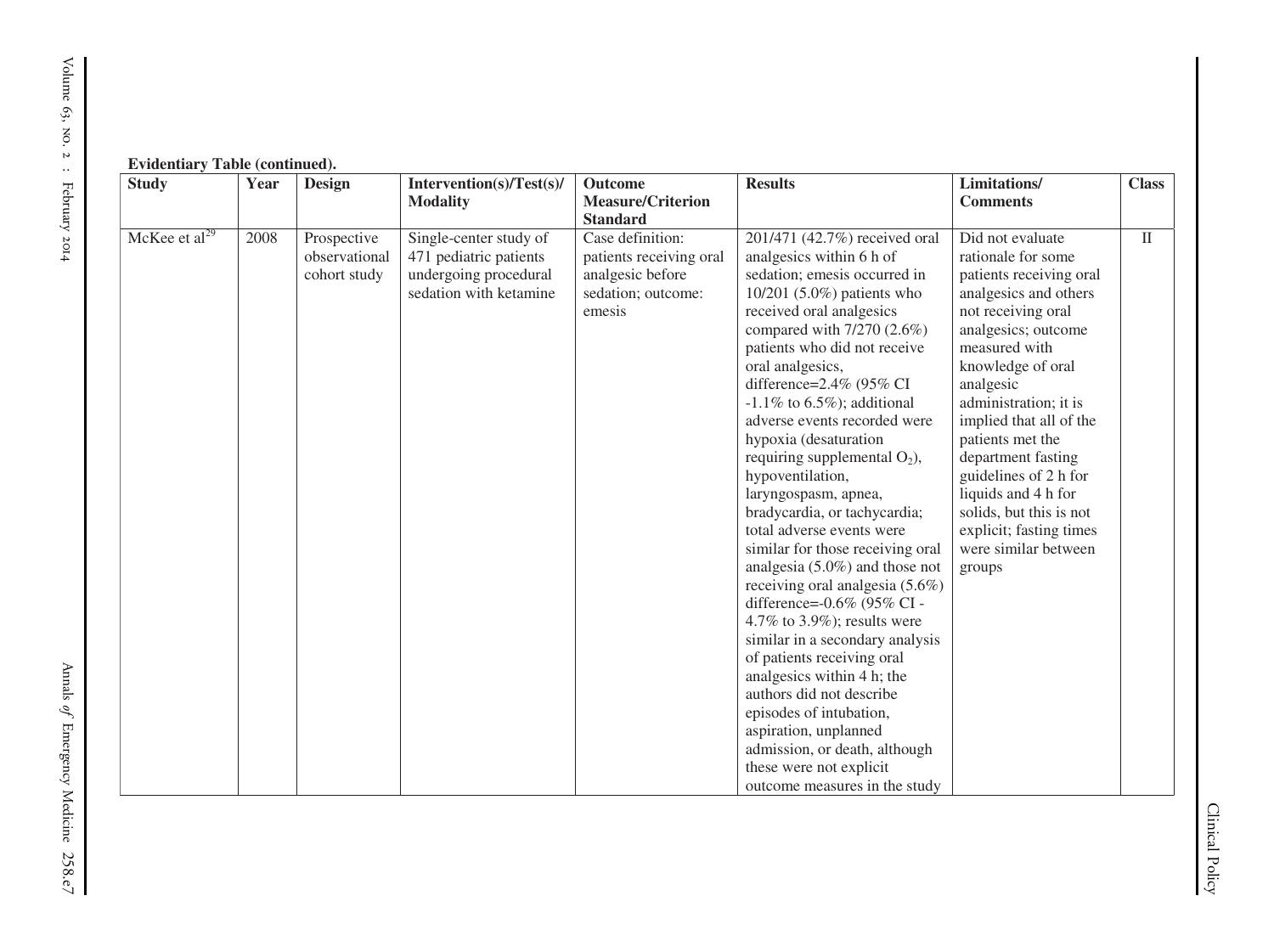|  |  | <b>Evidentiary Table (continued).</b> |
|--|--|---------------------------------------|
|--|--|---------------------------------------|

| <b>Study</b>              | Year | <b>Design</b>                                | Intervention(s)/Test(s)/<br><b>Modality</b>                                                         | <b>Outcome</b><br><b>Measure/Criterion</b><br><b>Standard</b>                                   | <b>Results</b>                                                                                                                                                                                                                                                                                                                                                                                                                                                                                                                                                                                                                                                                                                                                                                                                                                                                                                                                                 | Limitations/<br><b>Comments</b>                                                                                                                                                                                                                                                                                                                                                                                                  | <b>Class</b> |
|---------------------------|------|----------------------------------------------|-----------------------------------------------------------------------------------------------------|-------------------------------------------------------------------------------------------------|----------------------------------------------------------------------------------------------------------------------------------------------------------------------------------------------------------------------------------------------------------------------------------------------------------------------------------------------------------------------------------------------------------------------------------------------------------------------------------------------------------------------------------------------------------------------------------------------------------------------------------------------------------------------------------------------------------------------------------------------------------------------------------------------------------------------------------------------------------------------------------------------------------------------------------------------------------------|----------------------------------------------------------------------------------------------------------------------------------------------------------------------------------------------------------------------------------------------------------------------------------------------------------------------------------------------------------------------------------------------------------------------------------|--------------|
| McKee et al <sup>29</sup> | 2008 | Prospective<br>observational<br>cohort study | Single-center study of<br>471 pediatric patients<br>undergoing procedural<br>sedation with ketamine | Case definition:<br>patients receiving oral<br>analgesic before<br>sedation; outcome:<br>emesis | 201/471 (42.7%) received oral<br>analgesics within 6 h of<br>sedation; emesis occurred in<br>10/201 (5.0%) patients who<br>received oral analgesics<br>compared with 7/270 (2.6%)<br>patients who did not receive<br>oral analgesics,<br>difference=2.4% (95% CI<br>$-1.1\%$ to 6.5%); additional<br>adverse events recorded were<br>hypoxia (desaturation<br>requiring supplemental $O_2$ ),<br>hypoventilation,<br>laryngospasm, apnea,<br>bradycardia, or tachycardia;<br>total adverse events were<br>similar for those receiving oral<br>analgesia $(5.0\%)$ and those not<br>receiving oral analgesia $(5.6\%)$<br>difference=-0.6% (95% CI -<br>4.7% to 3.9%); results were<br>similar in a secondary analysis<br>of patients receiving oral<br>analgesics within 4 h; the<br>authors did not describe<br>episodes of intubation,<br>aspiration, unplanned<br>admission, or death, although<br>these were not explicit<br>outcome measures in the study | Did not evaluate<br>rationale for some<br>patients receiving oral<br>analgesics and others<br>not receiving oral<br>analgesics; outcome<br>measured with<br>knowledge of oral<br>analgesic<br>administration; it is<br>implied that all of the<br>patients met the<br>department fasting<br>guidelines of 2 h for<br>liquids and 4 h for<br>solids, but this is not<br>explicit; fasting times<br>were similar between<br>groups | $\rm II$     |

H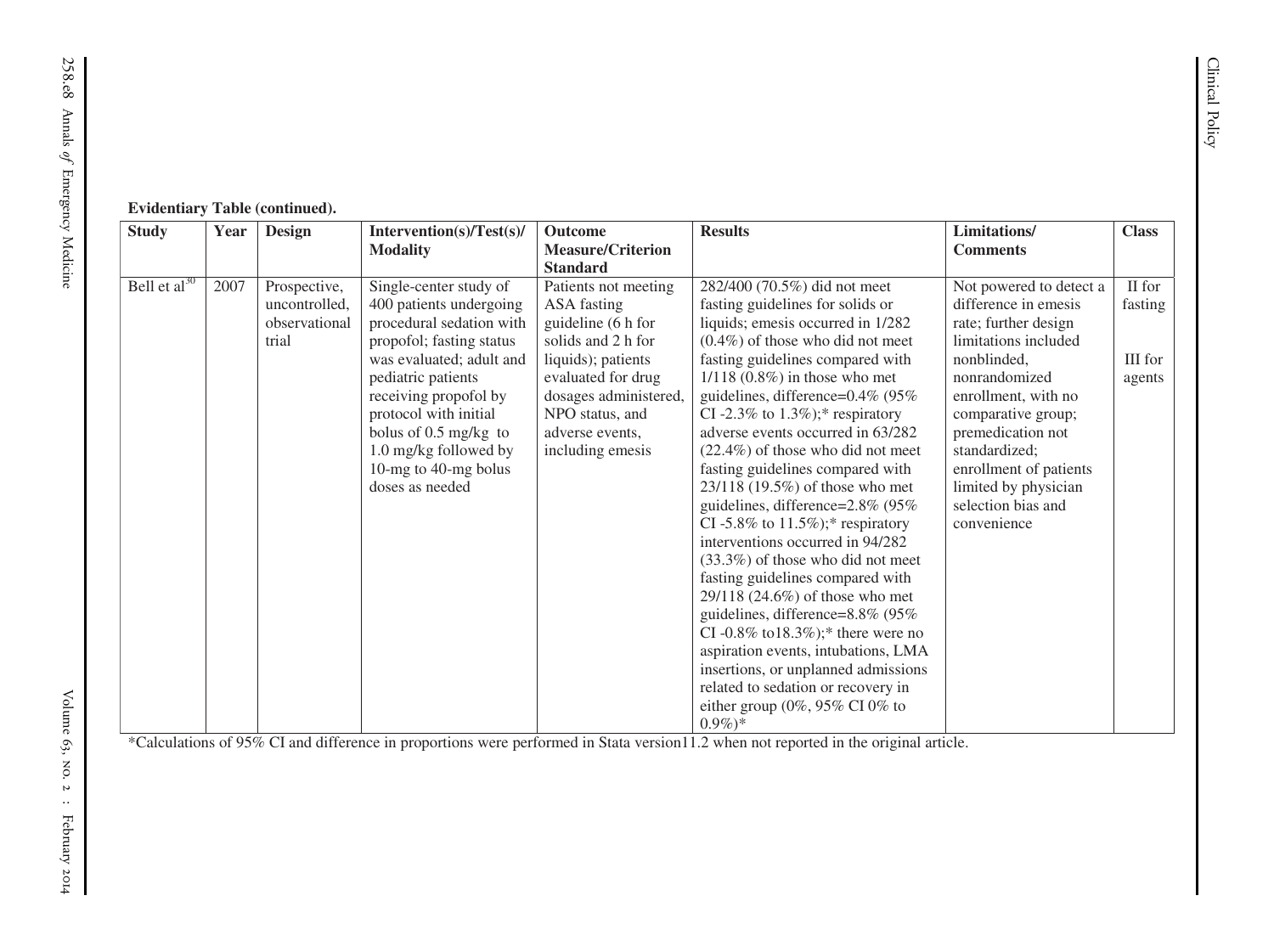| <b>Study</b>      | Year | <b>Design</b>                                           | Intervention(s)/Test(s)/<br><b>Modality</b>                                                                                                                                                                                                                                                                          | <b>Outcome</b><br><b>Measure/Criterion</b><br><b>Standard</b>                                                                                                                                                  | <b>Results</b>                                                                                                                                                                                                                                                                                                                                                                                                                                                                                                                                                                                                                                                                                                                                                                                                                                                                                                                              | Limitations/<br><b>Comments</b>                                                                                                                                                                                                                                                                           | <b>Class</b>                           |
|-------------------|------|---------------------------------------------------------|----------------------------------------------------------------------------------------------------------------------------------------------------------------------------------------------------------------------------------------------------------------------------------------------------------------------|----------------------------------------------------------------------------------------------------------------------------------------------------------------------------------------------------------------|---------------------------------------------------------------------------------------------------------------------------------------------------------------------------------------------------------------------------------------------------------------------------------------------------------------------------------------------------------------------------------------------------------------------------------------------------------------------------------------------------------------------------------------------------------------------------------------------------------------------------------------------------------------------------------------------------------------------------------------------------------------------------------------------------------------------------------------------------------------------------------------------------------------------------------------------|-----------------------------------------------------------------------------------------------------------------------------------------------------------------------------------------------------------------------------------------------------------------------------------------------------------|----------------------------------------|
| Bell et $al^{30}$ | 2007 | Prospective,<br>uncontrolled,<br>observational<br>trial | Single-center study of<br>400 patients undergoing<br>procedural sedation with<br>propofol; fasting status<br>was evaluated; adult and<br>pediatric patients<br>receiving propofol by<br>protocol with initial<br>bolus of $0.5 \text{ mg/kg}$ to<br>1.0 mg/kg followed by<br>10-mg to 40-mg bolus<br>doses as needed | Patients not meeting<br>ASA fasting<br>guideline (6 h for<br>solids and 2 h for<br>liquids); patients<br>evaluated for drug<br>dosages administered,<br>NPO status, and<br>adverse events,<br>including emesis | 282/400 (70.5%) did not meet<br>fasting guidelines for solids or<br>liquids; emesis occurred in 1/282<br>$(0.4\%)$ of those who did not meet<br>fasting guidelines compared with<br>$1/118$ $(0.8\%)$ in those who met<br>guidelines, difference=0.4% (95%<br>CI -2.3% to $1.3\%$ );* respiratory<br>adverse events occurred in 63/282<br>$(22.4\%)$ of those who did not meet<br>fasting guidelines compared with<br>23/118 (19.5%) of those who met<br>guidelines, difference=2.8% (95%<br>CI -5.8% to 11.5%);* respiratory<br>interventions occurred in 94/282<br>$(33.3\%)$ of those who did not meet<br>fasting guidelines compared with<br>$29/118$ (24.6%) of those who met<br>guidelines, difference=8.8% (95%<br>CI-0.8% to18.3%);* there were no<br>aspiration events, intubations, LMA<br>insertions, or unplanned admissions<br>related to sedation or recovery in<br>either group $(0\%, 95\% \text{ CI } 0\%$ to<br>$0.9\%)*$ | Not powered to detect a<br>difference in emesis<br>rate; further design<br>limitations included<br>nonblinded,<br>nonrandomized<br>enrollment, with no<br>comparative group;<br>premedication not<br>standardized:<br>enrollment of patients<br>limited by physician<br>selection bias and<br>convenience | II for<br>fasting<br>III for<br>agents |

\*Calculations of 95% CI and difference in pro portions were performed in Stata version11.2 when not re ported in the original article.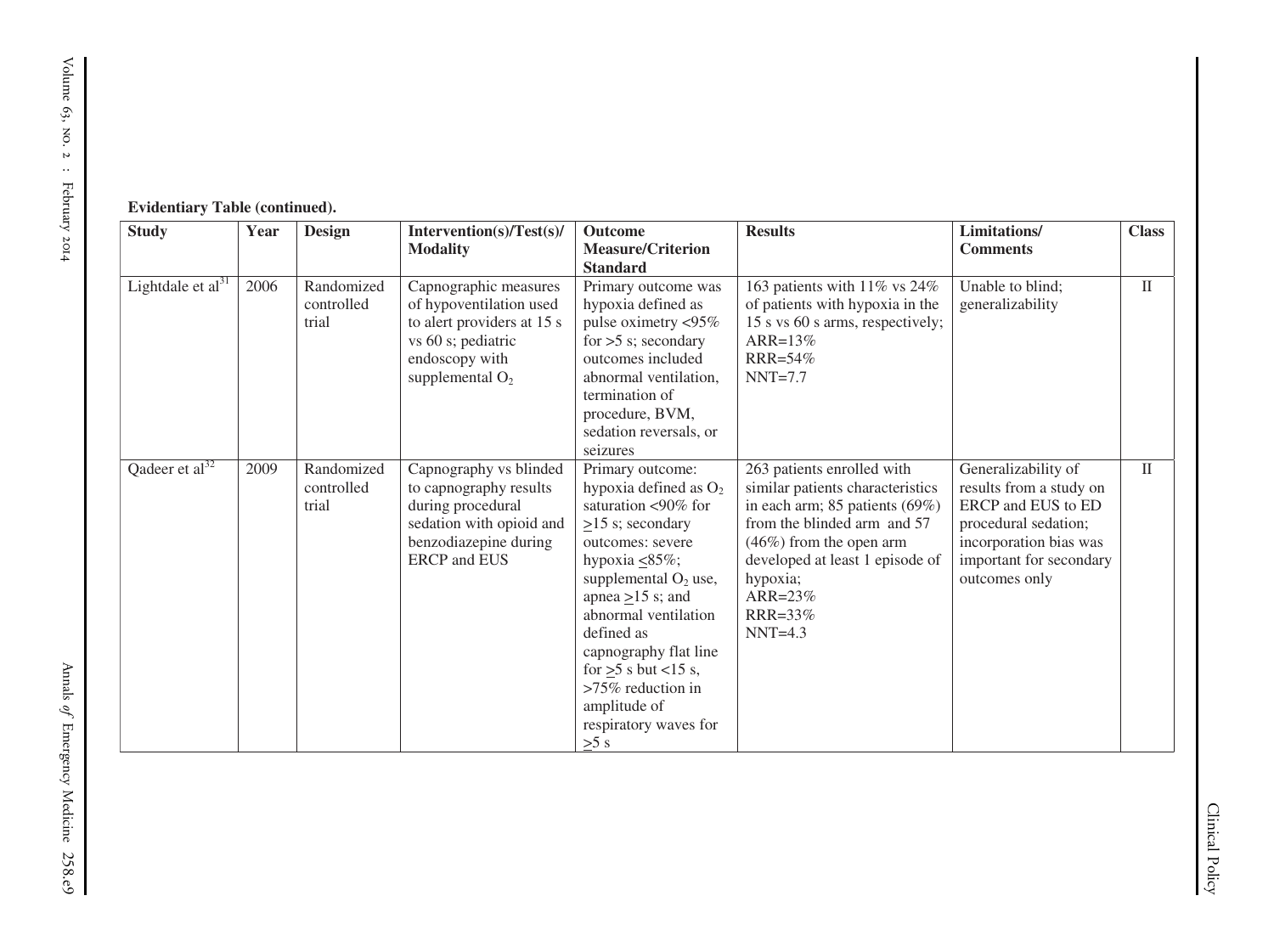| <b>Evidentiary Table (continued).</b> |  |  |
|---------------------------------------|--|--|
|---------------------------------------|--|--|

| <b>Study</b>                   | Year | <b>Design</b>                     | Intervention(s)/Test(s)/<br><b>Modality</b>                                                                                                              | <b>Outcome</b><br><b>Measure/Criterion</b><br><b>Standard</b>                                                                                                                                                                                                                                                                                                      | <b>Results</b>                                                                                                                                                                                                                                       | Limitations/<br><b>Comments</b>                                                                                                                                    | <b>Class</b> |
|--------------------------------|------|-----------------------------------|----------------------------------------------------------------------------------------------------------------------------------------------------------|--------------------------------------------------------------------------------------------------------------------------------------------------------------------------------------------------------------------------------------------------------------------------------------------------------------------------------------------------------------------|------------------------------------------------------------------------------------------------------------------------------------------------------------------------------------------------------------------------------------------------------|--------------------------------------------------------------------------------------------------------------------------------------------------------------------|--------------|
| Lightdale et $al^{31}$         | 2006 | Randomized<br>controlled<br>trial | Capnographic measures<br>of hypoventilation used<br>to alert providers at 15 s<br>vs 60 s; pediatric<br>endoscopy with<br>supplemental $O2$              | Primary outcome was<br>hypoxia defined as<br>pulse oximetry <95%<br>for $>5$ s; secondary<br>outcomes included<br>abnormal ventilation.<br>termination of<br>procedure, BVM,<br>sedation reversals, or<br>seizures                                                                                                                                                 | 163 patients with 11% vs 24%<br>of patients with hypoxia in the<br>15 s vs 60 s arms, respectively;<br>ARR= $13%$<br>$RRR = 54%$<br>$NNT=7.7$                                                                                                        | Unable to blind;<br>generalizability                                                                                                                               | $\rm II$     |
| Qadeer et $\overline{al^{32}}$ | 2009 | Randomized<br>controlled<br>trial | Capnography vs blinded<br>to capnography results<br>during procedural<br>sedation with opioid and<br>benzodiazepine during<br><b>ERCP</b> and <b>EUS</b> | Primary outcome:<br>hypoxia defined as $O2$<br>saturation <90% for<br>$>15$ s; secondary<br>outcomes: severe<br>hypoxia $\leq 85\%$ ;<br>supplemental $O_2$ use,<br>apnea $\geq$ 15 s; and<br>abnormal ventilation<br>defined as<br>capnography flat line<br>for $\geq$ 5 s but <15 s,<br>>75% reduction in<br>amplitude of<br>respiratory waves for<br>$\geq$ 5 s | 263 patients enrolled with<br>similar patients characteristics<br>in each arm; $85$ patients $(69\%)$<br>from the blinded arm and 57<br>$(46\%)$ from the open arm<br>developed at least 1 episode of<br>hypoxia;<br>ARR=23%<br>RRR=33%<br>$NNT=4.3$ | Generalizability of<br>results from a study on<br>ERCP and EUS to ED<br>procedural sedation;<br>incorporation bias was<br>important for secondary<br>outcomes only | $\mathbf{I}$ |

 $\overline{\phantom{a}}$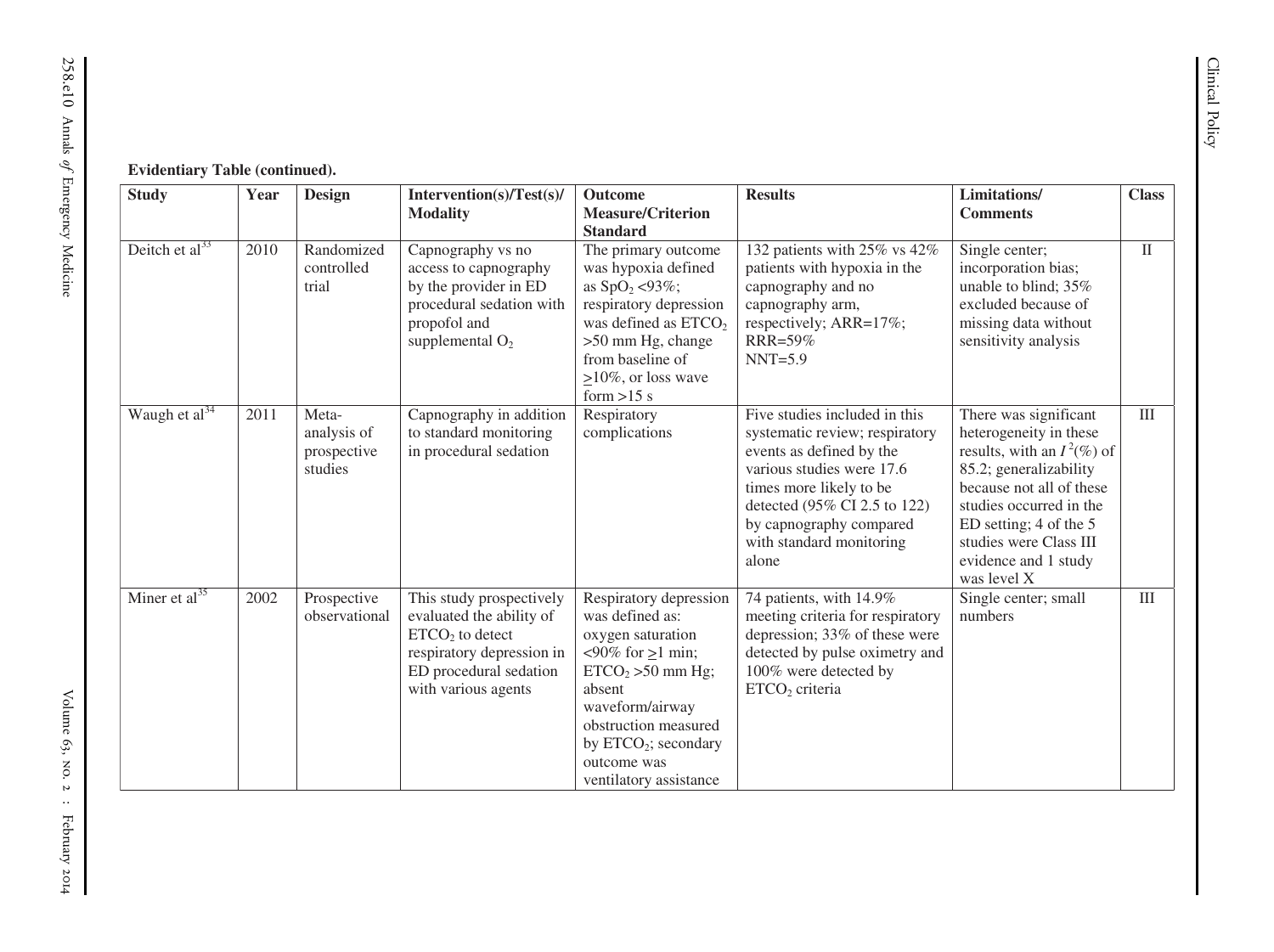| <b>Study</b>              | Year | <b>Design</b>                                  | Intervention(s)/Test(s)/<br><b>Modality</b>                                                                                                             | <b>Outcome</b><br><b>Measure/Criterion</b><br><b>Standard</b>                                                                                                                                                                          | <b>Results</b>                                                                                                                                                                                                                                      | <b>Limitations/</b><br><b>Comments</b>                                                                                                                                                                                                                       | <b>Class</b> |
|---------------------------|------|------------------------------------------------|---------------------------------------------------------------------------------------------------------------------------------------------------------|----------------------------------------------------------------------------------------------------------------------------------------------------------------------------------------------------------------------------------------|-----------------------------------------------------------------------------------------------------------------------------------------------------------------------------------------------------------------------------------------------------|--------------------------------------------------------------------------------------------------------------------------------------------------------------------------------------------------------------------------------------------------------------|--------------|
| Deitch et $al^{33}$       | 2010 | Randomized<br>controlled<br>trial              | Capnography vs no<br>access to capnography<br>by the provider in ED<br>procedural sedation with<br>propofol and<br>supplemental $O2$                    | The primary outcome<br>was hypoxia defined<br>as $SpO2 < 93\%$ ;<br>respiratory depression<br>was defined as ETCO <sub>2</sub><br>>50 mm Hg, change<br>from baseline of<br>$\geq$ 10%, or loss wave<br>form $>15$ s                    | 132 patients with 25% vs 42%<br>patients with hypoxia in the<br>capnography and no<br>capnography arm,<br>respectively; ARR=17%;<br>RRR=59%<br>$NNT=5.9$                                                                                            | Single center;<br>incorporation bias;<br>unable to blind; 35%<br>excluded because of<br>missing data without<br>sensitivity analysis                                                                                                                         | $\rm II$     |
| Waugh et al <sup>34</sup> | 2011 | Meta-<br>analysis of<br>prospective<br>studies | Capnography in addition<br>to standard monitoring<br>in procedural sedation                                                                             | Respiratory<br>complications                                                                                                                                                                                                           | Five studies included in this<br>systematic review; respiratory<br>events as defined by the<br>various studies were 17.6<br>times more likely to be<br>detected (95% CI 2.5 to 122)<br>by capnography compared<br>with standard monitoring<br>alone | There was significant<br>heterogeneity in these<br>results, with an $I^2(\%)$ of<br>85.2; generalizability<br>because not all of these<br>studies occurred in the<br>ED setting; 4 of the 5<br>studies were Class III<br>evidence and 1 study<br>was level X | $\rm III$    |
| Miner et $a^{35}$         | 2002 | Prospective<br>observational                   | This study prospectively<br>evaluated the ability of<br>$ETCO2$ to detect<br>respiratory depression in<br>ED procedural sedation<br>with various agents | Respiratory depression<br>was defined as:<br>oxygen saturation<br>$<90\%$ for $>1$ min;<br>$ETCO2 > 50$ mm Hg;<br>absent<br>waveform/airway<br>obstruction measured<br>by $ETCO2$ ; secondary<br>outcome was<br>ventilatory assistance | 74 patients, with 14.9%<br>meeting criteria for respiratory<br>depression; 33% of these were<br>detected by pulse oximetry and<br>100% were detected by<br>ETCO <sub>2</sub> criteria                                                               | Single center; small<br>numbers                                                                                                                                                                                                                              | $\rm III$    |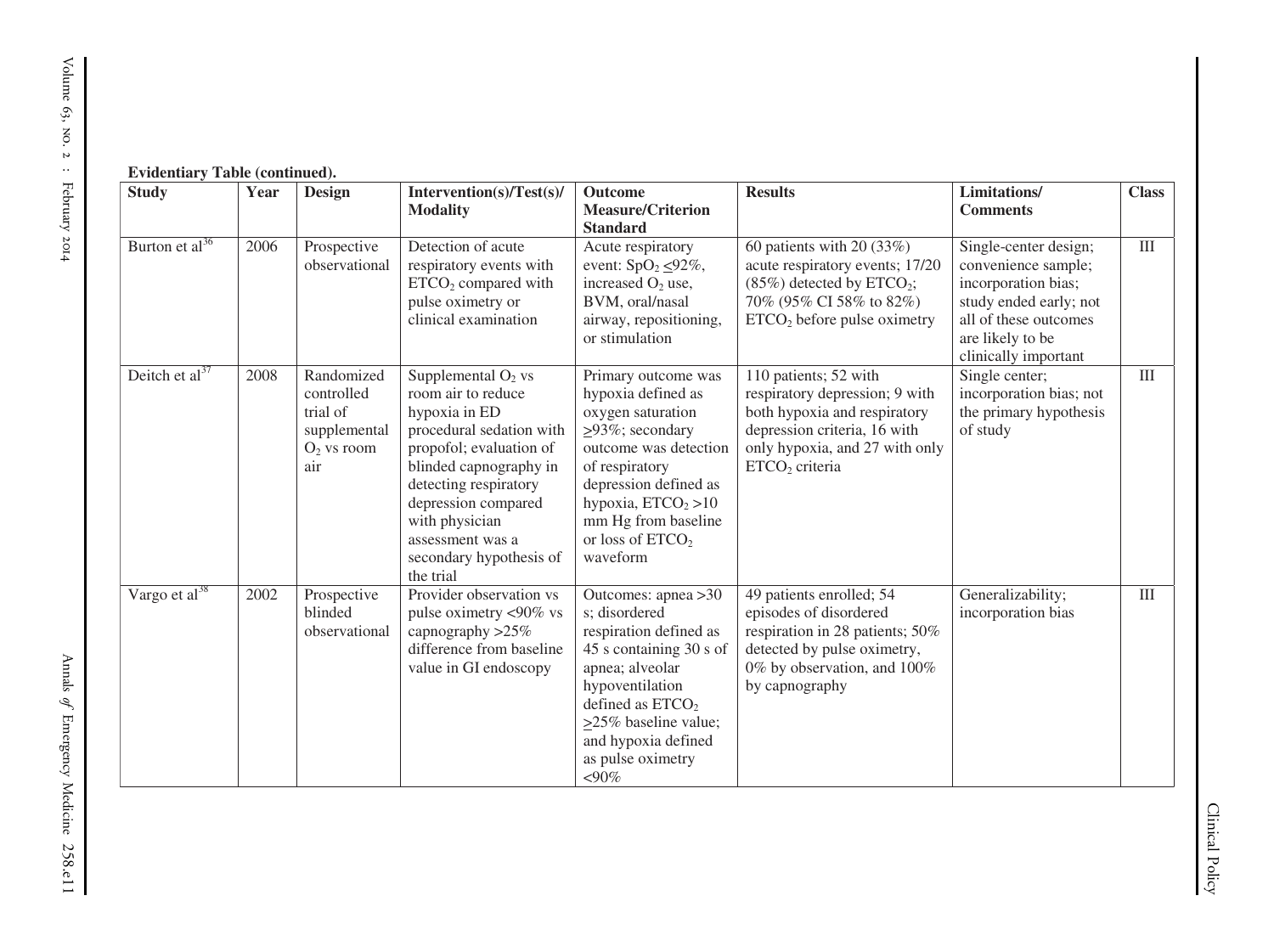| <b>Study</b>                   | Year | <b>Design</b>                                                               | Intervention(s)/Test(s)/<br><b>Modality</b>                                                                                                                                                                                                                                 | <b>Outcome</b><br><b>Measure/Criterion</b><br><b>Standard</b>                                                                                                                                                                                           | <b>Results</b>                                                                                                                                                                          | Limitations/<br><b>Comments</b>                                                                                                                                    | <b>Class</b> |
|--------------------------------|------|-----------------------------------------------------------------------------|-----------------------------------------------------------------------------------------------------------------------------------------------------------------------------------------------------------------------------------------------------------------------------|---------------------------------------------------------------------------------------------------------------------------------------------------------------------------------------------------------------------------------------------------------|-----------------------------------------------------------------------------------------------------------------------------------------------------------------------------------------|--------------------------------------------------------------------------------------------------------------------------------------------------------------------|--------------|
| Burton et $\overline{al^{36}}$ | 2006 | Prospective<br>observational                                                | Detection of acute<br>respiratory events with<br>$ETCO2$ compared with<br>pulse oximetry or<br>clinical examination                                                                                                                                                         | Acute respiratory<br>event: $SpO2 \le 92\%$ ,<br>increased $O_2$ use,<br>BVM, oral/nasal<br>airway, repositioning,<br>or stimulation                                                                                                                    | 60 patients with 20 $(33%)$<br>acute respiratory events; 17/20<br>$(85\%)$ detected by ETCO <sub>2</sub> ;<br>70% (95% CI 58% to 82%)<br>$ETCO2$ before pulse oximetry                  | Single-center design;<br>convenience sample;<br>incorporation bias;<br>study ended early; not<br>all of these outcomes<br>are likely to be<br>clinically important | $\rm III$    |
| Deitch et $a^{37}$             | 2008 | Randomized<br>controlled<br>trial of<br>supplemental<br>$O2$ vs room<br>air | Supplemental $O_2$ vs<br>room air to reduce<br>hypoxia in ED<br>procedural sedation with<br>propofol; evaluation of<br>blinded capnography in<br>detecting respiratory<br>depression compared<br>with physician<br>assessment was a<br>secondary hypothesis of<br>the trial | Primary outcome was<br>hypoxia defined as<br>oxygen saturation<br>$\geq$ 93%; secondary<br>outcome was detection<br>of respiratory<br>depression defined as<br>hypoxia, $ETCO2 > 10$<br>mm Hg from baseline<br>or loss of ETCO <sub>2</sub><br>waveform | 110 patients; 52 with<br>respiratory depression; 9 with<br>both hypoxia and respiratory<br>depression criteria, 16 with<br>only hypoxia, and 27 with only<br>ETCO <sub>2</sub> criteria | Single center;<br>incorporation bias; not<br>the primary hypothesis<br>of study                                                                                    | III          |
| Vargo et al <sup>38</sup>      | 2002 | Prospective<br>blinded<br>observational                                     | Provider observation vs<br>pulse oximetry <90% vs<br>capnography >25%<br>difference from baseline<br>value in GI endoscopy                                                                                                                                                  | Outcomes: apnea $>30$<br>s; disordered<br>respiration defined as<br>45 s containing 30 s of<br>apnea; alveolar<br>hypoventilation<br>defined as $ETCO2$<br>$\geq$ 25% baseline value;<br>and hypoxia defined<br>as pulse oximetry<br>$<90\%$            | 49 patients enrolled; 54<br>episodes of disordered<br>respiration in 28 patients; 50%<br>detected by pulse oximetry,<br>0% by observation, and 100%<br>by capnography                   | Generalizability;<br>incorporation bias                                                                                                                            | $\rm III$    |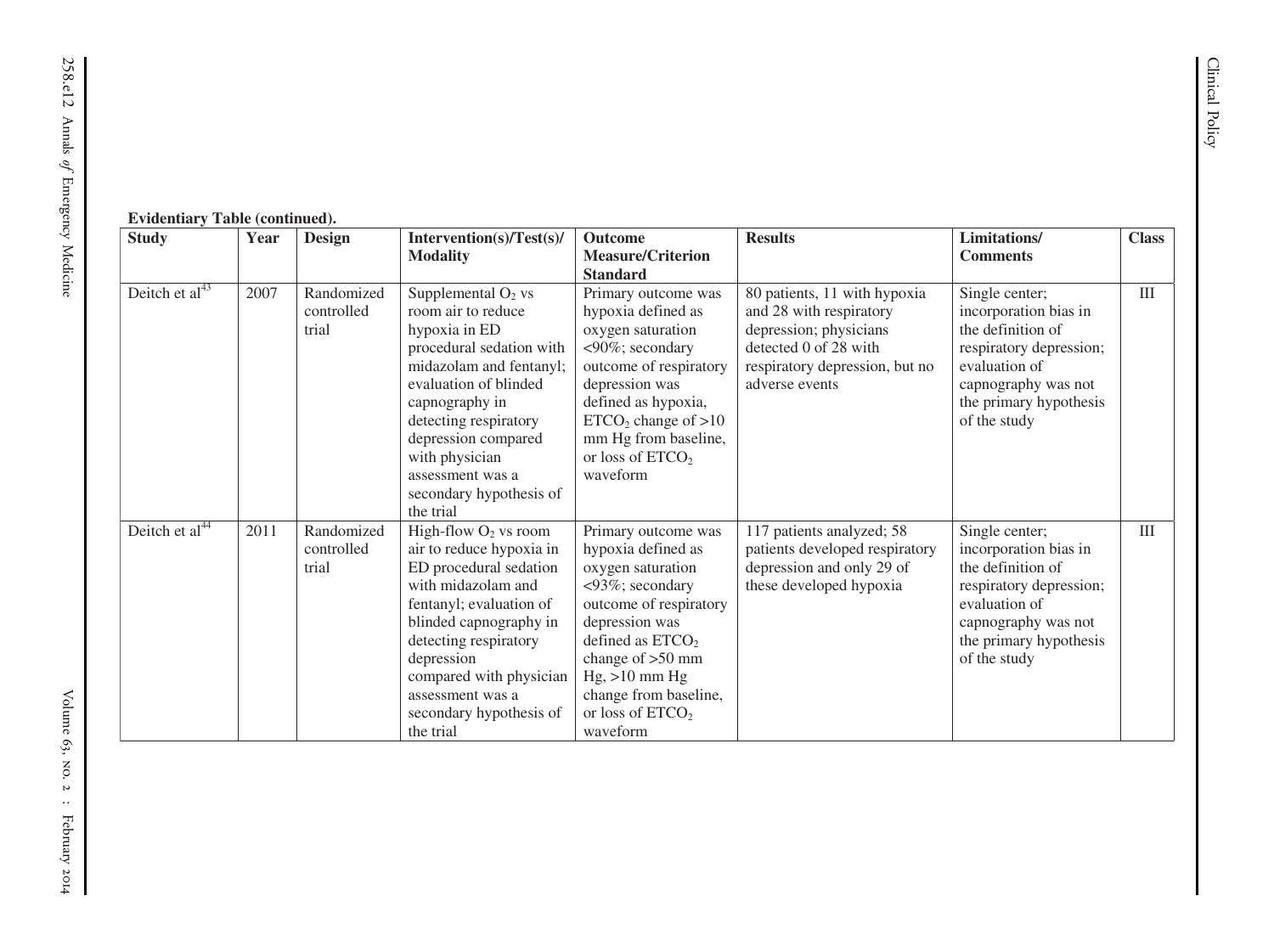| <b>Study</b>               | Year | <b>Design</b>                     | Intervention(s)/Test(s)/<br><b>Modality</b>                                                                                                                                                                                                                                                  | <b>Outcome</b><br><b>Measure/Criterion</b><br><b>Standard</b>                                                                                                                                                                                                | <b>Results</b>                                                                                                                                                 | <b>Limitations/</b><br><b>Comments</b>                                                                                                                                    | <b>Class</b>       |
|----------------------------|------|-----------------------------------|----------------------------------------------------------------------------------------------------------------------------------------------------------------------------------------------------------------------------------------------------------------------------------------------|--------------------------------------------------------------------------------------------------------------------------------------------------------------------------------------------------------------------------------------------------------------|----------------------------------------------------------------------------------------------------------------------------------------------------------------|---------------------------------------------------------------------------------------------------------------------------------------------------------------------------|--------------------|
| Deitch et $al43$           | 2007 | Randomized<br>controlled<br>trial | Supplemental $O_2$ vs<br>room air to reduce<br>hypoxia in ED<br>procedural sedation with<br>midazolam and fentanyl;<br>evaluation of blinded<br>capnography in<br>detecting respiratory<br>depression compared<br>with physician<br>assessment was a<br>secondary hypothesis of<br>the trial | Primary outcome was<br>hypoxia defined as<br>oxygen saturation<br><90%; secondary<br>outcome of respiratory<br>depression was<br>defined as hypoxia,<br>ETCO <sub>2</sub> change of >10<br>mm Hg from baseline,<br>or loss of $ETCO2$<br>waveform            | 80 patients, 11 with hypoxia<br>and 28 with respiratory<br>depression; physicians<br>detected 0 of 28 with<br>respiratory depression, but no<br>adverse events | Single center;<br>incorporation bias in<br>the definition of<br>respiratory depression;<br>evaluation of<br>capnography was not<br>the primary hypothesis<br>of the study | $\mathop{\rm III}$ |
| Deitch et al <sup>44</sup> | 2011 | Randomized<br>controlled<br>trial | High-flow $O_2$ vs room<br>air to reduce hypoxia in<br>ED procedural sedation<br>with midazolam and<br>fentanyl; evaluation of<br>blinded capnography in<br>detecting respiratory<br>depression<br>compared with physician<br>assessment was a<br>secondary hypothesis of<br>the trial       | Primary outcome was<br>hypoxia defined as<br>oxygen saturation<br><93%; secondary<br>outcome of respiratory<br>depression was<br>defined as $ETCO2$<br>change of $>50$ mm<br>$Hg$ , $>10$ mm $Hg$<br>change from baseline,<br>or loss of $ETCO2$<br>waveform | 117 patients analyzed; 58<br>patients developed respiratory<br>depression and only 29 of<br>these developed hypoxia                                            | Single center;<br>incorporation bias in<br>the definition of<br>respiratory depression;<br>evaluation of<br>capnography was not<br>the primary hypothesis<br>of the study | ΠI                 |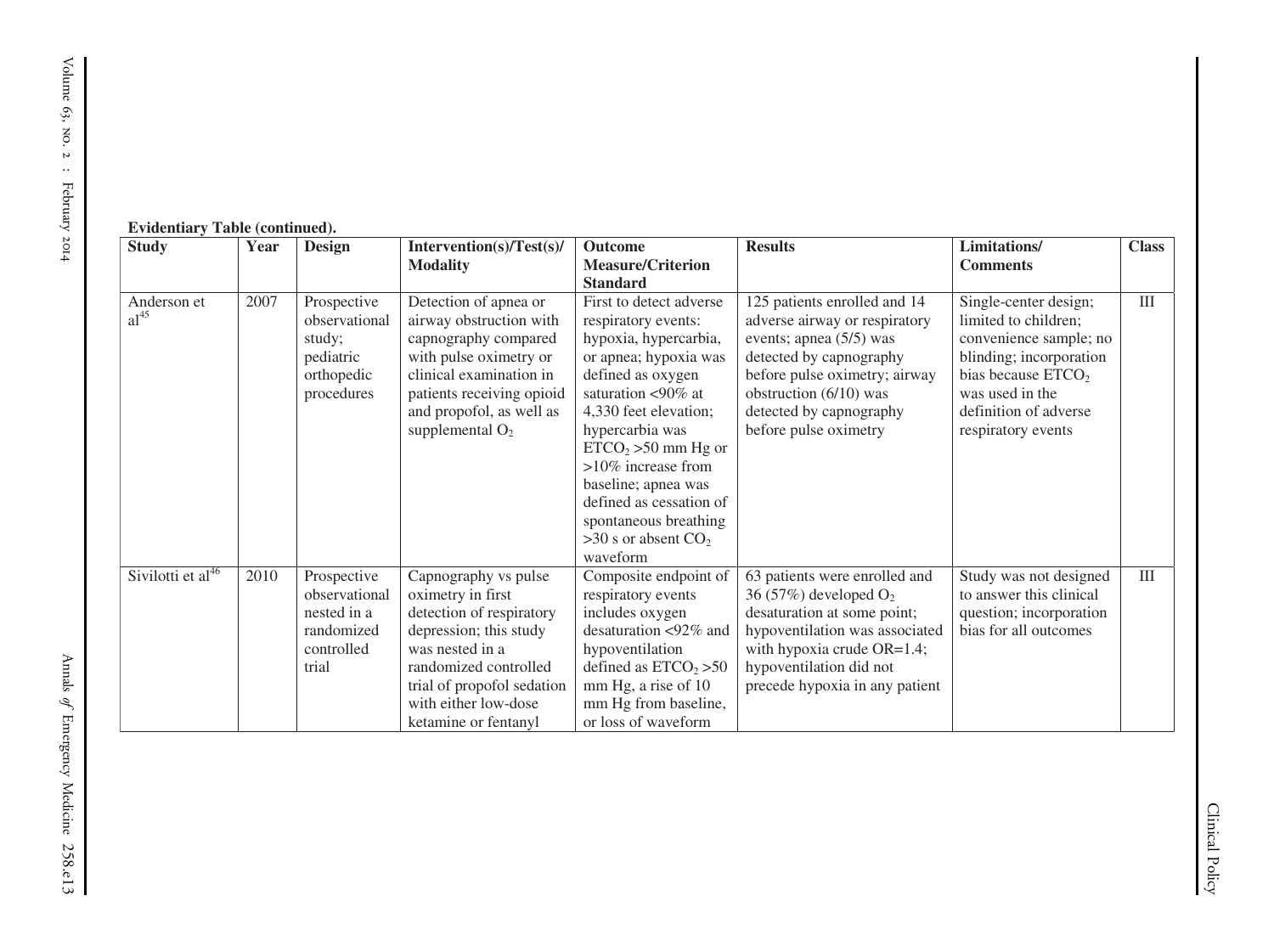| <b>Evidentiary Table (continued).</b> |      |                                                                                  |                                                                                                                                                                                                                           |                                                                                                                                                                                                                                                                                                                                                             |                                                                                                                                                                                                                                      |                                                                                                                                                                                                        |                             |
|---------------------------------------|------|----------------------------------------------------------------------------------|---------------------------------------------------------------------------------------------------------------------------------------------------------------------------------------------------------------------------|-------------------------------------------------------------------------------------------------------------------------------------------------------------------------------------------------------------------------------------------------------------------------------------------------------------------------------------------------------------|--------------------------------------------------------------------------------------------------------------------------------------------------------------------------------------------------------------------------------------|--------------------------------------------------------------------------------------------------------------------------------------------------------------------------------------------------------|-----------------------------|
| <b>Study</b>                          | Year | <b>Design</b>                                                                    | Intervention(s)/Test(s)/<br><b>Modality</b>                                                                                                                                                                               | <b>Outcome</b><br><b>Measure/Criterion</b><br><b>Standard</b>                                                                                                                                                                                                                                                                                               | <b>Results</b>                                                                                                                                                                                                                       | Limitations/<br><b>Comments</b>                                                                                                                                                                        | <b>Class</b>                |
| Anderson et<br>$al^{45}$              | 2007 | Prospective<br>observational<br>study;<br>pediatric<br>orthopedic<br>procedures  | Detection of apnea or<br>airway obstruction with<br>capnography compared<br>with pulse oximetry or<br>clinical examination in<br>patients receiving opioid<br>and propofol, as well as<br>supplemental $O_2$              | First to detect adverse<br>respiratory events:<br>hypoxia, hypercarbia,<br>or apnea; hypoxia was<br>defined as oxygen<br>saturation <90% at<br>4,330 feet elevation;<br>hypercarbia was<br>$ETCO2 > 50$ mm Hg or<br>$>10\%$ increase from<br>baseline; apnea was<br>defined as cessation of<br>spontaneous breathing<br>$>30$ s or absent $CO2$<br>waveform | 125 patients enrolled and 14<br>adverse airway or respiratory<br>events; apnea (5/5) was<br>detected by capnography<br>before pulse oximetry; airway<br>obstruction $(6/10)$ was<br>detected by capnography<br>before pulse oximetry | Single-center design;<br>limited to children;<br>convenience sample; no<br>blinding; incorporation<br>bias because ETCO <sub>2</sub><br>was used in the<br>definition of adverse<br>respiratory events | $\rm III$                   |
| Sivilotti et al $46$                  | 2010 | Prospective<br>observational<br>nested in a<br>randomized<br>controlled<br>trial | Capnography vs pulse<br>oximetry in first<br>detection of respiratory<br>depression; this study<br>was nested in a<br>randomized controlled<br>trial of propofol sedation<br>with either low-dose<br>ketamine or fentanyl | Composite endpoint of<br>respiratory events<br>includes oxygen<br>desaturation <92% and<br>hypoventilation<br>defined as $ETCO2 > 50$<br>mm Hg, a rise of 10<br>mm Hg from baseline,<br>or loss of waveform                                                                                                                                                 | 63 patients were enrolled and<br>36 (57%) developed $O_2$<br>desaturation at some point;<br>hypoventilation was associated<br>with hypoxia crude $OR=1.4$ ;<br>hypoventilation did not<br>precede hypoxia in any patient             | Study was not designed<br>to answer this clinical<br>question; incorporation<br>bias for all outcomes                                                                                                  | $\mathop{\rm III}\nolimits$ |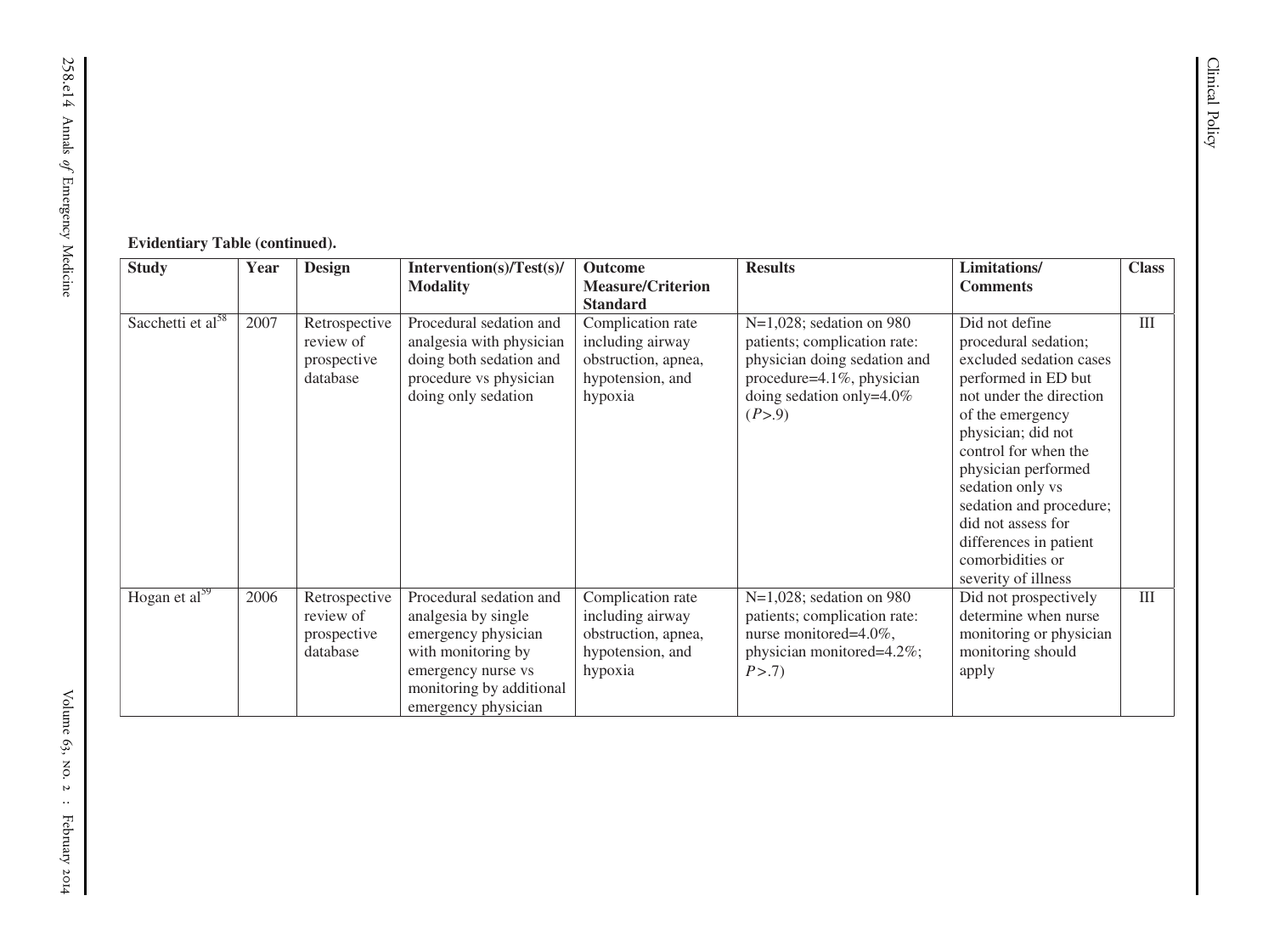| <b>Study</b>       | Year | <b>Design</b>                                         | Intervention(s)/Test(s)/<br><b>Modality</b>                                                                                                                          | <b>Outcome</b><br><b>Measure/Criterion</b><br><b>Standard</b>                               | <b>Results</b>                                                                                                                                                   | Limitations/<br><b>Comments</b>                                                                                                                                                                                                                                                                                                                        | <b>Class</b>       |
|--------------------|------|-------------------------------------------------------|----------------------------------------------------------------------------------------------------------------------------------------------------------------------|---------------------------------------------------------------------------------------------|------------------------------------------------------------------------------------------------------------------------------------------------------------------|--------------------------------------------------------------------------------------------------------------------------------------------------------------------------------------------------------------------------------------------------------------------------------------------------------------------------------------------------------|--------------------|
| Sacchetti et $a58$ | 2007 | Retrospective<br>review of<br>prospective<br>database | Procedural sedation and<br>analgesia with physician<br>doing both sedation and<br>procedure vs physician<br>doing only sedation                                      | Complication rate<br>including airway<br>obstruction, apnea,<br>hypotension, and<br>hypoxia | $N=1,028$ ; sedation on 980<br>patients; complication rate:<br>physician doing sedation and<br>procedure=4.1%, physician<br>doing sedation only=4.0%<br>(P > .9) | Did not define<br>procedural sedation;<br>excluded sedation cases<br>performed in ED but<br>not under the direction<br>of the emergency<br>physician; did not<br>control for when the<br>physician performed<br>sedation only vs<br>sedation and procedure;<br>did not assess for<br>differences in patient<br>comorbidities or<br>severity of illness | III                |
| Hogan et $al^{59}$ | 2006 | Retrospective<br>review of<br>prospective<br>database | Procedural sedation and<br>analgesia by single<br>emergency physician<br>with monitoring by<br>emergency nurse vs<br>monitoring by additional<br>emergency physician | Complication rate<br>including airway<br>obstruction, apnea,<br>hypotension, and<br>hypoxia | $N=1,028$ ; sedation on 980<br>patients; complication rate:<br>nurse monitored=4.0%,<br>physician monitored=4.2%;<br>P > .7                                      | Did not prospectively<br>determine when nurse<br>monitoring or physician<br>monitoring should<br>apply                                                                                                                                                                                                                                                 | $\mathop{\rm III}$ |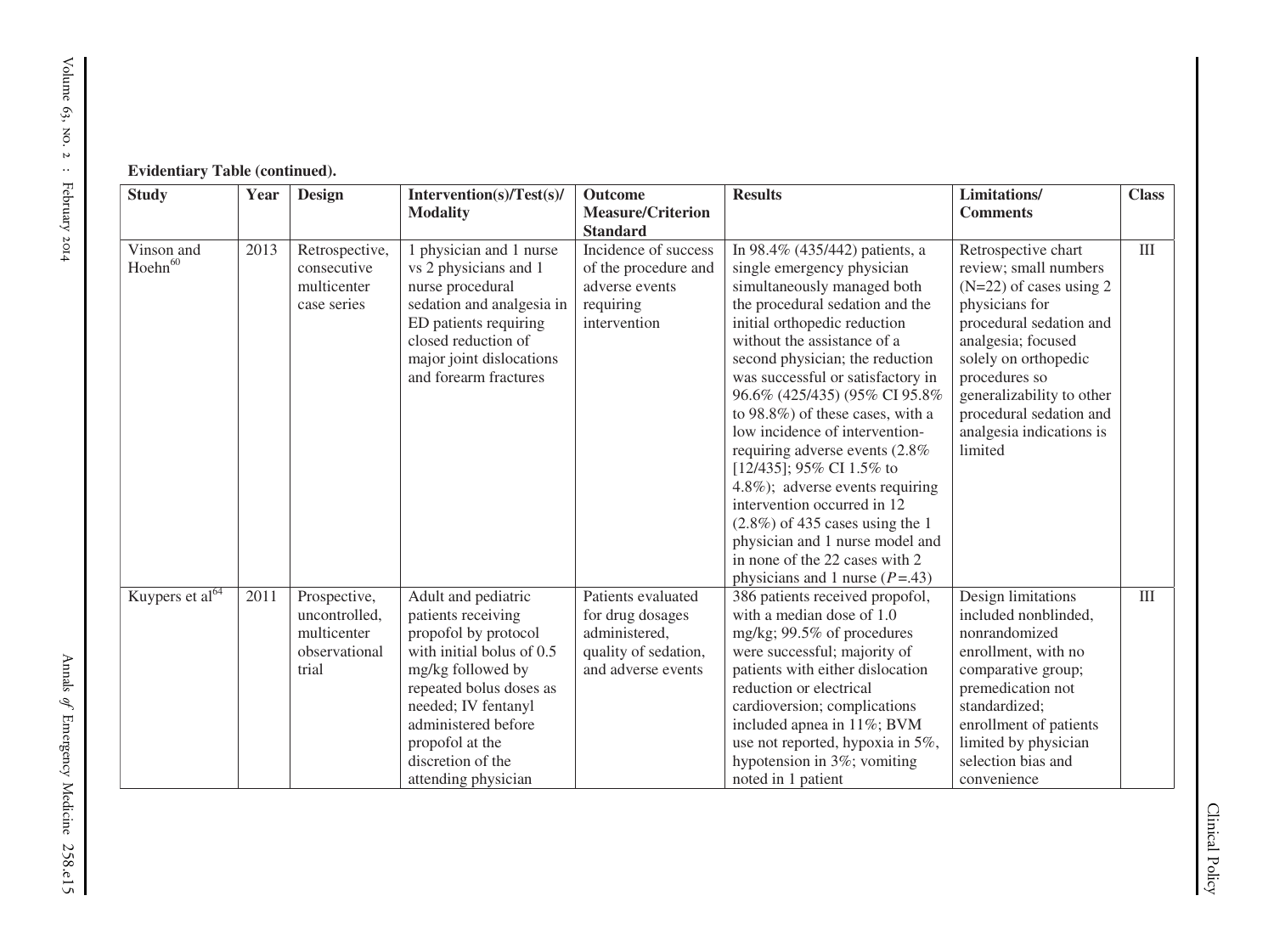| <b>Study</b>                      | Year | <b>Design</b>                                                          | Intervention(s)/Test(s)/<br><b>Modality</b>                                                                                                                                                                                                                 | <b>Outcome</b><br><b>Measure/Criterion</b><br><b>Standard</b>                                         | <b>Results</b>                                                                                                                                                                                                                                                                                                                                                                                                                                                                                                                                                                                                                                              | Limitations/<br><b>Comments</b>                                                                                                                                                                                                                                                      | <b>Class</b>                |
|-----------------------------------|------|------------------------------------------------------------------------|-------------------------------------------------------------------------------------------------------------------------------------------------------------------------------------------------------------------------------------------------------------|-------------------------------------------------------------------------------------------------------|-------------------------------------------------------------------------------------------------------------------------------------------------------------------------------------------------------------------------------------------------------------------------------------------------------------------------------------------------------------------------------------------------------------------------------------------------------------------------------------------------------------------------------------------------------------------------------------------------------------------------------------------------------------|--------------------------------------------------------------------------------------------------------------------------------------------------------------------------------------------------------------------------------------------------------------------------------------|-----------------------------|
| Vinson and<br>Hoehn <sup>60</sup> | 2013 | Retrospective,<br>consecutive<br>multicenter<br>case series            | 1 physician and 1 nurse<br>vs 2 physicians and 1<br>nurse procedural<br>sedation and analgesia in<br>ED patients requiring<br>closed reduction of<br>major joint dislocations<br>and forearm fractures                                                      | Incidence of success<br>of the procedure and<br>adverse events<br>requiring<br>intervention           | In 98.4% (435/442) patients, a<br>single emergency physician<br>simultaneously managed both<br>the procedural sedation and the<br>initial orthopedic reduction<br>without the assistance of a<br>second physician; the reduction<br>was successful or satisfactory in<br>96.6% (425/435) (95% CI 95.8%<br>to 98.8%) of these cases, with a<br>low incidence of intervention-<br>requiring adverse events (2.8%<br>[12/435]; 95% CI 1.5% to<br>4.8%); adverse events requiring<br>intervention occurred in 12<br>$(2.8\%)$ of 435 cases using the 1<br>physician and 1 nurse model and<br>in none of the 22 cases with 2<br>physicians and 1 nurse $(P=.43)$ | Retrospective chart<br>review; small numbers<br>$(N=22)$ of cases using 2<br>physicians for<br>procedural sedation and<br>analgesia; focused<br>solely on orthopedic<br>procedures so<br>generalizability to other<br>procedural sedation and<br>analgesia indications is<br>limited | $\mathop{\rm III}\nolimits$ |
| Kuypers et $al^{64}$              | 2011 | Prospective,<br>uncontrolled,<br>multicenter<br>observational<br>trial | Adult and pediatric<br>patients receiving<br>propofol by protocol<br>with initial bolus of 0.5<br>mg/kg followed by<br>repeated bolus doses as<br>needed; IV fentanyl<br>administered before<br>propofol at the<br>discretion of the<br>attending physician | Patients evaluated<br>for drug dosages<br>administered,<br>quality of sedation,<br>and adverse events | 386 patients received propofol,<br>with a median dose of 1.0<br>mg/kg; 99.5% of procedures<br>were successful; majority of<br>patients with either dislocation<br>reduction or electrical<br>cardioversion; complications<br>included apnea in 11%; BVM<br>use not reported, hypoxia in 5%,<br>hypotension in 3%; vomiting<br>noted in 1 patient                                                                                                                                                                                                                                                                                                            | Design limitations<br>included nonblinded,<br>nonrandomized<br>enrollment, with no<br>comparative group;<br>premedication not<br>standardized;<br>enrollment of patients<br>limited by physician<br>selection bias and<br>convenience                                                | $\mathop{\rm III}\nolimits$ |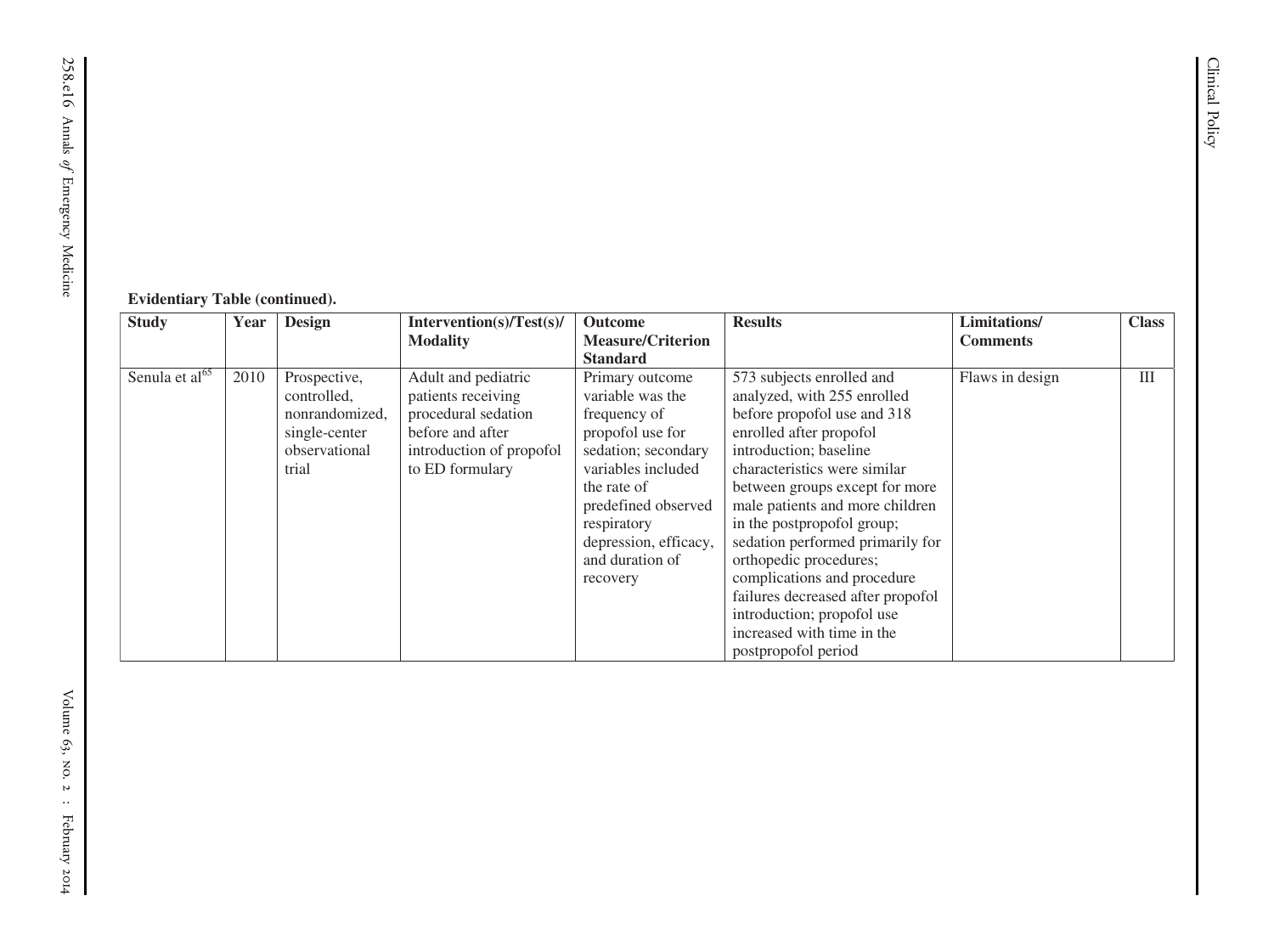| <b>Study</b>               | Year | Design         | Intervention(s)/Test(s)/ | <b>Outcome</b>           | <b>Results</b>                    | Limitations/    | <b>Class</b> |
|----------------------------|------|----------------|--------------------------|--------------------------|-----------------------------------|-----------------|--------------|
|                            |      |                | <b>Modality</b>          | <b>Measure/Criterion</b> |                                   | <b>Comments</b> |              |
|                            |      |                |                          | <b>Standard</b>          |                                   |                 |              |
| Senula et al <sup>65</sup> | 2010 | Prospective,   | Adult and pediatric      | Primary outcome          | 573 subjects enrolled and         | Flaws in design | III          |
|                            |      | controlled,    | patients receiving       | variable was the         | analyzed, with 255 enrolled       |                 |              |
|                            |      | nonrandomized, | procedural sedation      | frequency of             | before propofol use and 318       |                 |              |
|                            |      | single-center  | before and after         | propofol use for         | enrolled after propofol           |                 |              |
|                            |      | observational  | introduction of propofol | sedation; secondary      | introduction; baseline            |                 |              |
|                            |      | trial          | to ED formulary          | variables included       | characteristics were similar      |                 |              |
|                            |      |                |                          | the rate of              | between groups except for more    |                 |              |
|                            |      |                |                          | predefined observed      | male patients and more children   |                 |              |
|                            |      |                |                          | respiratory              | in the postpropofol group;        |                 |              |
|                            |      |                |                          | depression, efficacy,    | sedation performed primarily for  |                 |              |
|                            |      |                |                          | and duration of          | orthopedic procedures;            |                 |              |
|                            |      |                |                          | recovery                 | complications and procedure       |                 |              |
|                            |      |                |                          |                          | failures decreased after propofol |                 |              |
|                            |      |                |                          |                          | introduction; propofol use        |                 |              |
|                            |      |                |                          |                          | increased with time in the        |                 |              |
|                            |      |                |                          |                          | postpropofol period               |                 |              |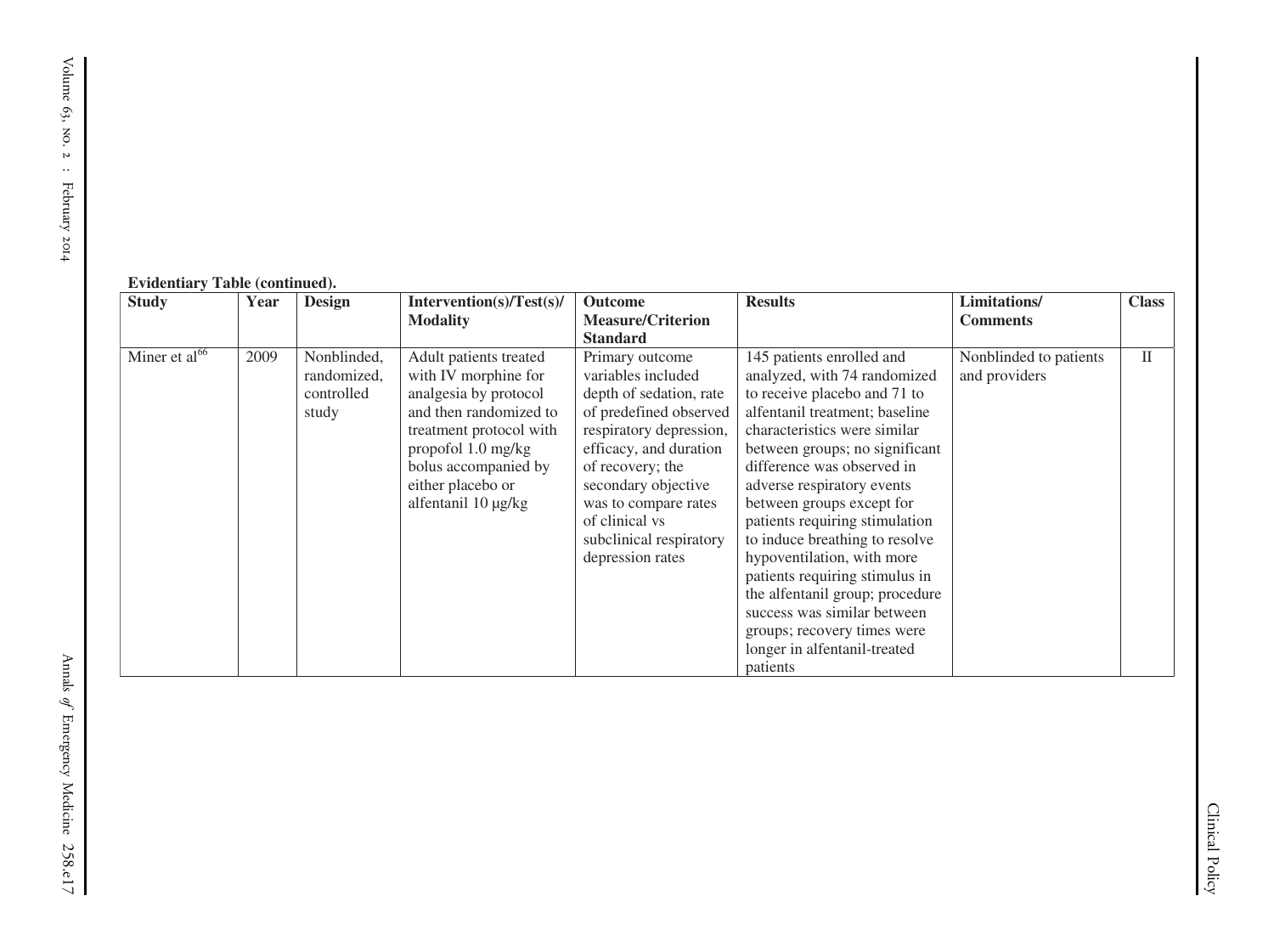| <b>Study</b>                  | Year | Design                                            | Intervention(s)/Test(s)/<br><b>Modality</b>                                                                                                                                                                            | <b>Outcome</b><br><b>Measure/Criterion</b><br><b>Standard</b>                                                                                                                                                                                                                       | <b>Results</b>                                                                                                                                                                                                                                                                                                                                                                                                                                                                                                                                                          | Limitations/<br><b>Comments</b>         | <b>Class</b> |
|-------------------------------|------|---------------------------------------------------|------------------------------------------------------------------------------------------------------------------------------------------------------------------------------------------------------------------------|-------------------------------------------------------------------------------------------------------------------------------------------------------------------------------------------------------------------------------------------------------------------------------------|-------------------------------------------------------------------------------------------------------------------------------------------------------------------------------------------------------------------------------------------------------------------------------------------------------------------------------------------------------------------------------------------------------------------------------------------------------------------------------------------------------------------------------------------------------------------------|-----------------------------------------|--------------|
| Miner et $\overline{al^{66}}$ | 2009 | Nonblinded,<br>randomized,<br>controlled<br>study | Adult patients treated<br>with IV morphine for<br>analgesia by protocol<br>and then randomized to<br>treatment protocol with<br>propofol 1.0 mg/kg<br>bolus accompanied by<br>either placebo or<br>alfentanil 10 µg/kg | Primary outcome<br>variables included<br>depth of sedation, rate<br>of predefined observed<br>respiratory depression,<br>efficacy, and duration<br>of recovery; the<br>secondary objective<br>was to compare rates<br>of clinical vs<br>subclinical respiratory<br>depression rates | 145 patients enrolled and<br>analyzed, with 74 randomized<br>to receive placebo and 71 to<br>alfentanil treatment; baseline<br>characteristics were similar<br>between groups; no significant<br>difference was observed in<br>adverse respiratory events<br>between groups except for<br>patients requiring stimulation<br>to induce breathing to resolve<br>hypoventilation, with more<br>patients requiring stimulus in<br>the alfentanil group; procedure<br>success was similar between<br>groups; recovery times were<br>longer in alfentanil-treated<br>patients | Nonblinded to patients<br>and providers | $\Pi$        |

٦